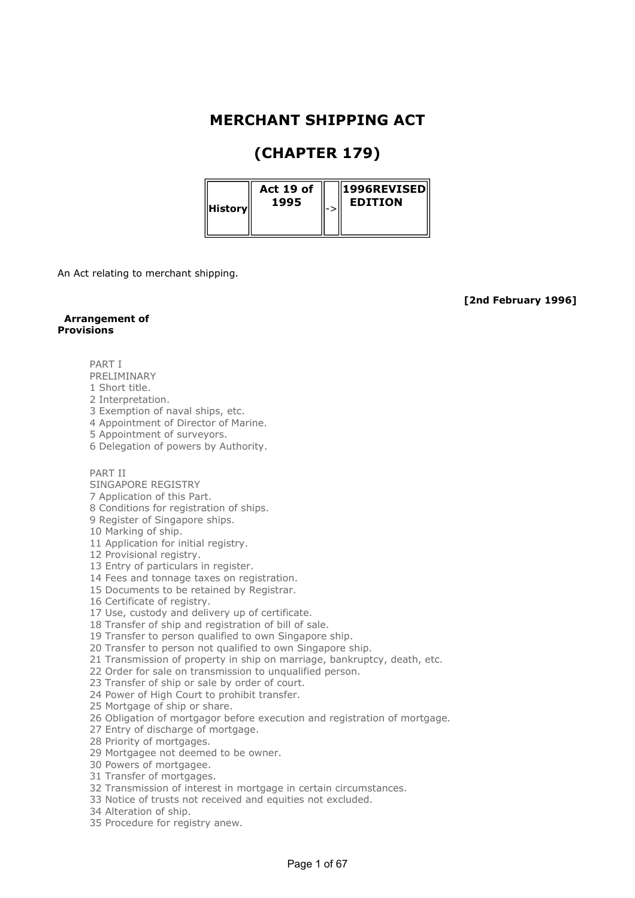## MERCHANT SHIPPING ACT

# (CHAPTER 179)

| Act 19 of<br>1995<br> History |  | $\parallel$ 1996REVISED $\parallel$<br><b>EDITION</b> |
|-------------------------------|--|-------------------------------------------------------|
|-------------------------------|--|-------------------------------------------------------|

An Act relating to merchant shipping.

[2nd February 1996]

## Arrangement of Provisions

PART I

- PRELIMINARY
- 1 Short title.
- 2 Interpretation.
- 3 Exemption of naval ships, etc.
- 4 Appointment of Director of Marine.
- 5 Appointment of surveyors.
- 6 Delegation of powers by Authority.

## PART II

- SINGAPORE REGISTRY
- 7 Application of this Part.
- 8 Conditions for registration of ships.
- 9 Register of Singapore ships.
- 10 Marking of ship.
- 11 Application for initial registry.
- 12 Provisional registry.
- 13 Entry of particulars in register.
- 14 Fees and tonnage taxes on registration.
- 15 Documents to be retained by Registrar.
- 16 Certificate of registry.
- 17 Use, custody and delivery up of certificate.
- 18 Transfer of ship and registration of bill of sale.
- 19 Transfer to person qualified to own Singapore ship.
- 20 Transfer to person not qualified to own Singapore ship.
- 21 Transmission of property in ship on marriage, bankruptcy, death, etc.
- 22 Order for sale on transmission to unqualified person.
- 23 Transfer of ship or sale by order of court.
- 24 Power of High Court to prohibit transfer.
- 25 Mortgage of ship or share.
- 26 Obligation of mortgagor before execution and registration of mortgage.
- 27 Entry of discharge of mortgage.
- 28 Priority of mortgages.
- 29 Mortgagee not deemed to be owner.
- 30 Powers of mortgagee.
- 31 Transfer of mortgages.
- 32 Transmission of interest in mortgage in certain circumstances.
- 33 Notice of trusts not received and equities not excluded.
- 34 Alteration of ship.
- 35 Procedure for registry anew.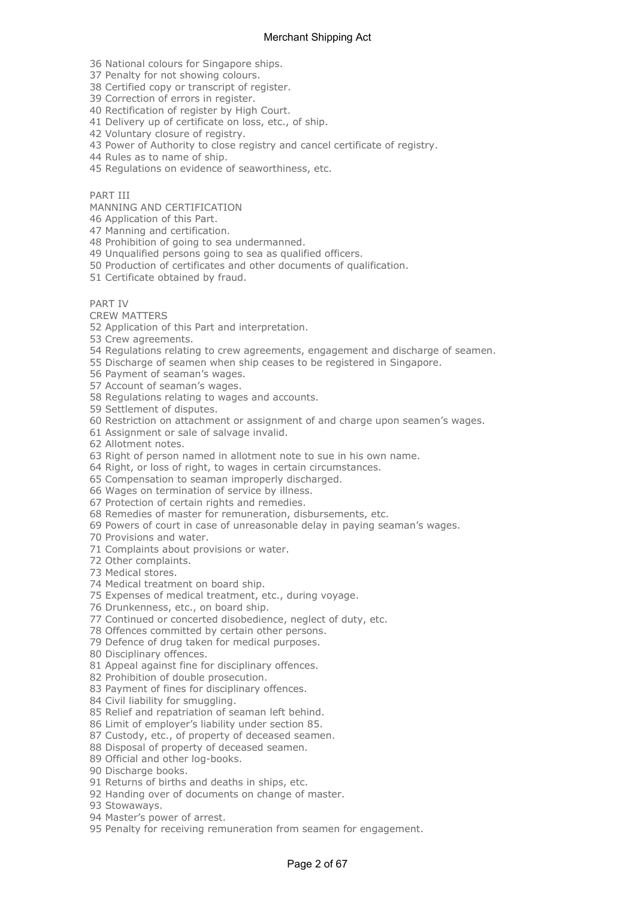36 National colours for Singapore ships.

37 Penalty for not showing colours.

38 Certified copy or transcript of register.

39 Correction of errors in register.

40 Rectification of register by High Court.

41 Delivery up of certificate on loss, etc., of ship.

42 Voluntary closure of registry.

43 Power of Authority to close registry and cancel certificate of registry.

44 Rules as to name of ship.

45 Regulations on evidence of seaworthiness, etc.

## PART III

MANNING AND CERTIFICATION

46 Application of this Part.

47 Manning and certification.

48 Prohibition of going to sea undermanned.

49 Unqualified persons going to sea as qualified officers.

50 Production of certificates and other documents of qualification.

51 Certificate obtained by fraud.

PART IV

CREW MATTERS

52 Application of this Part and interpretation.

53 Crew agreements.

54 Regulations relating to crew agreements, engagement and discharge of seamen.

55 Discharge of seamen when ship ceases to be registered in Singapore.

56 Payment of seaman's wages.

57 Account of seaman's wages.

58 Regulations relating to wages and accounts.

59 Settlement of disputes.

60 Restriction on attachment or assignment of and charge upon seamen's wages.

61 Assignment or sale of salvage invalid.

62 Allotment notes.

63 Right of person named in allotment note to sue in his own name.

64 Right, or loss of right, to wages in certain circumstances.

65 Compensation to seaman improperly discharged.

66 Wages on termination of service by illness.

67 Protection of certain rights and remedies.

68 Remedies of master for remuneration, disbursements, etc.

69 Powers of court in case of unreasonable delay in paying seaman's wages.

70 Provisions and water.

71 Complaints about provisions or water.

72 Other complaints.

73 Medical stores.

74 Medical treatment on board ship.

75 Expenses of medical treatment, etc., during voyage.

76 Drunkenness, etc., on board ship.

77 Continued or concerted disobedience, neglect of duty, etc.

78 Offences committed by certain other persons.

79 Defence of drug taken for medical purposes.

80 Disciplinary offences.

81 Appeal against fine for disciplinary offences.

82 Prohibition of double prosecution.

83 Payment of fines for disciplinary offences.

84 Civil liability for smuggling.

85 Relief and repatriation of seaman left behind.

86 Limit of employer's liability under section 85.

87 Custody, etc., of property of deceased seamen.

88 Disposal of property of deceased seamen.

89 Official and other log-books.

90 Discharge books.

91 Returns of births and deaths in ships, etc.

92 Handing over of documents on change of master.

93 Stowaways.

94 Master's power of arrest.

95 Penalty for receiving remuneration from seamen for engagement.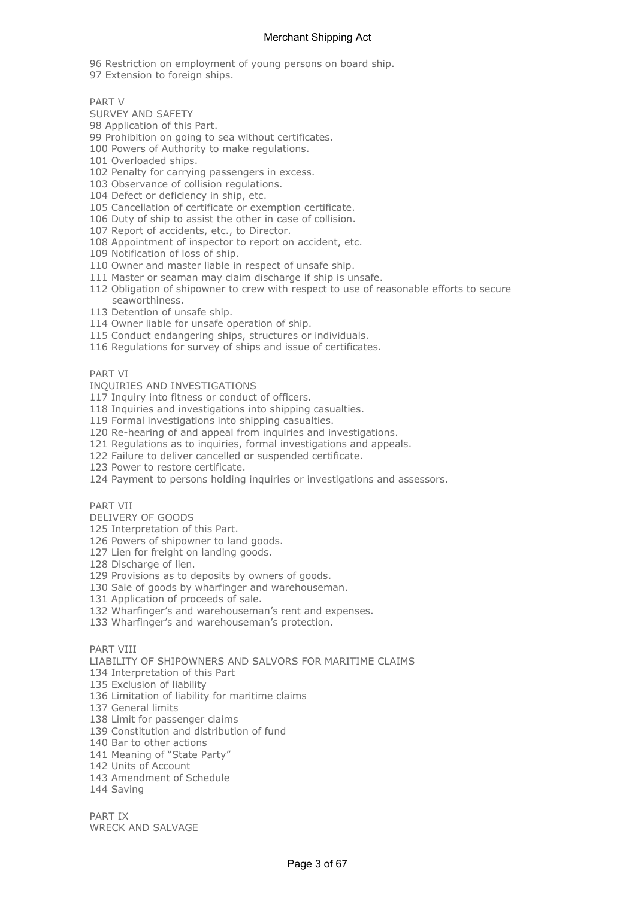96 Restriction on employment of young persons on board ship.

97 Extension to foreign ships.

PART V

- SURVEY AND SAFETY
- 98 Application of this Part.
- 99 Prohibition on going to sea without certificates.
- 100 Powers of Authority to make regulations.
- 101 Overloaded ships.
- 102 Penalty for carrying passengers in excess.
- 103 Observance of collision regulations.
- 104 Defect or deficiency in ship, etc.
- 105 Cancellation of certificate or exemption certificate.
- 106 Duty of ship to assist the other in case of collision.
- 107 Report of accidents, etc., to Director.
- 108 Appointment of inspector to report on accident, etc.
- 109 Notification of loss of ship.
- 110 Owner and master liable in respect of unsafe ship.
- 111 Master or seaman may claim discharge if ship is unsafe.
- 112 Obligation of shipowner to crew with respect to use of reasonable efforts to secure seaworthiness.
- 113 Detention of unsafe ship.
- 114 Owner liable for unsafe operation of ship.
- 115 Conduct endangering ships, structures or individuals.
- 116 Regulations for survey of ships and issue of certificates.

PART VI

- INQUIRIES AND INVESTIGATIONS
- 117 Inquiry into fitness or conduct of officers.
- 118 Inquiries and investigations into shipping casualties.
- 119 Formal investigations into shipping casualties.
- 120 Re-hearing of and appeal from inquiries and investigations.
- 121 Regulations as to inquiries, formal investigations and appeals.
- 122 Failure to deliver cancelled or suspended certificate.
- 123 Power to restore certificate.

124 Payment to persons holding inquiries or investigations and assessors.

## PART VII

- DELIVERY OF GOODS
- 125 Interpretation of this Part.
- 126 Powers of shipowner to land goods.
- 127 Lien for freight on landing goods.
- 128 Discharge of lien.
- 129 Provisions as to deposits by owners of goods.
- 130 Sale of goods by wharfinger and warehouseman.
- 131 Application of proceeds of sale.
- 132 Wharfinger's and warehouseman's rent and expenses.
- 133 Wharfinger's and warehouseman's protection.

PART VIII

- LIABILITY OF SHIPOWNERS AND SALVORS FOR MARITIME CLAIMS
- 134 Interpretation of this Part
- 135 Exclusion of liability
- 136 Limitation of liability for maritime claims
- 137 General limits
- 138 Limit for passenger claims
- 139 Constitution and distribution of fund
- 140 Bar to other actions
- 141 Meaning of "State Party"
- 142 Units of Account
- 143 Amendment of Schedule
- 144 Saving

PART IX WRECK AND SALVAGE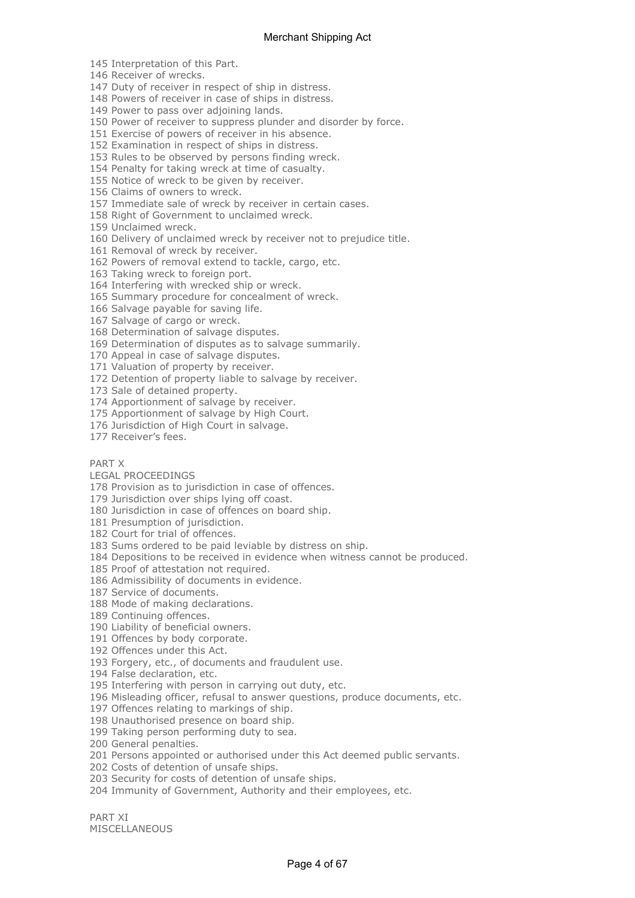145 Interpretation of this Part.

146 Receiver of wrecks.

147 Duty of receiver in respect of ship in distress.

148 Powers of receiver in case of ships in distress.

149 Power to pass over adjoining lands.

150 Power of receiver to suppress plunder and disorder by force.

151 Exercise of powers of receiver in his absence.

152 Examination in respect of ships in distress.

153 Rules to be observed by persons finding wreck.

154 Penalty for taking wreck at time of casualty.

155 Notice of wreck to be given by receiver.

156 Claims of owners to wreck.

157 Immediate sale of wreck by receiver in certain cases.

158 Right of Government to unclaimed wreck.

159 Unclaimed wreck.

160 Delivery of unclaimed wreck by receiver not to prejudice title.

161 Removal of wreck by receiver.

162 Powers of removal extend to tackle, cargo, etc.

163 Taking wreck to foreign port.

164 Interfering with wrecked ship or wreck.

165 Summary procedure for concealment of wreck.

166 Salvage payable for saving life.

167 Salvage of cargo or wreck.

168 Determination of salvage disputes.

169 Determination of disputes as to salvage summarily.

170 Appeal in case of salvage disputes.

171 Valuation of property by receiver.

172 Detention of property liable to salvage by receiver.

173 Sale of detained property.

174 Apportionment of salvage by receiver.

175 Apportionment of salvage by High Court.

176 Jurisdiction of High Court in salvage.

177 Receiver's fees.

#### PART X

LEGAL PROCEEDINGS

178 Provision as to jurisdiction in case of offences.

179 Jurisdiction over ships lying off coast.

180 Jurisdiction in case of offences on board ship.

181 Presumption of jurisdiction.

182 Court for trial of offences.

183 Sums ordered to be paid leviable by distress on ship.

184 Depositions to be received in evidence when witness cannot be produced.

185 Proof of attestation not required.

186 Admissibility of documents in evidence.

187 Service of documents.

188 Mode of making declarations.

189 Continuing offences.

190 Liability of beneficial owners.

191 Offences by body corporate.

192 Offences under this Act.

193 Forgery, etc., of documents and fraudulent use.

194 False declaration, etc.

195 Interfering with person in carrying out duty, etc.

196 Misleading officer, refusal to answer questions, produce documents, etc.

197 Offences relating to markings of ship.

198 Unauthorised presence on board ship.

199 Taking person performing duty to sea.

200 General penalties.

201 Persons appointed or authorised under this Act deemed public servants.

202 Costs of detention of unsafe ships.

203 Security for costs of detention of unsafe ships.

204 Immunity of Government, Authority and their employees, etc.

PART XI MISCELLANEOUS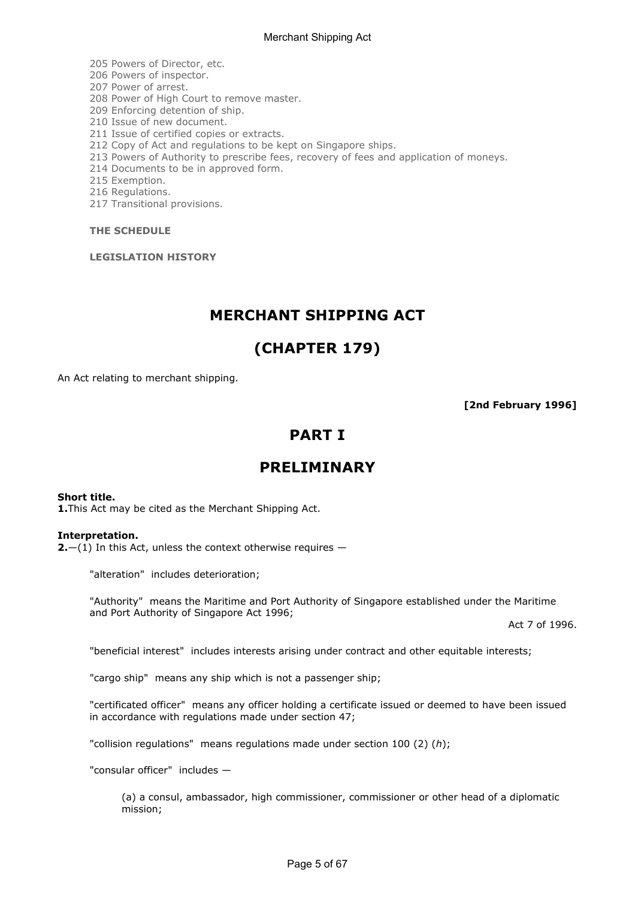205 Powers of Director, etc.

206 Powers of inspector.

207 Power of arrest.

208 Power of High Court to remove master.

209 Enforcing detention of ship.

210 Issue of new document.

211 Issue of certified copies or extracts.

212 Copy of Act and regulations to be kept on Singapore ships.

213 Powers of Authority to prescribe fees, recovery of fees and application of moneys.

214 Documents to be in approved form.

215 Exemption.

216 Regulations.

217 Transitional provisions.

THE SCHEDULE

LEGISLATION HISTORY

## MERCHANT SHIPPING ACT

## (CHAPTER 179)

An Act relating to merchant shipping.

[2nd February 1996]

## PART I

## PRELIMINARY

## Short title.

1. This Act may be cited as the Merchant Shipping Act.

## Interpretation.

**2.**  $-(1)$  In this Act, unless the context otherwise requires  $-$ 

"alteration" includes deterioration;

"Authority" means the Maritime and Port Authority of Singapore established under the Maritime and Port Authority of Singapore Act 1996;

Act 7 of 1996.

"beneficial interest" includes interests arising under contract and other equitable interests;

"cargo ship" means any ship which is not a passenger ship;

"certificated officer" means any officer holding a certificate issued or deemed to have been issued in accordance with regulations made under section 47;

"collision regulations" means regulations made under section 100 (2) (h);

"consular officer" includes —

(a) a consul, ambassador, high commissioner, commissioner or other head of a diplomatic mission;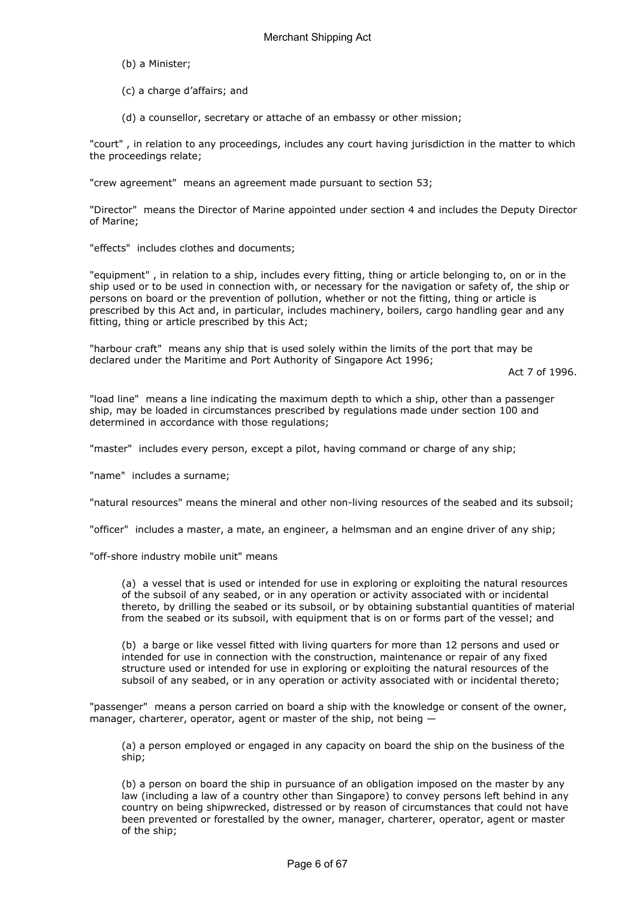- (b) a Minister;
- (c) a charge d'affairs; and
- (d) a counsellor, secretary or attache of an embassy or other mission;

"court" , in relation to any proceedings, includes any court having jurisdiction in the matter to which the proceedings relate;

"crew agreement" means an agreement made pursuant to section 53;

"Director" means the Director of Marine appointed under section 4 and includes the Deputy Director of Marine;

"effects" includes clothes and documents;

"equipment" , in relation to a ship, includes every fitting, thing or article belonging to, on or in the ship used or to be used in connection with, or necessary for the navigation or safety of, the ship or persons on board or the prevention of pollution, whether or not the fitting, thing or article is prescribed by this Act and, in particular, includes machinery, boilers, cargo handling gear and any fitting, thing or article prescribed by this Act;

"harbour craft" means any ship that is used solely within the limits of the port that may be declared under the Maritime and Port Authority of Singapore Act 1996;

Act 7 of 1996.

"load line" means a line indicating the maximum depth to which a ship, other than a passenger ship, may be loaded in circumstances prescribed by regulations made under section 100 and determined in accordance with those regulations;

"master" includes every person, except a pilot, having command or charge of any ship;

"name" includes a surname;

"natural resources" means the mineral and other non-living resources of the seabed and its subsoil;

"officer" includes a master, a mate, an engineer, a helmsman and an engine driver of any ship;

"off-shore industry mobile unit" means

(a) a vessel that is used or intended for use in exploring or exploiting the natural resources of the subsoil of any seabed, or in any operation or activity associated with or incidental thereto, by drilling the seabed or its subsoil, or by obtaining substantial quantities of material from the seabed or its subsoil, with equipment that is on or forms part of the vessel; and

(b) a barge or like vessel fitted with living quarters for more than 12 persons and used or intended for use in connection with the construction, maintenance or repair of any fixed structure used or intended for use in exploring or exploiting the natural resources of the subsoil of any seabed, or in any operation or activity associated with or incidental thereto;

"passenger" means a person carried on board a ship with the knowledge or consent of the owner, manager, charterer, operator, agent or master of the ship, not being —

(a) a person employed or engaged in any capacity on board the ship on the business of the ship;

(b) a person on board the ship in pursuance of an obligation imposed on the master by any law (including a law of a country other than Singapore) to convey persons left behind in any country on being shipwrecked, distressed or by reason of circumstances that could not have been prevented or forestalled by the owner, manager, charterer, operator, agent or master of the ship;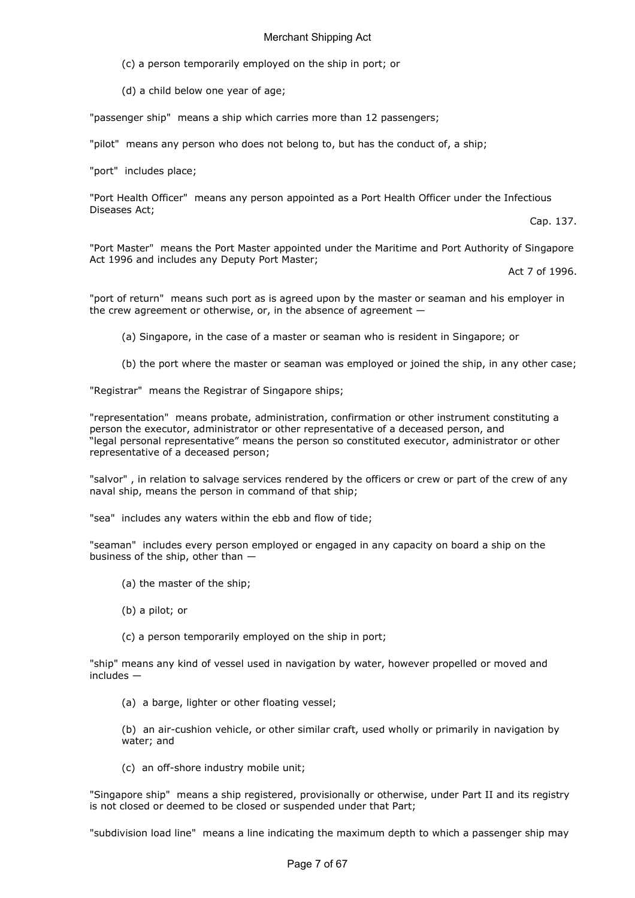- (c) a person temporarily employed on the ship in port; or
- (d) a child below one year of age;

"passenger ship" means a ship which carries more than 12 passengers;

"pilot" means any person who does not belong to, but has the conduct of, a ship;

"port" includes place;

"Port Health Officer" means any person appointed as a Port Health Officer under the Infectious Diseases Act;

Cap. 137.

"Port Master" means the Port Master appointed under the Maritime and Port Authority of Singapore Act 1996 and includes any Deputy Port Master;

Act 7 of 1996.

"port of return" means such port as is agreed upon by the master or seaman and his employer in the crew agreement or otherwise, or, in the absence of agreement —

(a) Singapore, in the case of a master or seaman who is resident in Singapore; or

(b) the port where the master or seaman was employed or joined the ship, in any other case;

"Registrar" means the Registrar of Singapore ships;

"representation" means probate, administration, confirmation or other instrument constituting a person the executor, administrator or other representative of a deceased person, and "legal personal representative" means the person so constituted executor, administrator or other representative of a deceased person;

"salvor" , in relation to salvage services rendered by the officers or crew or part of the crew of any naval ship, means the person in command of that ship;

"sea" includes any waters within the ebb and flow of tide;

"seaman" includes every person employed or engaged in any capacity on board a ship on the business of the ship, other than —

- (a) the master of the ship;
- (b) a pilot; or
- (c) a person temporarily employed on the ship in port;

"ship" means any kind of vessel used in navigation by water, however propelled or moved and  $includes$  —

(a) a barge, lighter or other floating vessel;

(b) an air-cushion vehicle, or other similar craft, used wholly or primarily in navigation by water; and

(c) an off-shore industry mobile unit;

"Singapore ship" means a ship registered, provisionally or otherwise, under Part II and its registry is not closed or deemed to be closed or suspended under that Part;

"subdivision load line" means a line indicating the maximum depth to which a passenger ship may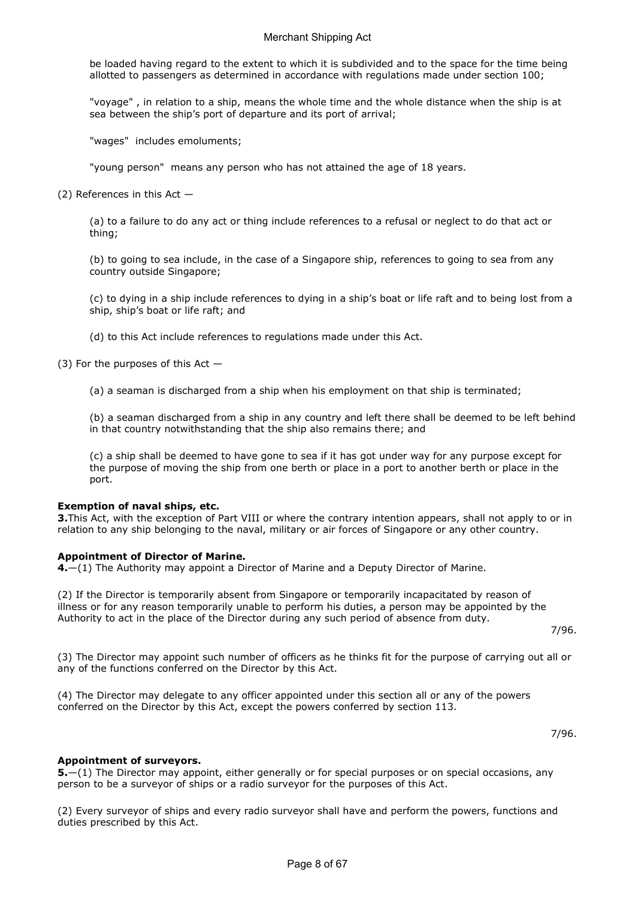be loaded having regard to the extent to which it is subdivided and to the space for the time being allotted to passengers as determined in accordance with regulations made under section 100;

"voyage" , in relation to a ship, means the whole time and the whole distance when the ship is at sea between the ship's port of departure and its port of arrival;

"wages" includes emoluments;

"young person" means any person who has not attained the age of 18 years.

(2) References in this Act —

(a) to a failure to do any act or thing include references to a refusal or neglect to do that act or thing;

(b) to going to sea include, in the case of a Singapore ship, references to going to sea from any country outside Singapore;

(c) to dying in a ship include references to dying in a ship's boat or life raft and to being lost from a ship, ship's boat or life raft; and

(d) to this Act include references to regulations made under this Act.

(3) For the purposes of this Act  $-$ 

(a) a seaman is discharged from a ship when his employment on that ship is terminated;

(b) a seaman discharged from a ship in any country and left there shall be deemed to be left behind in that country notwithstanding that the ship also remains there; and

(c) a ship shall be deemed to have gone to sea if it has got under way for any purpose except for the purpose of moving the ship from one berth or place in a port to another berth or place in the port.

## Exemption of naval ships, etc.

3. This Act, with the exception of Part VIII or where the contrary intention appears, shall not apply to or in relation to any ship belonging to the naval, military or air forces of Singapore or any other country.

## Appointment of Director of Marine.

4.—(1) The Authority may appoint a Director of Marine and a Deputy Director of Marine.

(2) If the Director is temporarily absent from Singapore or temporarily incapacitated by reason of illness or for any reason temporarily unable to perform his duties, a person may be appointed by the Authority to act in the place of the Director during any such period of absence from duty.

7/96.

(3) The Director may appoint such number of officers as he thinks fit for the purpose of carrying out all or any of the functions conferred on the Director by this Act.

(4) The Director may delegate to any officer appointed under this section all or any of the powers conferred on the Director by this Act, except the powers conferred by section 113.

7/96.

## Appointment of surveyors.

5. - (1) The Director may appoint, either generally or for special purposes or on special occasions, any person to be a surveyor of ships or a radio surveyor for the purposes of this Act.

(2) Every surveyor of ships and every radio surveyor shall have and perform the powers, functions and duties prescribed by this Act.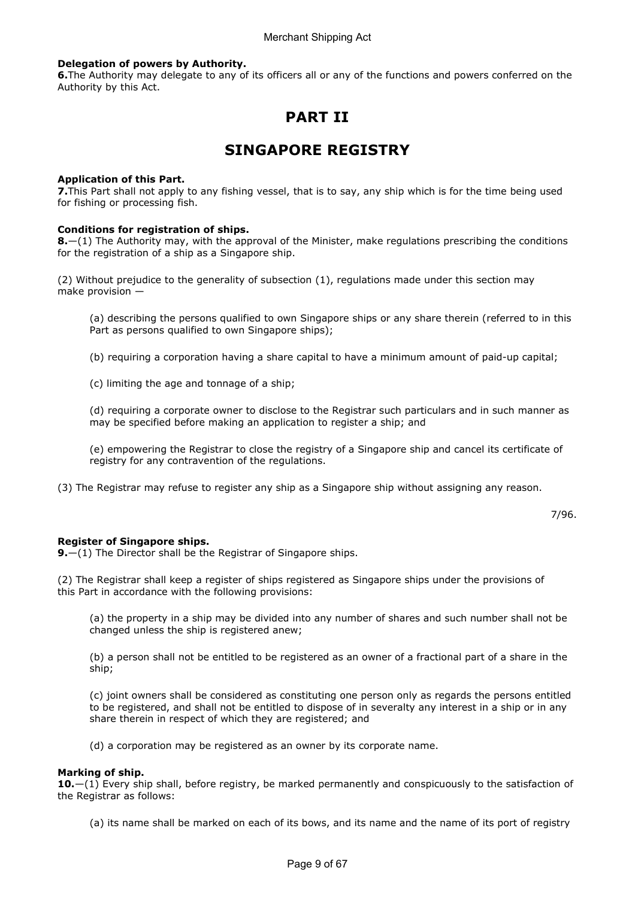## Delegation of powers by Authority.

**6.** The Authority may delegate to any of its officers all or any of the functions and powers conferred on the Authority by this Act.

# PART II

# SINGAPORE REGISTRY

#### Application of this Part.

7.This Part shall not apply to any fishing vessel, that is to say, any ship which is for the time being used for fishing or processing fish.

#### Conditions for registration of ships.

**8.**—(1) The Authority may, with the approval of the Minister, make regulations prescribing the conditions for the registration of a ship as a Singapore ship.

(2) Without prejudice to the generality of subsection (1), regulations made under this section may make provision —

(a) describing the persons qualified to own Singapore ships or any share therein (referred to in this Part as persons qualified to own Singapore ships);

(b) requiring a corporation having a share capital to have a minimum amount of paid-up capital;

(c) limiting the age and tonnage of a ship;

(d) requiring a corporate owner to disclose to the Registrar such particulars and in such manner as may be specified before making an application to register a ship; and

(e) empowering the Registrar to close the registry of a Singapore ship and cancel its certificate of registry for any contravention of the regulations.

(3) The Registrar may refuse to register any ship as a Singapore ship without assigning any reason.

7/96.

## Register of Singapore ships.

**9.** $-(1)$  The Director shall be the Registrar of Singapore ships.

(2) The Registrar shall keep a register of ships registered as Singapore ships under the provisions of this Part in accordance with the following provisions:

(a) the property in a ship may be divided into any number of shares and such number shall not be changed unless the ship is registered anew;

(b) a person shall not be entitled to be registered as an owner of a fractional part of a share in the ship;

(c) joint owners shall be considered as constituting one person only as regards the persons entitled to be registered, and shall not be entitled to dispose of in severalty any interest in a ship or in any share therein in respect of which they are registered; and

(d) a corporation may be registered as an owner by its corporate name.

#### Marking of ship.

 $10-(1)$  Every ship shall, before registry, be marked permanently and conspicuously to the satisfaction of the Registrar as follows:

(a) its name shall be marked on each of its bows, and its name and the name of its port of registry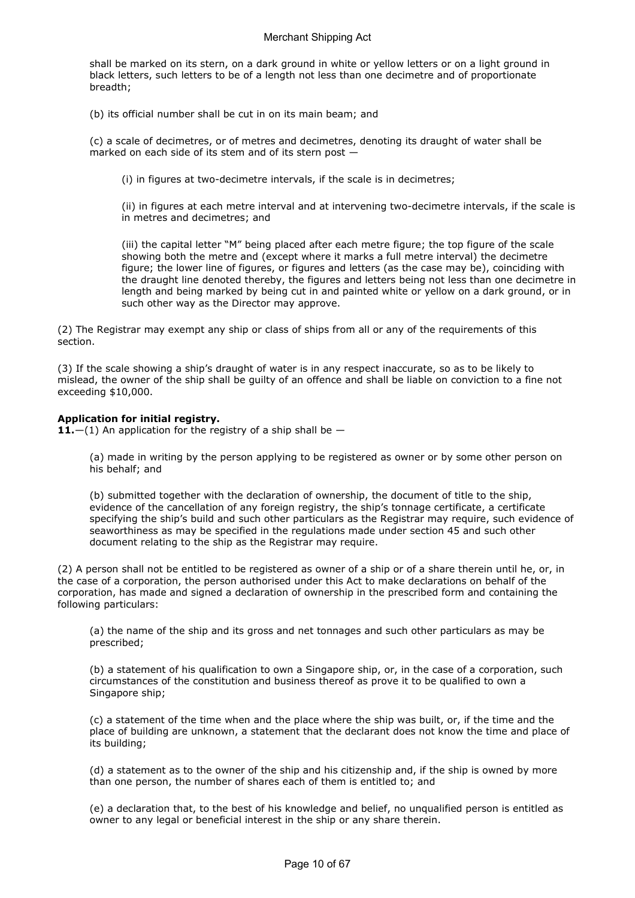shall be marked on its stern, on a dark ground in white or yellow letters or on a light ground in black letters, such letters to be of a length not less than one decimetre and of proportionate breadth;

(b) its official number shall be cut in on its main beam; and

(c) a scale of decimetres, or of metres and decimetres, denoting its draught of water shall be marked on each side of its stem and of its stern post —

(i) in figures at two-decimetre intervals, if the scale is in decimetres;

(ii) in figures at each metre interval and at intervening two-decimetre intervals, if the scale is in metres and decimetres; and

(iii) the capital letter "M" being placed after each metre figure; the top figure of the scale showing both the metre and (except where it marks a full metre interval) the decimetre figure; the lower line of figures, or figures and letters (as the case may be), coinciding with the draught line denoted thereby, the figures and letters being not less than one decimetre in length and being marked by being cut in and painted white or yellow on a dark ground, or in such other way as the Director may approve.

(2) The Registrar may exempt any ship or class of ships from all or any of the requirements of this section.

(3) If the scale showing a ship's draught of water is in any respect inaccurate, so as to be likely to mislead, the owner of the ship shall be guilty of an offence and shall be liable on conviction to a fine not exceeding \$10,000.

## Application for initial registry.

**11.**—(1) An application for the registry of a ship shall be  $-$ 

(a) made in writing by the person applying to be registered as owner or by some other person on his behalf; and

(b) submitted together with the declaration of ownership, the document of title to the ship, evidence of the cancellation of any foreign registry, the ship's tonnage certificate, a certificate specifying the ship's build and such other particulars as the Registrar may require, such evidence of seaworthiness as may be specified in the regulations made under section 45 and such other document relating to the ship as the Registrar may require.

(2) A person shall not be entitled to be registered as owner of a ship or of a share therein until he, or, in the case of a corporation, the person authorised under this Act to make declarations on behalf of the corporation, has made and signed a declaration of ownership in the prescribed form and containing the following particulars:

(a) the name of the ship and its gross and net tonnages and such other particulars as may be prescribed;

(b) a statement of his qualification to own a Singapore ship, or, in the case of a corporation, such circumstances of the constitution and business thereof as prove it to be qualified to own a Singapore ship;

(c) a statement of the time when and the place where the ship was built, or, if the time and the place of building are unknown, a statement that the declarant does not know the time and place of its building;

(d) a statement as to the owner of the ship and his citizenship and, if the ship is owned by more than one person, the number of shares each of them is entitled to; and

(e) a declaration that, to the best of his knowledge and belief, no unqualified person is entitled as owner to any legal or beneficial interest in the ship or any share therein.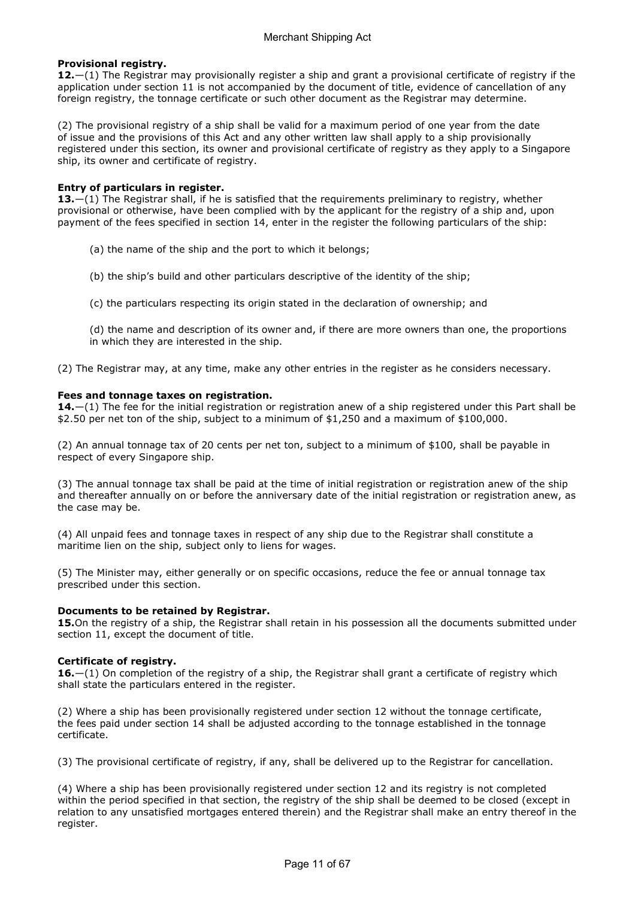## Provisional registry.

12.—(1) The Registrar may provisionally register a ship and grant a provisional certificate of registry if the application under section 11 is not accompanied by the document of title, evidence of cancellation of any foreign registry, the tonnage certificate or such other document as the Registrar may determine.

(2) The provisional registry of a ship shall be valid for a maximum period of one year from the date of issue and the provisions of this Act and any other written law shall apply to a ship provisionally registered under this section, its owner and provisional certificate of registry as they apply to a Singapore ship, its owner and certificate of registry.

#### Entry of particulars in register.

13.—(1) The Registrar shall, if he is satisfied that the requirements preliminary to registry, whether provisional or otherwise, have been complied with by the applicant for the registry of a ship and, upon payment of the fees specified in section 14, enter in the register the following particulars of the ship:

- (a) the name of the ship and the port to which it belongs;
- (b) the ship's build and other particulars descriptive of the identity of the ship;
- (c) the particulars respecting its origin stated in the declaration of ownership; and
- (d) the name and description of its owner and, if there are more owners than one, the proportions in which they are interested in the ship.
- (2) The Registrar may, at any time, make any other entries in the register as he considers necessary.

#### Fees and tonnage taxes on registration.

14.—(1) The fee for the initial registration or registration anew of a ship registered under this Part shall be \$2.50 per net ton of the ship, subject to a minimum of \$1,250 and a maximum of \$100,000.

(2) An annual tonnage tax of 20 cents per net ton, subject to a minimum of \$100, shall be payable in respect of every Singapore ship.

(3) The annual tonnage tax shall be paid at the time of initial registration or registration anew of the ship and thereafter annually on or before the anniversary date of the initial registration or registration anew, as the case may be.

(4) All unpaid fees and tonnage taxes in respect of any ship due to the Registrar shall constitute a maritime lien on the ship, subject only to liens for wages.

(5) The Minister may, either generally or on specific occasions, reduce the fee or annual tonnage tax prescribed under this section.

#### Documents to be retained by Registrar.

15.On the registry of a ship, the Registrar shall retain in his possession all the documents submitted under section 11, except the document of title.

## Certificate of registry.

16.—(1) On completion of the registry of a ship, the Registrar shall grant a certificate of registry which shall state the particulars entered in the register.

(2) Where a ship has been provisionally registered under section 12 without the tonnage certificate, the fees paid under section 14 shall be adjusted according to the tonnage established in the tonnage certificate.

(3) The provisional certificate of registry, if any, shall be delivered up to the Registrar for cancellation.

(4) Where a ship has been provisionally registered under section 12 and its registry is not completed within the period specified in that section, the registry of the ship shall be deemed to be closed (except in relation to any unsatisfied mortgages entered therein) and the Registrar shall make an entry thereof in the register.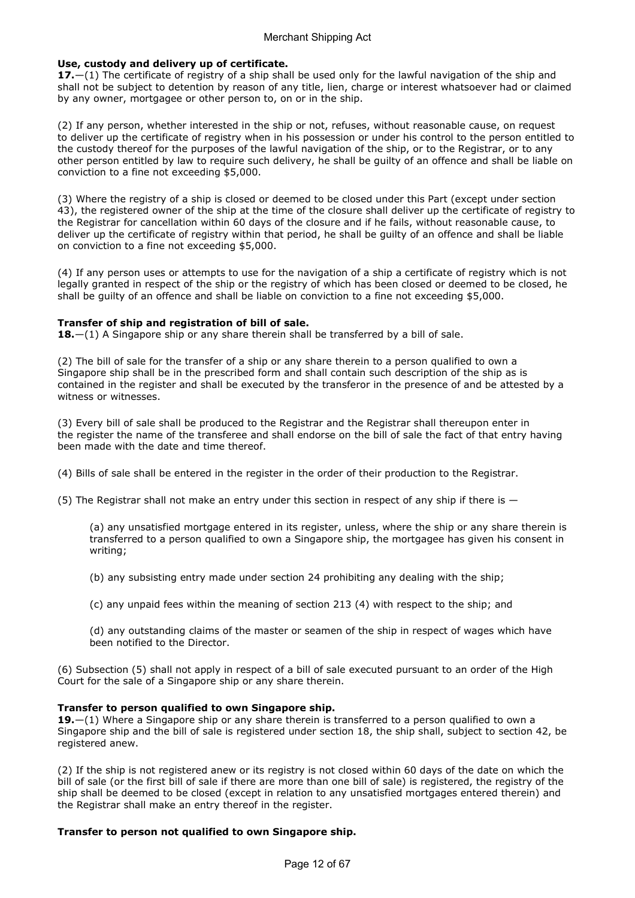## Use, custody and delivery up of certificate.

17.—(1) The certificate of registry of a ship shall be used only for the lawful navigation of the ship and shall not be subject to detention by reason of any title, lien, charge or interest whatsoever had or claimed by any owner, mortgagee or other person to, on or in the ship.

(2) If any person, whether interested in the ship or not, refuses, without reasonable cause, on request to deliver up the certificate of registry when in his possession or under his control to the person entitled to the custody thereof for the purposes of the lawful navigation of the ship, or to the Registrar, or to any other person entitled by law to require such delivery, he shall be guilty of an offence and shall be liable on conviction to a fine not exceeding \$5,000.

(3) Where the registry of a ship is closed or deemed to be closed under this Part (except under section 43), the registered owner of the ship at the time of the closure shall deliver up the certificate of registry to the Registrar for cancellation within 60 days of the closure and if he fails, without reasonable cause, to deliver up the certificate of registry within that period, he shall be guilty of an offence and shall be liable on conviction to a fine not exceeding \$5,000.

(4) If any person uses or attempts to use for the navigation of a ship a certificate of registry which is not legally granted in respect of the ship or the registry of which has been closed or deemed to be closed, he shall be guilty of an offence and shall be liable on conviction to a fine not exceeding \$5,000.

## Transfer of ship and registration of bill of sale.

**18.**—(1) A Singapore ship or any share therein shall be transferred by a bill of sale.

(2) The bill of sale for the transfer of a ship or any share therein to a person qualified to own a Singapore ship shall be in the prescribed form and shall contain such description of the ship as is contained in the register and shall be executed by the transferor in the presence of and be attested by a witness or witnesses.

(3) Every bill of sale shall be produced to the Registrar and the Registrar shall thereupon enter in the register the name of the transferee and shall endorse on the bill of sale the fact of that entry having been made with the date and time thereof.

(4) Bills of sale shall be entered in the register in the order of their production to the Registrar.

(5) The Registrar shall not make an entry under this section in respect of any ship if there is  $-$ 

(a) any unsatisfied mortgage entered in its register, unless, where the ship or any share therein is transferred to a person qualified to own a Singapore ship, the mortgagee has given his consent in writing;

- (b) any subsisting entry made under section 24 prohibiting any dealing with the ship;
- (c) any unpaid fees within the meaning of section 213 (4) with respect to the ship; and

(d) any outstanding claims of the master or seamen of the ship in respect of wages which have been notified to the Director.

(6) Subsection (5) shall not apply in respect of a bill of sale executed pursuant to an order of the High Court for the sale of a Singapore ship or any share therein.

#### Transfer to person qualified to own Singapore ship.

19. $-(1)$  Where a Singapore ship or any share therein is transferred to a person qualified to own a Singapore ship and the bill of sale is registered under section 18, the ship shall, subject to section 42, be registered anew.

(2) If the ship is not registered anew or its registry is not closed within 60 days of the date on which the bill of sale (or the first bill of sale if there are more than one bill of sale) is registered, the registry of the ship shall be deemed to be closed (except in relation to any unsatisfied mortgages entered therein) and the Registrar shall make an entry thereof in the register.

## Transfer to person not qualified to own Singapore ship.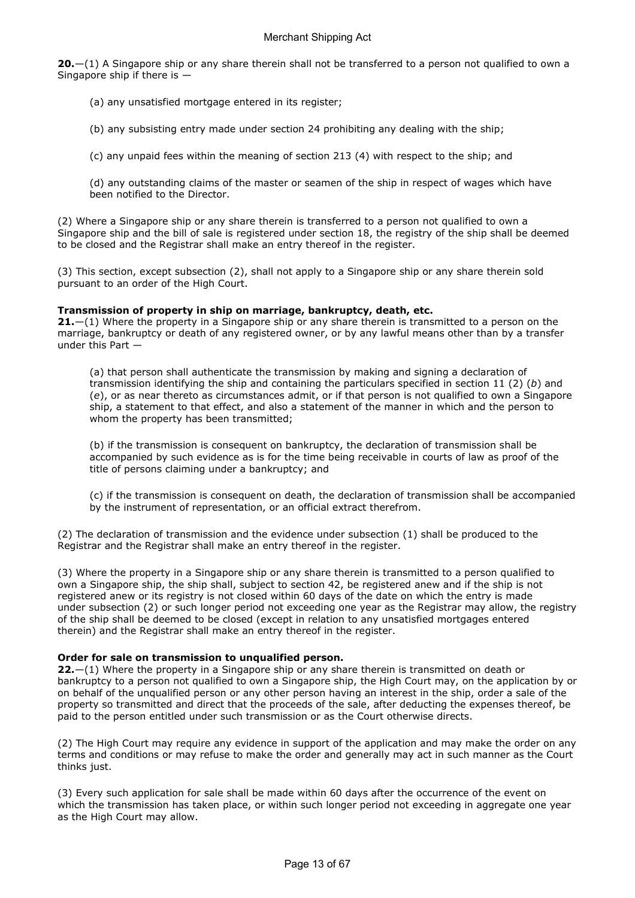$20-(1)$  A Singapore ship or any share therein shall not be transferred to a person not qualified to own a Singapore ship if there is —

- (a) any unsatisfied mortgage entered in its register;
- (b) any subsisting entry made under section 24 prohibiting any dealing with the ship;

(c) any unpaid fees within the meaning of section 213 (4) with respect to the ship; and

(d) any outstanding claims of the master or seamen of the ship in respect of wages which have been notified to the Director.

(2) Where a Singapore ship or any share therein is transferred to a person not qualified to own a Singapore ship and the bill of sale is registered under section 18, the registry of the ship shall be deemed to be closed and the Registrar shall make an entry thereof in the register.

(3) This section, except subsection (2), shall not apply to a Singapore ship or any share therein sold pursuant to an order of the High Court.

#### Transmission of property in ship on marriage, bankruptcy, death, etc.

21.—(1) Where the property in a Singapore ship or any share therein is transmitted to a person on the marriage, bankruptcy or death of any registered owner, or by any lawful means other than by a transfer under this Part —

(a) that person shall authenticate the transmission by making and signing a declaration of transmission identifying the ship and containing the particulars specified in section 11 (2) (b) and (e), or as near thereto as circumstances admit, or if that person is not qualified to own a Singapore ship, a statement to that effect, and also a statement of the manner in which and the person to whom the property has been transmitted;

(b) if the transmission is consequent on bankruptcy, the declaration of transmission shall be accompanied by such evidence as is for the time being receivable in courts of law as proof of the title of persons claiming under a bankruptcy; and

(c) if the transmission is consequent on death, the declaration of transmission shall be accompanied by the instrument of representation, or an official extract therefrom.

(2) The declaration of transmission and the evidence under subsection (1) shall be produced to the Registrar and the Registrar shall make an entry thereof in the register.

(3) Where the property in a Singapore ship or any share therein is transmitted to a person qualified to own a Singapore ship, the ship shall, subject to section 42, be registered anew and if the ship is not registered anew or its registry is not closed within 60 days of the date on which the entry is made under subsection (2) or such longer period not exceeding one year as the Registrar may allow, the registry of the ship shall be deemed to be closed (except in relation to any unsatisfied mortgages entered therein) and the Registrar shall make an entry thereof in the register.

## Order for sale on transmission to unqualified person.

 $22.-(1)$  Where the property in a Singapore ship or any share therein is transmitted on death or bankruptcy to a person not qualified to own a Singapore ship, the High Court may, on the application by or on behalf of the unqualified person or any other person having an interest in the ship, order a sale of the property so transmitted and direct that the proceeds of the sale, after deducting the expenses thereof, be paid to the person entitled under such transmission or as the Court otherwise directs.

(2) The High Court may require any evidence in support of the application and may make the order on any terms and conditions or may refuse to make the order and generally may act in such manner as the Court thinks just.

(3) Every such application for sale shall be made within 60 days after the occurrence of the event on which the transmission has taken place, or within such longer period not exceeding in aggregate one year as the High Court may allow.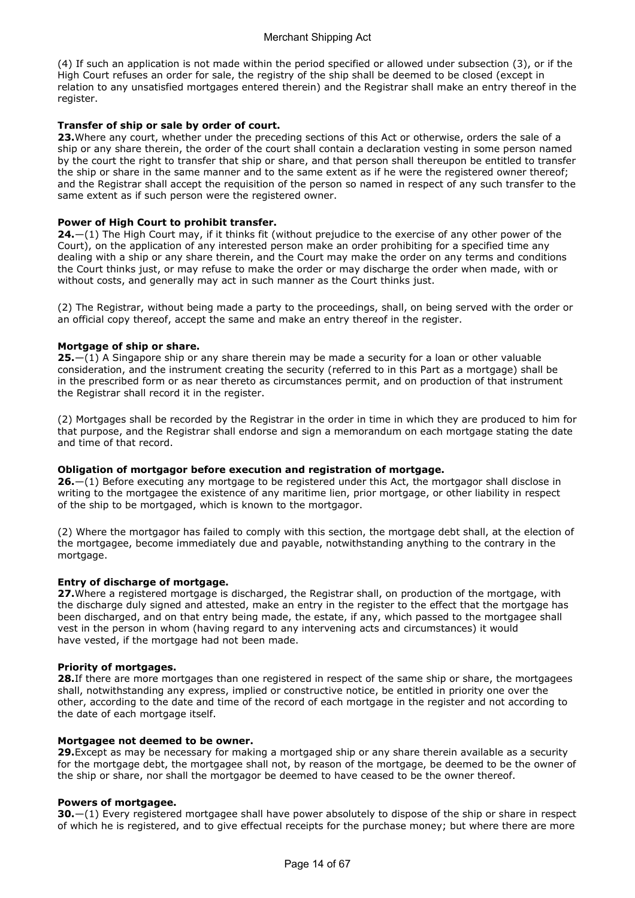(4) If such an application is not made within the period specified or allowed under subsection (3), or if the High Court refuses an order for sale, the registry of the ship shall be deemed to be closed (except in relation to any unsatisfied mortgages entered therein) and the Registrar shall make an entry thereof in the register.

## Transfer of ship or sale by order of court.

23. Where any court, whether under the preceding sections of this Act or otherwise, orders the sale of a ship or any share therein, the order of the court shall contain a declaration vesting in some person named by the court the right to transfer that ship or share, and that person shall thereupon be entitled to transfer the ship or share in the same manner and to the same extent as if he were the registered owner thereof; and the Registrar shall accept the requisition of the person so named in respect of any such transfer to the same extent as if such person were the registered owner.

## Power of High Court to prohibit transfer.

24.—(1) The High Court may, if it thinks fit (without prejudice to the exercise of any other power of the Court), on the application of any interested person make an order prohibiting for a specified time any dealing with a ship or any share therein, and the Court may make the order on any terms and conditions the Court thinks just, or may refuse to make the order or may discharge the order when made, with or without costs, and generally may act in such manner as the Court thinks just.

(2) The Registrar, without being made a party to the proceedings, shall, on being served with the order or an official copy thereof, accept the same and make an entry thereof in the register.

## Mortgage of ship or share.

 $25-(1)$  A Singapore ship or any share therein may be made a security for a loan or other valuable consideration, and the instrument creating the security (referred to in this Part as a mortgage) shall be in the prescribed form or as near thereto as circumstances permit, and on production of that instrument the Registrar shall record it in the register.

(2) Mortgages shall be recorded by the Registrar in the order in time in which they are produced to him for that purpose, and the Registrar shall endorse and sign a memorandum on each mortgage stating the date and time of that record.

## Obligation of mortgagor before execution and registration of mortgage.

26.—(1) Before executing any mortgage to be registered under this Act, the mortgagor shall disclose in writing to the mortgagee the existence of any maritime lien, prior mortgage, or other liability in respect of the ship to be mortgaged, which is known to the mortgagor.

(2) Where the mortgagor has failed to comply with this section, the mortgage debt shall, at the election of the mortgagee, become immediately due and payable, notwithstanding anything to the contrary in the mortgage.

## Entry of discharge of mortgage.

27. Where a registered mortgage is discharged, the Registrar shall, on production of the mortgage, with the discharge duly signed and attested, make an entry in the register to the effect that the mortgage has been discharged, and on that entry being made, the estate, if any, which passed to the mortgagee shall vest in the person in whom (having regard to any intervening acts and circumstances) it would have vested, if the mortgage had not been made.

## Priority of mortgages.

28.If there are more mortgages than one registered in respect of the same ship or share, the mortgagees shall, notwithstanding any express, implied or constructive notice, be entitled in priority one over the other, according to the date and time of the record of each mortgage in the register and not according to the date of each mortgage itself.

## Mortgagee not deemed to be owner.

29. Except as may be necessary for making a mortgaged ship or any share therein available as a security for the mortgage debt, the mortgagee shall not, by reason of the mortgage, be deemed to be the owner of the ship or share, nor shall the mortgagor be deemed to have ceased to be the owner thereof.

## Powers of mortgagee.

 $30$ , $-$ (1) Every registered mortgagee shall have power absolutely to dispose of the ship or share in respect of which he is registered, and to give effectual receipts for the purchase money; but where there are more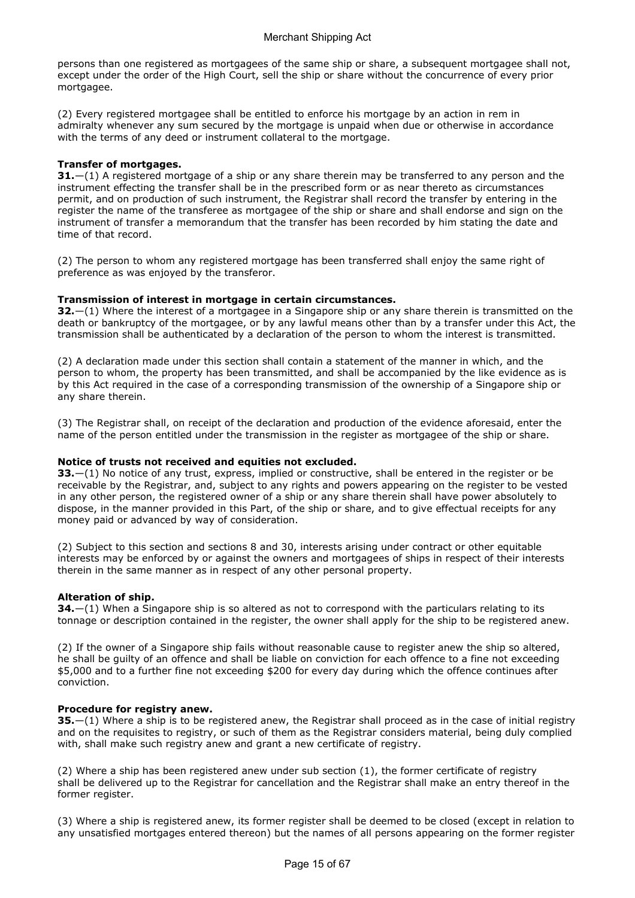persons than one registered as mortgagees of the same ship or share, a subsequent mortgagee shall not, except under the order of the High Court, sell the ship or share without the concurrence of every prior mortgagee.

(2) Every registered mortgagee shall be entitled to enforce his mortgage by an action in rem in admiralty whenever any sum secured by the mortgage is unpaid when due or otherwise in accordance with the terms of any deed or instrument collateral to the mortgage.

## Transfer of mortgages.

 $31.$  -(1) A registered mortgage of a ship or any share therein may be transferred to any person and the instrument effecting the transfer shall be in the prescribed form or as near thereto as circumstances permit, and on production of such instrument, the Registrar shall record the transfer by entering in the register the name of the transferee as mortgagee of the ship or share and shall endorse and sign on the instrument of transfer a memorandum that the transfer has been recorded by him stating the date and time of that record.

(2) The person to whom any registered mortgage has been transferred shall enjoy the same right of preference as was enjoyed by the transferor.

## Transmission of interest in mortgage in certain circumstances.

 $32-$ (1) Where the interest of a mortgagee in a Singapore ship or any share therein is transmitted on the death or bankruptcy of the mortgagee, or by any lawful means other than by a transfer under this Act, the transmission shall be authenticated by a declaration of the person to whom the interest is transmitted.

(2) A declaration made under this section shall contain a statement of the manner in which, and the person to whom, the property has been transmitted, and shall be accompanied by the like evidence as is by this Act required in the case of a corresponding transmission of the ownership of a Singapore ship or any share therein.

(3) The Registrar shall, on receipt of the declaration and production of the evidence aforesaid, enter the name of the person entitled under the transmission in the register as mortgagee of the ship or share.

## Notice of trusts not received and equities not excluded.

33.—(1) No notice of any trust, express, implied or constructive, shall be entered in the register or be receivable by the Registrar, and, subject to any rights and powers appearing on the register to be vested in any other person, the registered owner of a ship or any share therein shall have power absolutely to dispose, in the manner provided in this Part, of the ship or share, and to give effectual receipts for any money paid or advanced by way of consideration.

(2) Subject to this section and sections 8 and 30, interests arising under contract or other equitable interests may be enforced by or against the owners and mortgagees of ships in respect of their interests therein in the same manner as in respect of any other personal property.

## Alteration of ship.

34. - (1) When a Singapore ship is so altered as not to correspond with the particulars relating to its tonnage or description contained in the register, the owner shall apply for the ship to be registered anew.

(2) If the owner of a Singapore ship fails without reasonable cause to register anew the ship so altered, he shall be guilty of an offence and shall be liable on conviction for each offence to a fine not exceeding \$5,000 and to a further fine not exceeding \$200 for every day during which the offence continues after conviction.

## Procedure for registry anew.

35.—(1) Where a ship is to be registered anew, the Registrar shall proceed as in the case of initial registry and on the requisites to registry, or such of them as the Registrar considers material, being duly complied with, shall make such registry anew and grant a new certificate of registry.

(2) Where a ship has been registered anew under sub section (1), the former certificate of registry shall be delivered up to the Registrar for cancellation and the Registrar shall make an entry thereof in the former register.

(3) Where a ship is registered anew, its former register shall be deemed to be closed (except in relation to any unsatisfied mortgages entered thereon) but the names of all persons appearing on the former register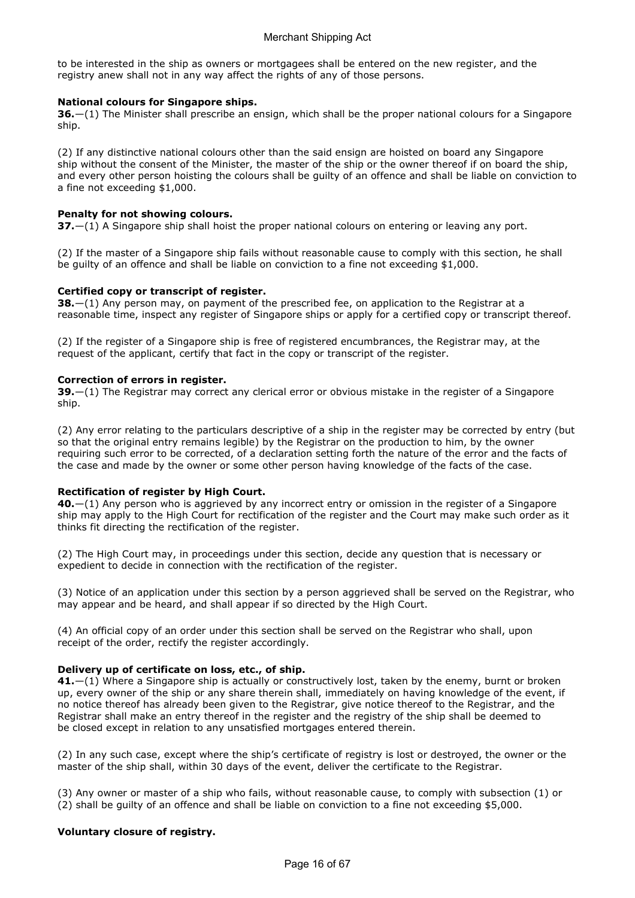to be interested in the ship as owners or mortgagees shall be entered on the new register, and the registry anew shall not in any way affect the rights of any of those persons.

## National colours for Singapore ships.

36.—(1) The Minister shall prescribe an ensign, which shall be the proper national colours for a Singapore ship.

(2) If any distinctive national colours other than the said ensign are hoisted on board any Singapore ship without the consent of the Minister, the master of the ship or the owner thereof if on board the ship, and every other person hoisting the colours shall be guilty of an offence and shall be liable on conviction to a fine not exceeding \$1,000.

## Penalty for not showing colours.

 $37.$   $-$ (1) A Singapore ship shall hoist the proper national colours on entering or leaving any port.

(2) If the master of a Singapore ship fails without reasonable cause to comply with this section, he shall be guilty of an offence and shall be liable on conviction to a fine not exceeding \$1,000.

## Certified copy or transcript of register.

38. - (1) Any person may, on payment of the prescribed fee, on application to the Registrar at a reasonable time, inspect any register of Singapore ships or apply for a certified copy or transcript thereof.

(2) If the register of a Singapore ship is free of registered encumbrances, the Registrar may, at the request of the applicant, certify that fact in the copy or transcript of the register.

## Correction of errors in register.

 $39.$ —(1) The Registrar may correct any clerical error or obvious mistake in the register of a Singapore ship.

(2) Any error relating to the particulars descriptive of a ship in the register may be corrected by entry (but so that the original entry remains legible) by the Registrar on the production to him, by the owner requiring such error to be corrected, of a declaration setting forth the nature of the error and the facts of the case and made by the owner or some other person having knowledge of the facts of the case.

## Rectification of register by High Court.

40.—(1) Any person who is aggrieved by any incorrect entry or omission in the register of a Singapore ship may apply to the High Court for rectification of the register and the Court may make such order as it thinks fit directing the rectification of the register.

(2) The High Court may, in proceedings under this section, decide any question that is necessary or expedient to decide in connection with the rectification of the register.

(3) Notice of an application under this section by a person aggrieved shall be served on the Registrar, who may appear and be heard, and shall appear if so directed by the High Court.

(4) An official copy of an order under this section shall be served on the Registrar who shall, upon receipt of the order, rectify the register accordingly.

## Delivery up of certificate on loss, etc., of ship.

41.—(1) Where a Singapore ship is actually or constructively lost, taken by the enemy, burnt or broken up, every owner of the ship or any share therein shall, immediately on having knowledge of the event, if no notice thereof has already been given to the Registrar, give notice thereof to the Registrar, and the Registrar shall make an entry thereof in the register and the registry of the ship shall be deemed to be closed except in relation to any unsatisfied mortgages entered therein.

(2) In any such case, except where the ship's certificate of registry is lost or destroyed, the owner or the master of the ship shall, within 30 days of the event, deliver the certificate to the Registrar.

(3) Any owner or master of a ship who fails, without reasonable cause, to comply with subsection (1) or (2) shall be guilty of an offence and shall be liable on conviction to a fine not exceeding \$5,000.

## Voluntary closure of registry.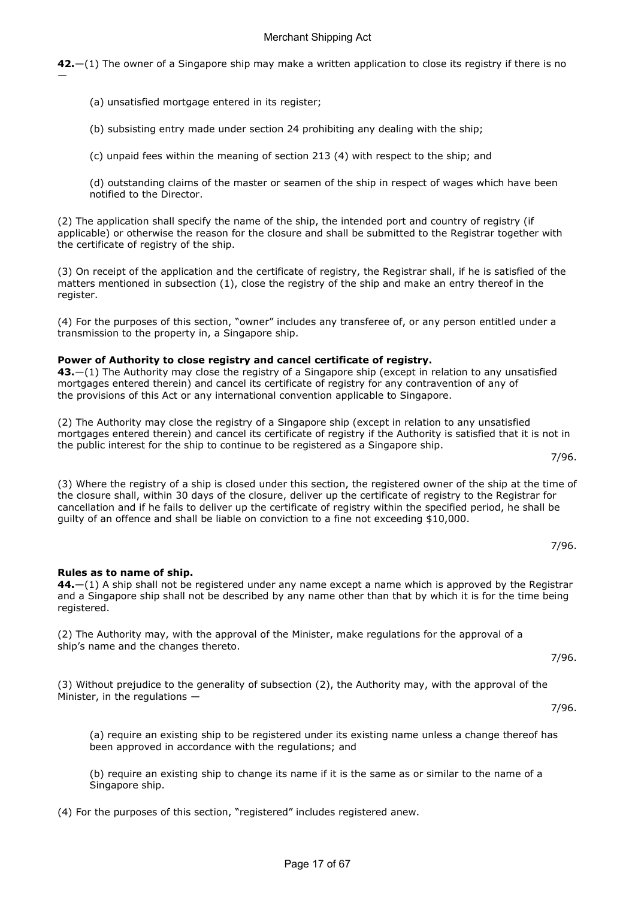42.—(1) The owner of a Singapore ship may make a written application to close its registry if there is no

(a) unsatisfied mortgage entered in its register;

—

(b) subsisting entry made under section 24 prohibiting any dealing with the ship;

(c) unpaid fees within the meaning of section 213 (4) with respect to the ship; and

(d) outstanding claims of the master or seamen of the ship in respect of wages which have been notified to the Director.

(2) The application shall specify the name of the ship, the intended port and country of registry (if applicable) or otherwise the reason for the closure and shall be submitted to the Registrar together with the certificate of registry of the ship.

(3) On receipt of the application and the certificate of registry, the Registrar shall, if he is satisfied of the matters mentioned in subsection (1), close the registry of the ship and make an entry thereof in the register.

(4) For the purposes of this section, "owner" includes any transferee of, or any person entitled under a transmission to the property in, a Singapore ship.

#### Power of Authority to close registry and cancel certificate of registry.

43.—(1) The Authority may close the registry of a Singapore ship (except in relation to any unsatisfied mortgages entered therein) and cancel its certificate of registry for any contravention of any of the provisions of this Act or any international convention applicable to Singapore.

(2) The Authority may close the registry of a Singapore ship (except in relation to any unsatisfied mortgages entered therein) and cancel its certificate of registry if the Authority is satisfied that it is not in the public interest for the ship to continue to be registered as a Singapore ship.

(3) Where the registry of a ship is closed under this section, the registered owner of the ship at the time of the closure shall, within 30 days of the closure, deliver up the certificate of registry to the Registrar for cancellation and if he fails to deliver up the certificate of registry within the specified period, he shall be guilty of an offence and shall be liable on conviction to a fine not exceeding \$10,000.

Rules as to name of ship.

44.—(1) A ship shall not be registered under any name except a name which is approved by the Registrar and a Singapore ship shall not be described by any name other than that by which it is for the time being registered.

(2) The Authority may, with the approval of the Minister, make regulations for the approval of a ship's name and the changes thereto.

7/96.

7/96.

7/96.

(3) Without prejudice to the generality of subsection (2), the Authority may, with the approval of the Minister, in the regulations —

7/96.

(a) require an existing ship to be registered under its existing name unless a change thereof has been approved in accordance with the regulations; and

(b) require an existing ship to change its name if it is the same as or similar to the name of a Singapore ship.

(4) For the purposes of this section, "registered" includes registered anew.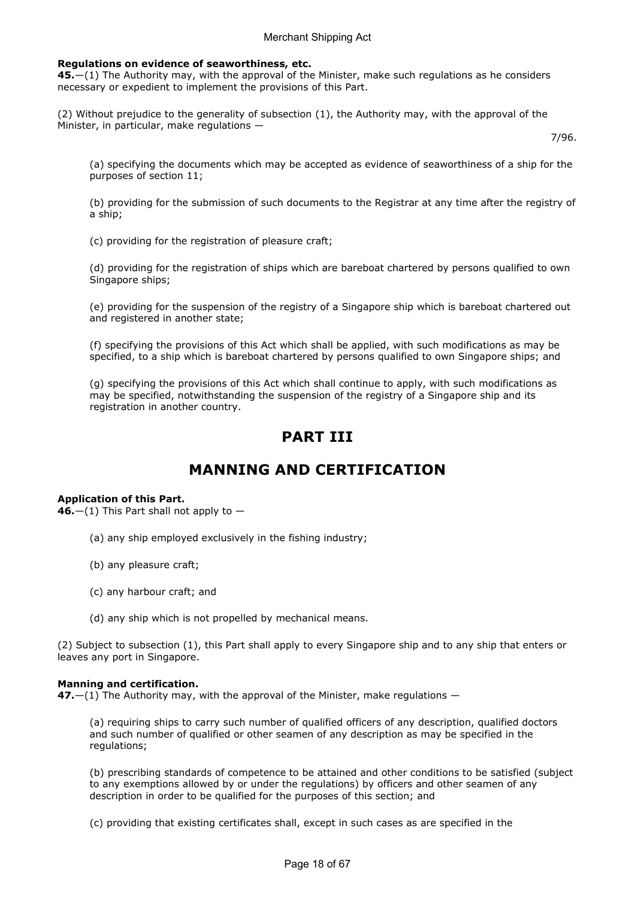## Regulations on evidence of seaworthiness, etc.

45.—(1) The Authority may, with the approval of the Minister, make such regulations as he considers necessary or expedient to implement the provisions of this Part.

(2) Without prejudice to the generality of subsection (1), the Authority may, with the approval of the Minister, in particular, make regulations —

7/96.

(a) specifying the documents which may be accepted as evidence of seaworthiness of a ship for the purposes of section 11;

(b) providing for the submission of such documents to the Registrar at any time after the registry of a ship;

(c) providing for the registration of pleasure craft;

(d) providing for the registration of ships which are bareboat chartered by persons qualified to own Singapore ships;

(e) providing for the suspension of the registry of a Singapore ship which is bareboat chartered out and registered in another state;

(f) specifying the provisions of this Act which shall be applied, with such modifications as may be specified, to a ship which is bareboat chartered by persons qualified to own Singapore ships; and

(g) specifying the provisions of this Act which shall continue to apply, with such modifications as may be specified, notwithstanding the suspension of the registry of a Singapore ship and its registration in another country.

## PART III

## MANNING AND CERTIFICATION

## Application of this Part.

 $46$ .—(1) This Part shall not apply to —

- (a) any ship employed exclusively in the fishing industry;
- (b) any pleasure craft;
- (c) any harbour craft; and
- (d) any ship which is not propelled by mechanical means.

(2) Subject to subsection (1), this Part shall apply to every Singapore ship and to any ship that enters or leaves any port in Singapore.

#### Manning and certification.

47. $-(1)$  The Authority may, with the approval of the Minister, make regulations  $-$ 

(a) requiring ships to carry such number of qualified officers of any description, qualified doctors and such number of qualified or other seamen of any description as may be specified in the regulations;

(b) prescribing standards of competence to be attained and other conditions to be satisfied (subject to any exemptions allowed by or under the regulations) by officers and other seamen of any description in order to be qualified for the purposes of this section; and

(c) providing that existing certificates shall, except in such cases as are specified in the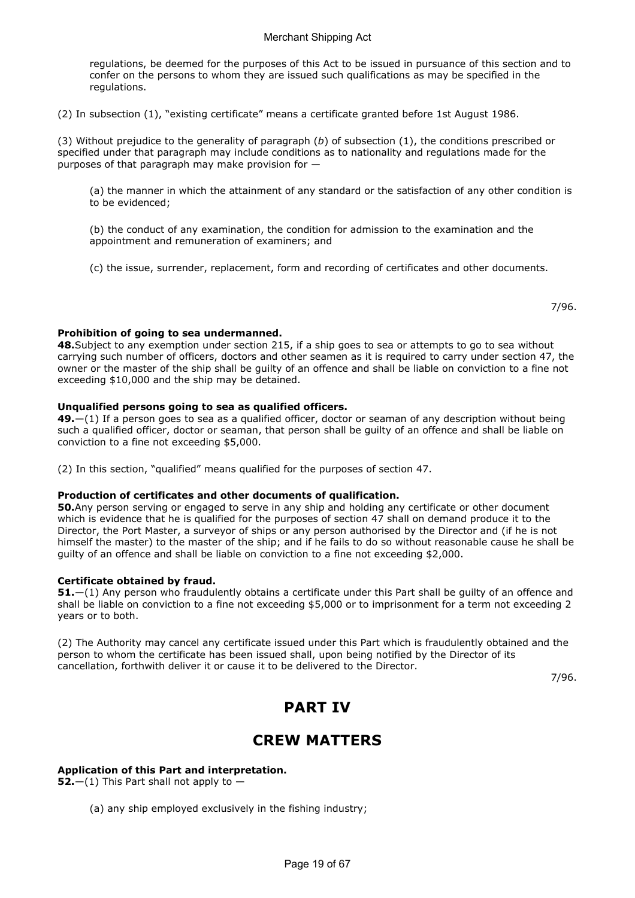regulations, be deemed for the purposes of this Act to be issued in pursuance of this section and to confer on the persons to whom they are issued such qualifications as may be specified in the regulations.

(2) In subsection (1), "existing certificate" means a certificate granted before 1st August 1986.

(3) Without prejudice to the generality of paragraph  $(b)$  of subsection  $(1)$ , the conditions prescribed or specified under that paragraph may include conditions as to nationality and regulations made for the purposes of that paragraph may make provision for —

(a) the manner in which the attainment of any standard or the satisfaction of any other condition is to be evidenced;

(b) the conduct of any examination, the condition for admission to the examination and the appointment and remuneration of examiners; and

(c) the issue, surrender, replacement, form and recording of certificates and other documents.

7/96.

## Prohibition of going to sea undermanned.

48.Subject to any exemption under section 215, if a ship goes to sea or attempts to go to sea without carrying such number of officers, doctors and other seamen as it is required to carry under section 47, the owner or the master of the ship shall be guilty of an offence and shall be liable on conviction to a fine not exceeding \$10,000 and the ship may be detained.

## Unqualified persons going to sea as qualified officers.

49.—(1) If a person goes to sea as a qualified officer, doctor or seaman of any description without being such a qualified officer, doctor or seaman, that person shall be guilty of an offence and shall be liable on conviction to a fine not exceeding \$5,000.

(2) In this section, "qualified" means qualified for the purposes of section 47.

## Production of certificates and other documents of qualification.

50.Any person serving or engaged to serve in any ship and holding any certificate or other document which is evidence that he is qualified for the purposes of section 47 shall on demand produce it to the Director, the Port Master, a surveyor of ships or any person authorised by the Director and (if he is not himself the master) to the master of the ship; and if he fails to do so without reasonable cause he shall be guilty of an offence and shall be liable on conviction to a fine not exceeding \$2,000.

## Certificate obtained by fraud.

51.—(1) Any person who fraudulently obtains a certificate under this Part shall be guilty of an offence and shall be liable on conviction to a fine not exceeding \$5,000 or to imprisonment for a term not exceeding 2 years or to both.

(2) The Authority may cancel any certificate issued under this Part which is fraudulently obtained and the person to whom the certificate has been issued shall, upon being notified by the Director of its cancellation, forthwith deliver it or cause it to be delivered to the Director.

7/96.

## PART IV

## CREW MATTERS

## Application of this Part and interpretation.

52.—(1) This Part shall not apply to  $-$ 

(a) any ship employed exclusively in the fishing industry;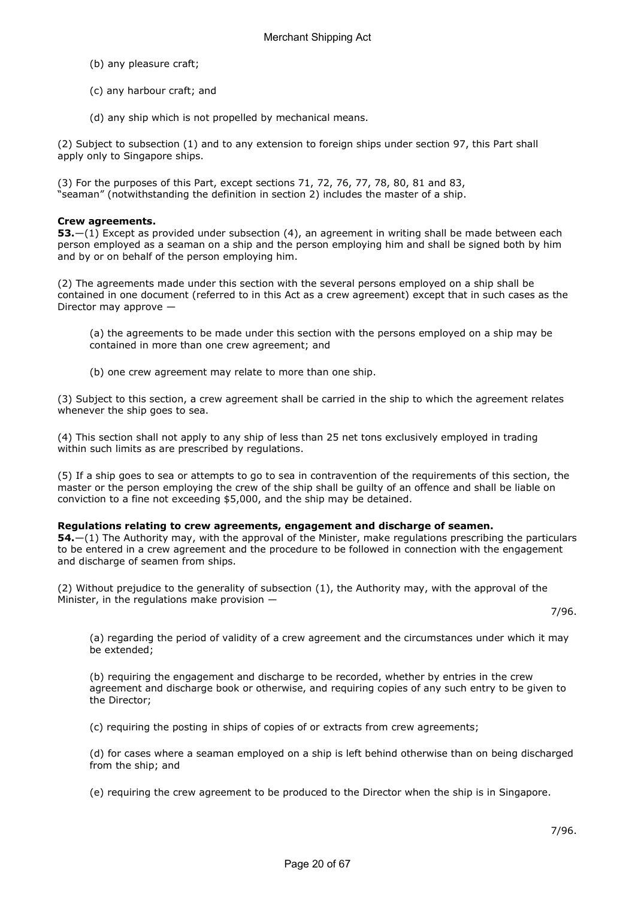- (b) any pleasure craft;
- (c) any harbour craft; and
- (d) any ship which is not propelled by mechanical means.

(2) Subject to subsection (1) and to any extension to foreign ships under section 97, this Part shall apply only to Singapore ships.

(3) For the purposes of this Part, except sections 71, 72, 76, 77, 78, 80, 81 and 83, "seaman" (notwithstanding the definition in section 2) includes the master of a ship.

## Crew agreements.

53.—(1) Except as provided under subsection (4), an agreement in writing shall be made between each person employed as a seaman on a ship and the person employing him and shall be signed both by him and by or on behalf of the person employing him.

(2) The agreements made under this section with the several persons employed on a ship shall be contained in one document (referred to in this Act as a crew agreement) except that in such cases as the Director may approve —

(a) the agreements to be made under this section with the persons employed on a ship may be contained in more than one crew agreement; and

(b) one crew agreement may relate to more than one ship.

(3) Subject to this section, a crew agreement shall be carried in the ship to which the agreement relates whenever the ship goes to sea.

(4) This section shall not apply to any ship of less than 25 net tons exclusively employed in trading within such limits as are prescribed by regulations.

(5) If a ship goes to sea or attempts to go to sea in contravention of the requirements of this section, the master or the person employing the crew of the ship shall be guilty of an offence and shall be liable on conviction to a fine not exceeding \$5,000, and the ship may be detained.

## Regulations relating to crew agreements, engagement and discharge of seamen.

54.—(1) The Authority may, with the approval of the Minister, make regulations prescribing the particulars to be entered in a crew agreement and the procedure to be followed in connection with the engagement and discharge of seamen from ships.

(2) Without prejudice to the generality of subsection (1), the Authority may, with the approval of the Minister, in the regulations make provision —

7/96.

(a) regarding the period of validity of a crew agreement and the circumstances under which it may be extended;

(b) requiring the engagement and discharge to be recorded, whether by entries in the crew agreement and discharge book or otherwise, and requiring copies of any such entry to be given to the Director;

(c) requiring the posting in ships of copies of or extracts from crew agreements;

(d) for cases where a seaman employed on a ship is left behind otherwise than on being discharged from the ship; and

(e) requiring the crew agreement to be produced to the Director when the ship is in Singapore.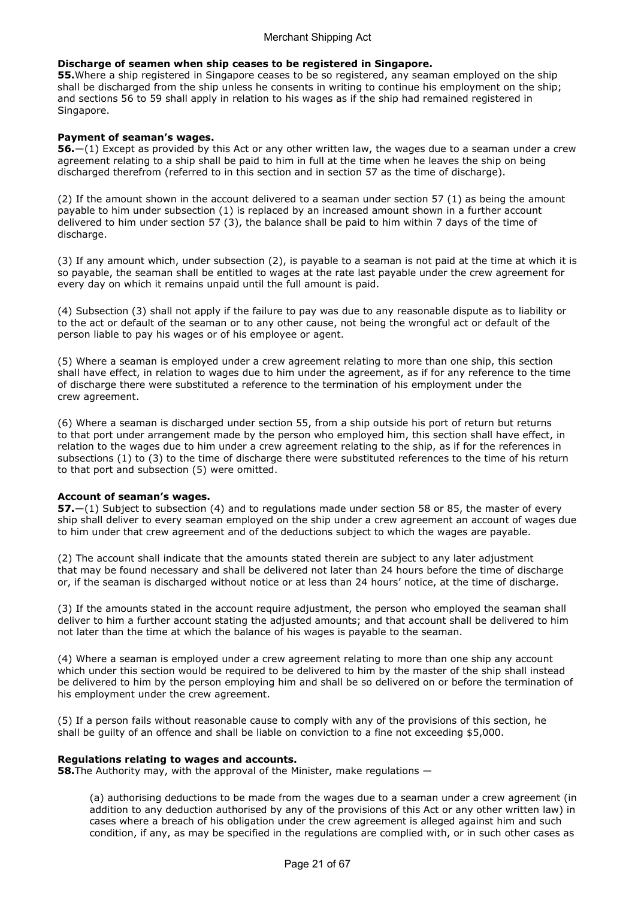## Discharge of seamen when ship ceases to be registered in Singapore.

**55.**Where a ship registered in Singapore ceases to be so registered, any seaman employed on the ship shall be discharged from the ship unless he consents in writing to continue his employment on the ship; and sections 56 to 59 shall apply in relation to his wages as if the ship had remained registered in Singapore.

#### Payment of seaman's wages.

56.—(1) Except as provided by this Act or any other written law, the wages due to a seaman under a crew agreement relating to a ship shall be paid to him in full at the time when he leaves the ship on being discharged therefrom (referred to in this section and in section 57 as the time of discharge).

(2) If the amount shown in the account delivered to a seaman under section 57 (1) as being the amount payable to him under subsection (1) is replaced by an increased amount shown in a further account delivered to him under section 57 (3), the balance shall be paid to him within 7 days of the time of discharge.

(3) If any amount which, under subsection (2), is payable to a seaman is not paid at the time at which it is so payable, the seaman shall be entitled to wages at the rate last payable under the crew agreement for every day on which it remains unpaid until the full amount is paid.

(4) Subsection (3) shall not apply if the failure to pay was due to any reasonable dispute as to liability or to the act or default of the seaman or to any other cause, not being the wrongful act or default of the person liable to pay his wages or of his employee or agent.

(5) Where a seaman is employed under a crew agreement relating to more than one ship, this section shall have effect, in relation to wages due to him under the agreement, as if for any reference to the time of discharge there were substituted a reference to the termination of his employment under the crew agreement.

(6) Where a seaman is discharged under section 55, from a ship outside his port of return but returns to that port under arrangement made by the person who employed him, this section shall have effect, in relation to the wages due to him under a crew agreement relating to the ship, as if for the references in subsections (1) to (3) to the time of discharge there were substituted references to the time of his return to that port and subsection (5) were omitted.

## Account of seaman's wages.

57.—(1) Subject to subsection (4) and to regulations made under section 58 or 85, the master of every ship shall deliver to every seaman employed on the ship under a crew agreement an account of wages due to him under that crew agreement and of the deductions subject to which the wages are payable.

(2) The account shall indicate that the amounts stated therein are subject to any later adjustment that may be found necessary and shall be delivered not later than 24 hours before the time of discharge or, if the seaman is discharged without notice or at less than 24 hours' notice, at the time of discharge.

(3) If the amounts stated in the account require adjustment, the person who employed the seaman shall deliver to him a further account stating the adjusted amounts; and that account shall be delivered to him not later than the time at which the balance of his wages is payable to the seaman.

(4) Where a seaman is employed under a crew agreement relating to more than one ship any account which under this section would be required to be delivered to him by the master of the ship shall instead be delivered to him by the person employing him and shall be so delivered on or before the termination of his employment under the crew agreement.

(5) If a person fails without reasonable cause to comply with any of the provisions of this section, he shall be guilty of an offence and shall be liable on conviction to a fine not exceeding \$5,000.

## Regulations relating to wages and accounts.

**58.**The Authority may, with the approval of the Minister, make regulations —

(a) authorising deductions to be made from the wages due to a seaman under a crew agreement (in addition to any deduction authorised by any of the provisions of this Act or any other written law) in cases where a breach of his obligation under the crew agreement is alleged against him and such condition, if any, as may be specified in the regulations are complied with, or in such other cases as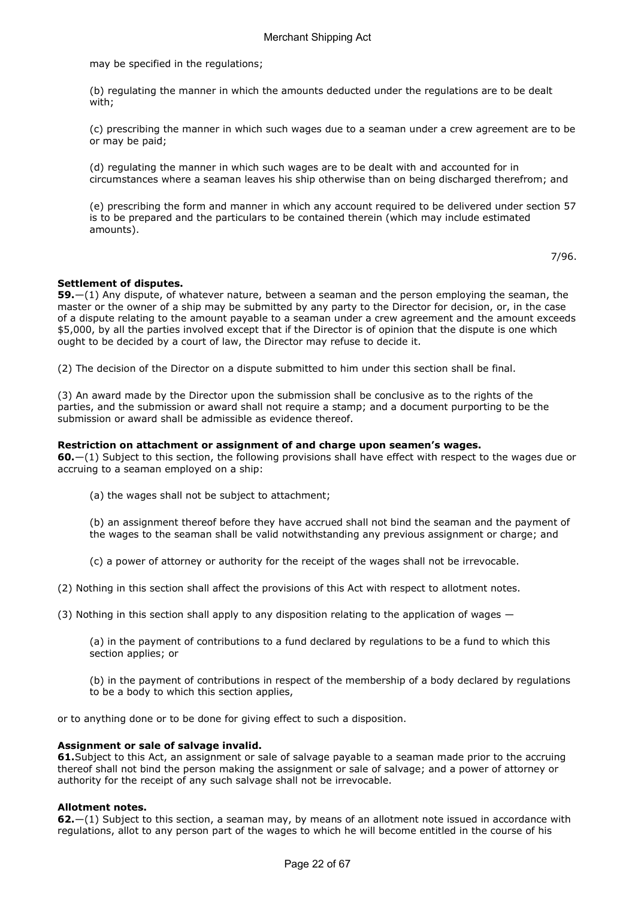may be specified in the regulations;

(b) regulating the manner in which the amounts deducted under the regulations are to be dealt with;

(c) prescribing the manner in which such wages due to a seaman under a crew agreement are to be or may be paid;

(d) regulating the manner in which such wages are to be dealt with and accounted for in circumstances where a seaman leaves his ship otherwise than on being discharged therefrom; and

(e) prescribing the form and manner in which any account required to be delivered under section 57 is to be prepared and the particulars to be contained therein (which may include estimated amounts).

7/96.

#### Settlement of disputes.

59.—(1) Any dispute, of whatever nature, between a seaman and the person employing the seaman, the master or the owner of a ship may be submitted by any party to the Director for decision, or, in the case of a dispute relating to the amount payable to a seaman under a crew agreement and the amount exceeds \$5,000, by all the parties involved except that if the Director is of opinion that the dispute is one which ought to be decided by a court of law, the Director may refuse to decide it.

(2) The decision of the Director on a dispute submitted to him under this section shall be final.

(3) An award made by the Director upon the submission shall be conclusive as to the rights of the parties, and the submission or award shall not require a stamp; and a document purporting to be the submission or award shall be admissible as evidence thereof.

#### Restriction on attachment or assignment of and charge upon seamen's wages.

60.—(1) Subject to this section, the following provisions shall have effect with respect to the wages due or accruing to a seaman employed on a ship:

(a) the wages shall not be subject to attachment;

(b) an assignment thereof before they have accrued shall not bind the seaman and the payment of the wages to the seaman shall be valid notwithstanding any previous assignment or charge; and

(c) a power of attorney or authority for the receipt of the wages shall not be irrevocable.

(2) Nothing in this section shall affect the provisions of this Act with respect to allotment notes.

(3) Nothing in this section shall apply to any disposition relating to the application of wages —

(a) in the payment of contributions to a fund declared by regulations to be a fund to which this section applies; or

(b) in the payment of contributions in respect of the membership of a body declared by regulations to be a body to which this section applies,

or to anything done or to be done for giving effect to such a disposition.

#### Assignment or sale of salvage invalid.

61.Subject to this Act, an assignment or sale of salvage payable to a seaman made prior to the accruing thereof shall not bind the person making the assignment or sale of salvage; and a power of attorney or authority for the receipt of any such salvage shall not be irrevocable.

#### Allotment notes.

62.—(1) Subject to this section, a seaman may, by means of an allotment note issued in accordance with regulations, allot to any person part of the wages to which he will become entitled in the course of his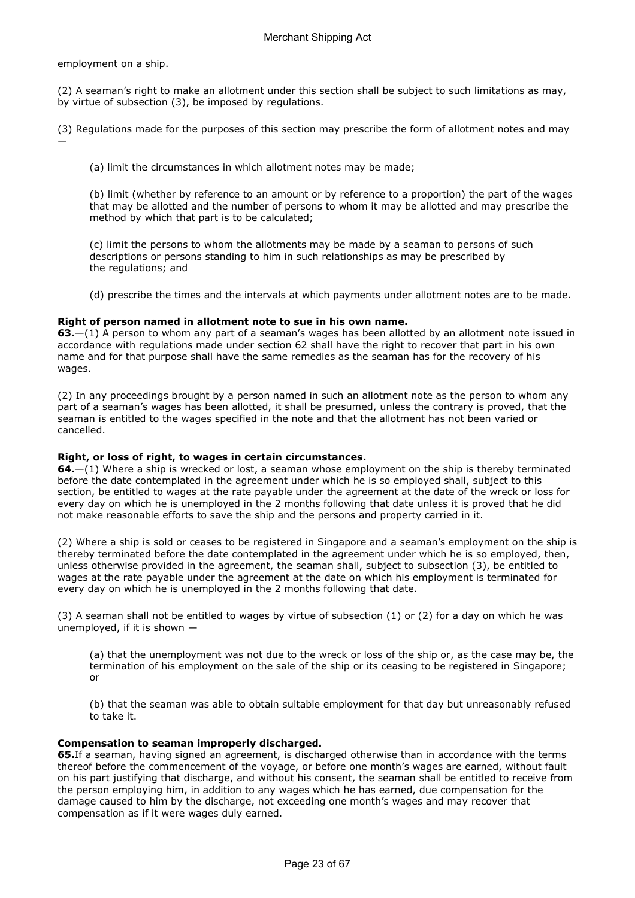employment on a ship.

(2) A seaman's right to make an allotment under this section shall be subject to such limitations as may, by virtue of subsection (3), be imposed by regulations.

(3) Regulations made for the purposes of this section may prescribe the form of allotment notes and may —

(a) limit the circumstances in which allotment notes may be made;

(b) limit (whether by reference to an amount or by reference to a proportion) the part of the wages that may be allotted and the number of persons to whom it may be allotted and may prescribe the method by which that part is to be calculated;

(c) limit the persons to whom the allotments may be made by a seaman to persons of such descriptions or persons standing to him in such relationships as may be prescribed by the regulations; and

(d) prescribe the times and the intervals at which payments under allotment notes are to be made.

#### Right of person named in allotment note to sue in his own name.

63.—(1) A person to whom any part of a seaman's wages has been allotted by an allotment note issued in accordance with regulations made under section 62 shall have the right to recover that part in his own name and for that purpose shall have the same remedies as the seaman has for the recovery of his wages.

(2) In any proceedings brought by a person named in such an allotment note as the person to whom any part of a seaman's wages has been allotted, it shall be presumed, unless the contrary is proved, that the seaman is entitled to the wages specified in the note and that the allotment has not been varied or cancelled.

## Right, or loss of right, to wages in certain circumstances.

 $64-$ (1) Where a ship is wrecked or lost, a seaman whose employment on the ship is thereby terminated before the date contemplated in the agreement under which he is so employed shall, subject to this section, be entitled to wages at the rate payable under the agreement at the date of the wreck or loss for every day on which he is unemployed in the 2 months following that date unless it is proved that he did not make reasonable efforts to save the ship and the persons and property carried in it.

(2) Where a ship is sold or ceases to be registered in Singapore and a seaman's employment on the ship is thereby terminated before the date contemplated in the agreement under which he is so employed, then, unless otherwise provided in the agreement, the seaman shall, subject to subsection (3), be entitled to wages at the rate payable under the agreement at the date on which his employment is terminated for every day on which he is unemployed in the 2 months following that date.

(3) A seaman shall not be entitled to wages by virtue of subsection (1) or (2) for a day on which he was unemployed, if it is shown —

(a) that the unemployment was not due to the wreck or loss of the ship or, as the case may be, the termination of his employment on the sale of the ship or its ceasing to be registered in Singapore; or

(b) that the seaman was able to obtain suitable employment for that day but unreasonably refused to take it.

#### Compensation to seaman improperly discharged.

65.If a seaman, having signed an agreement, is discharged otherwise than in accordance with the terms thereof before the commencement of the voyage, or before one month's wages are earned, without fault on his part justifying that discharge, and without his consent, the seaman shall be entitled to receive from the person employing him, in addition to any wages which he has earned, due compensation for the damage caused to him by the discharge, not exceeding one month's wages and may recover that compensation as if it were wages duly earned.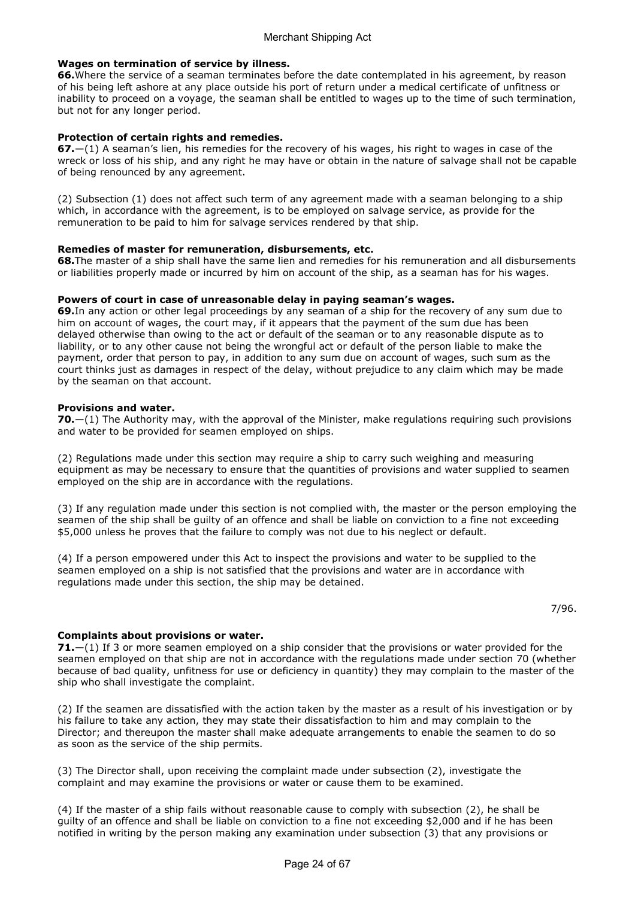## Wages on termination of service by illness.

66.Where the service of a seaman terminates before the date contemplated in his agreement, by reason of his being left ashore at any place outside his port of return under a medical certificate of unfitness or inability to proceed on a voyage, the seaman shall be entitled to wages up to the time of such termination, but not for any longer period.

## Protection of certain rights and remedies.

67.—(1) A seaman's lien, his remedies for the recovery of his wages, his right to wages in case of the wreck or loss of his ship, and any right he may have or obtain in the nature of salvage shall not be capable of being renounced by any agreement.

(2) Subsection (1) does not affect such term of any agreement made with a seaman belonging to a ship which, in accordance with the agreement, is to be employed on salvage service, as provide for the remuneration to be paid to him for salvage services rendered by that ship.

## Remedies of master for remuneration, disbursements, etc.

68.The master of a ship shall have the same lien and remedies for his remuneration and all disbursements or liabilities properly made or incurred by him on account of the ship, as a seaman has for his wages.

#### Powers of court in case of unreasonable delay in paying seaman's wages.

69.In any action or other legal proceedings by any seaman of a ship for the recovery of any sum due to him on account of wages, the court may, if it appears that the payment of the sum due has been delayed otherwise than owing to the act or default of the seaman or to any reasonable dispute as to liability, or to any other cause not being the wrongful act or default of the person liable to make the payment, order that person to pay, in addition to any sum due on account of wages, such sum as the court thinks just as damages in respect of the delay, without prejudice to any claim which may be made by the seaman on that account.

#### Provisions and water.

**70.**—(1) The Authority may, with the approval of the Minister, make regulations requiring such provisions and water to be provided for seamen employed on ships.

(2) Regulations made under this section may require a ship to carry such weighing and measuring equipment as may be necessary to ensure that the quantities of provisions and water supplied to seamen employed on the ship are in accordance with the regulations.

(3) If any regulation made under this section is not complied with, the master or the person employing the seamen of the ship shall be guilty of an offence and shall be liable on conviction to a fine not exceeding \$5,000 unless he proves that the failure to comply was not due to his neglect or default.

(4) If a person empowered under this Act to inspect the provisions and water to be supplied to the seamen employed on a ship is not satisfied that the provisions and water are in accordance with regulations made under this section, the ship may be detained.

## Complaints about provisions or water.

71.—(1) If 3 or more seamen employed on a ship consider that the provisions or water provided for the seamen employed on that ship are not in accordance with the regulations made under section 70 (whether because of bad quality, unfitness for use or deficiency in quantity) they may complain to the master of the ship who shall investigate the complaint.

(2) If the seamen are dissatisfied with the action taken by the master as a result of his investigation or by his failure to take any action, they may state their dissatisfaction to him and may complain to the Director; and thereupon the master shall make adequate arrangements to enable the seamen to do so as soon as the service of the ship permits.

(3) The Director shall, upon receiving the complaint made under subsection (2), investigate the complaint and may examine the provisions or water or cause them to be examined.

(4) If the master of a ship fails without reasonable cause to comply with subsection (2), he shall be guilty of an offence and shall be liable on conviction to a fine not exceeding \$2,000 and if he has been notified in writing by the person making any examination under subsection (3) that any provisions or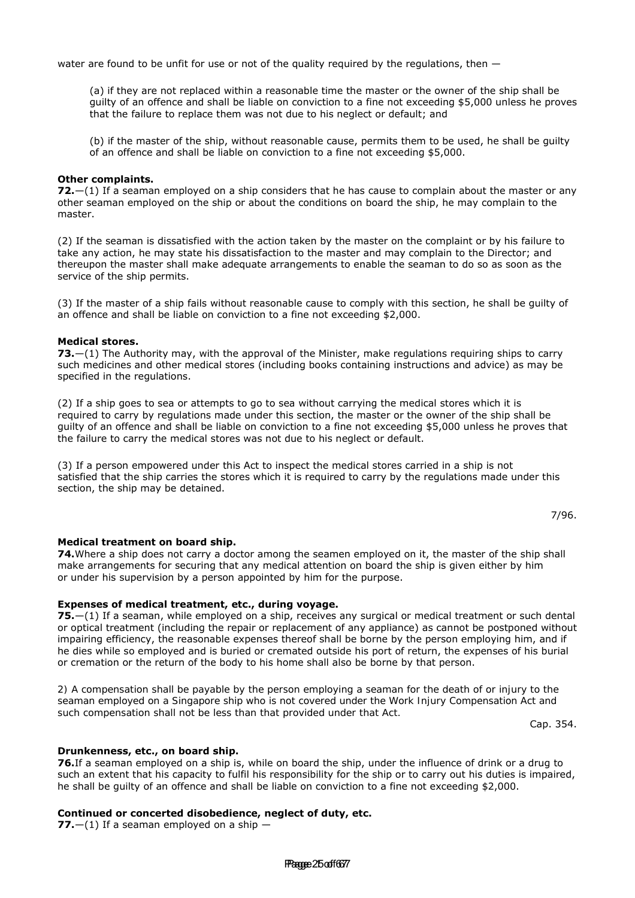water are found to be unfit for use or not of the quality required by the regulations, then  $-$ 

(a) if they are not replaced within a reasonable time the master or the owner of the ship shall be guilty of an offence and shall be liable on conviction to a fine not exceeding \$5,000 unless he proves that the failure to replace them was not due to his neglect or default; and

(b) if the master of the ship, without reasonable cause, permits them to be used, he shall be guilty of an offence and shall be liable on conviction to a fine not exceeding \$5,000.

#### Other complaints.

 $72.$   $-$ (1) If a seaman employed on a ship considers that he has cause to complain about the master or any other seaman employed on the ship or about the conditions on board the ship, he may complain to the master.

(2) If the seaman is dissatisfied with the action taken by the master on the complaint or by his failure to take any action, he may state his dissatisfaction to the master and may complain to the Director; and thereupon the master shall make adequate arrangements to enable the seaman to do so as soon as the service of the ship permits.

(3) If the master of a ship fails without reasonable cause to comply with this section, he shall be guilty of an offence and shall be liable on conviction to a fine not exceeding \$2,000.

#### Medical stores.

73.—(1) The Authority may, with the approval of the Minister, make regulations requiring ships to carry such medicines and other medical stores (including books containing instructions and advice) as may be specified in the regulations.

(2) If a ship goes to sea or attempts to go to sea without carrying the medical stores which it is required to carry by regulations made under this section, the master or the owner of the ship shall be guilty of an offence and shall be liable on conviction to a fine not exceeding \$5,000 unless he proves that the failure to carry the medical stores was not due to his neglect or default.

(3) If a person empowered under this Act to inspect the medical stores carried in a ship is not satisfied that the ship carries the stores which it is required to carry by the regulations made under this section, the ship may be detained.

7/96.

#### Medical treatment on board ship.

74.Where a ship does not carry a doctor among the seamen employed on it, the master of the ship shall make arrangements for securing that any medical attention on board the ship is given either by him or under his supervision by a person appointed by him for the purpose.

## Expenses of medical treatment, etc., during voyage.

75.—(1) If a seaman, while employed on a ship, receives any surgical or medical treatment or such dental or optical treatment (including the repair or replacement of any appliance) as cannot be postponed without impairing efficiency, the reasonable expenses thereof shall be borne by the person employing him, and if he dies while so employed and is buried or cremated outside his port of return, the expenses of his burial or cremation or the return of the body to his home shall also be borne by that person.

2) A compensation shall be payable by the person employing a seaman for the death of or injury to the seaman employed on a Singapore ship who is not covered under the Work Injury Compensation Act and such compensation shall not be less than that provided under that Act.

Cap. 354.

#### Drunkenness, etc., on board ship.

76.If a seaman employed on a ship is, while on board the ship, under the influence of drink or a drug to such an extent that his capacity to fulfil his responsibility for the ship or to carry out his duties is impaired, he shall be guilty of an offence and shall be liable on conviction to a fine not exceeding \$2,000.

#### Continued or concerted disobedience, neglect of duty, etc.

77. $-(1)$  If a seaman employed on a ship  $-$ 

Pagge 25 of 6677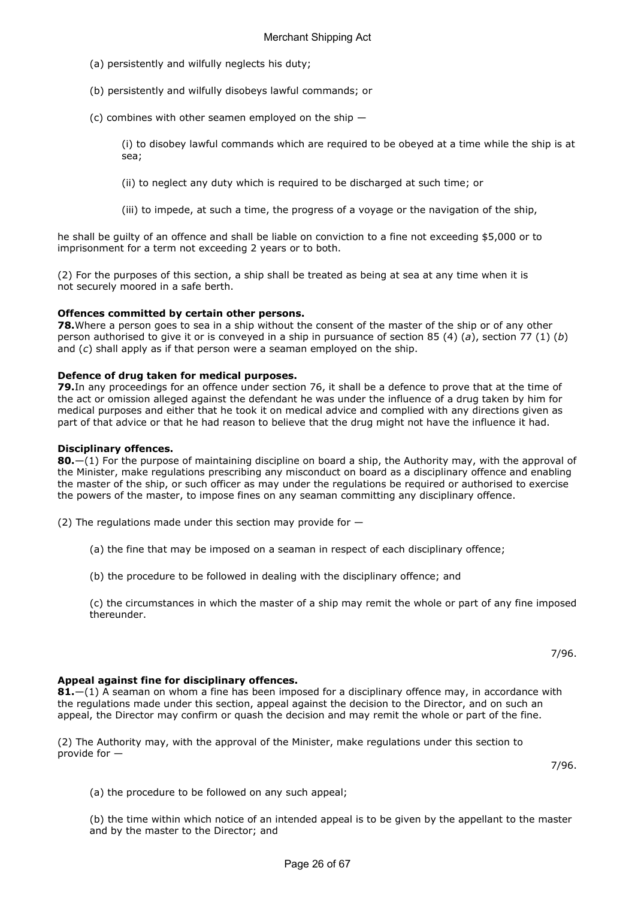- (a) persistently and wilfully neglects his duty;
- (b) persistently and wilfully disobeys lawful commands; or
- (c) combines with other seamen employed on the ship  $-$

(i) to disobey lawful commands which are required to be obeyed at a time while the ship is at sea;

(ii) to neglect any duty which is required to be discharged at such time; or

(iii) to impede, at such a time, the progress of a voyage or the navigation of the ship,

he shall be guilty of an offence and shall be liable on conviction to a fine not exceeding \$5,000 or to imprisonment for a term not exceeding 2 years or to both.

(2) For the purposes of this section, a ship shall be treated as being at sea at any time when it is not securely moored in a safe berth.

## Offences committed by certain other persons.

78. Where a person goes to sea in a ship without the consent of the master of the ship or of any other person authorised to give it or is conveyed in a ship in pursuance of section 85 (4) (a), section 77 (1) (b) and (c) shall apply as if that person were a seaman employed on the ship.

## Defence of drug taken for medical purposes.

79. In any proceedings for an offence under section 76, it shall be a defence to prove that at the time of the act or omission alleged against the defendant he was under the influence of a drug taken by him for medical purposes and either that he took it on medical advice and complied with any directions given as part of that advice or that he had reason to believe that the drug might not have the influence it had.

## Disciplinary offences.

80.—(1) For the purpose of maintaining discipline on board a ship, the Authority may, with the approval of the Minister, make regulations prescribing any misconduct on board as a disciplinary offence and enabling the master of the ship, or such officer as may under the regulations be required or authorised to exercise the powers of the master, to impose fines on any seaman committing any disciplinary offence.

(2) The regulations made under this section may provide for  $-$ 

- (a) the fine that may be imposed on a seaman in respect of each disciplinary offence;
- (b) the procedure to be followed in dealing with the disciplinary offence; and

(c) the circumstances in which the master of a ship may remit the whole or part of any fine imposed thereunder.

7/96.

## Appeal against fine for disciplinary offences.

 $81-$ (1) A seaman on whom a fine has been imposed for a disciplinary offence may, in accordance with the regulations made under this section, appeal against the decision to the Director, and on such an appeal, the Director may confirm or quash the decision and may remit the whole or part of the fine.

(2) The Authority may, with the approval of the Minister, make regulations under this section to provide for —

7/96.

(a) the procedure to be followed on any such appeal;

(b) the time within which notice of an intended appeal is to be given by the appellant to the master and by the master to the Director; and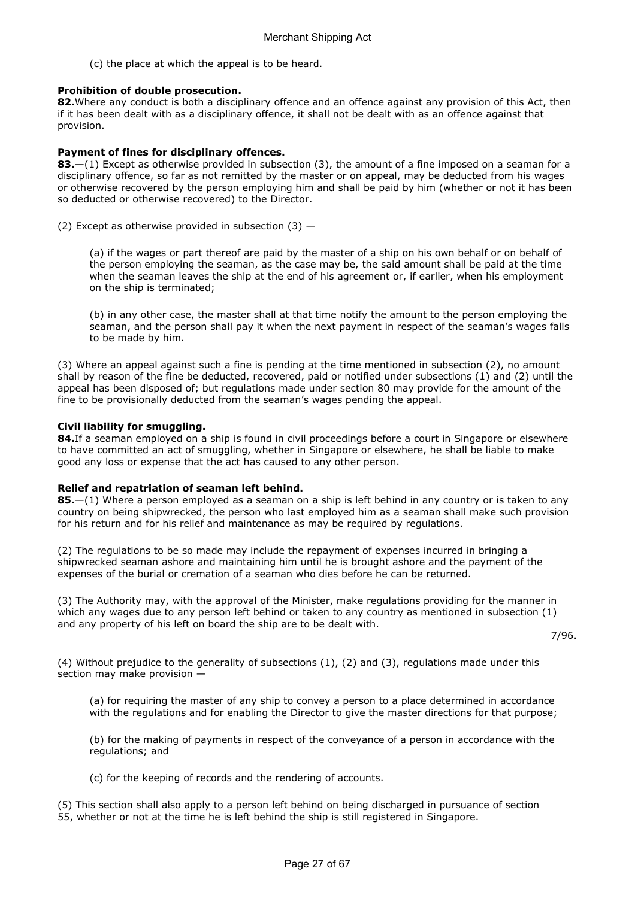(c) the place at which the appeal is to be heard.

## Prohibition of double prosecution.

82. Where any conduct is both a disciplinary offence and an offence against any provision of this Act, then if it has been dealt with as a disciplinary offence, it shall not be dealt with as an offence against that provision.

## Payment of fines for disciplinary offences.

**83.**—(1) Except as otherwise provided in subsection (3), the amount of a fine imposed on a seaman for a disciplinary offence, so far as not remitted by the master or on appeal, may be deducted from his wages or otherwise recovered by the person employing him and shall be paid by him (whether or not it has been so deducted or otherwise recovered) to the Director.

(2) Except as otherwise provided in subsection  $(3)$  –

(a) if the wages or part thereof are paid by the master of a ship on his own behalf or on behalf of the person employing the seaman, as the case may be, the said amount shall be paid at the time when the seaman leaves the ship at the end of his agreement or, if earlier, when his employment on the ship is terminated;

(b) in any other case, the master shall at that time notify the amount to the person employing the seaman, and the person shall pay it when the next payment in respect of the seaman's wages falls to be made by him.

(3) Where an appeal against such a fine is pending at the time mentioned in subsection (2), no amount shall by reason of the fine be deducted, recovered, paid or notified under subsections (1) and (2) until the appeal has been disposed of; but regulations made under section 80 may provide for the amount of the fine to be provisionally deducted from the seaman's wages pending the appeal.

## Civil liability for smuggling.

84. If a seaman employed on a ship is found in civil proceedings before a court in Singapore or elsewhere to have committed an act of smuggling, whether in Singapore or elsewhere, he shall be liable to make good any loss or expense that the act has caused to any other person.

## Relief and repatriation of seaman left behind.

**85.**—(1) Where a person employed as a seaman on a ship is left behind in any country or is taken to any country on being shipwrecked, the person who last employed him as a seaman shall make such provision for his return and for his relief and maintenance as may be required by regulations.

(2) The regulations to be so made may include the repayment of expenses incurred in bringing a shipwrecked seaman ashore and maintaining him until he is brought ashore and the payment of the expenses of the burial or cremation of a seaman who dies before he can be returned.

(3) The Authority may, with the approval of the Minister, make regulations providing for the manner in which any wages due to any person left behind or taken to any country as mentioned in subsection (1) and any property of his left on board the ship are to be dealt with.

7/96.

(4) Without prejudice to the generality of subsections  $(1)$ ,  $(2)$  and  $(3)$ , regulations made under this section may make provision —

(a) for requiring the master of any ship to convey a person to a place determined in accordance with the regulations and for enabling the Director to give the master directions for that purpose;

(b) for the making of payments in respect of the conveyance of a person in accordance with the regulations; and

(c) for the keeping of records and the rendering of accounts.

(5) This section shall also apply to a person left behind on being discharged in pursuance of section 55, whether or not at the time he is left behind the ship is still registered in Singapore.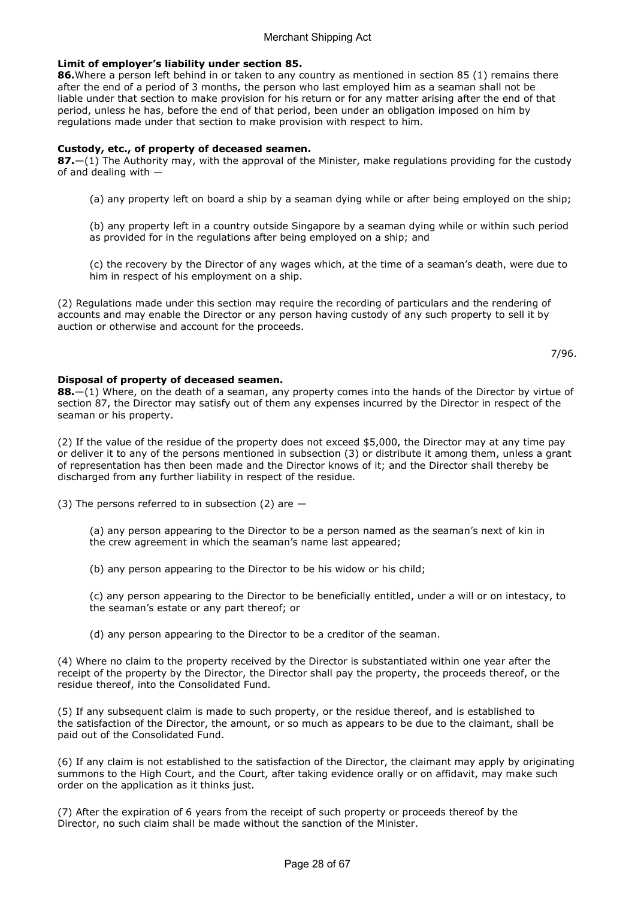## Limit of employer's liability under section 85.

86. Where a person left behind in or taken to any country as mentioned in section 85 (1) remains there after the end of a period of 3 months, the person who last employed him as a seaman shall not be liable under that section to make provision for his return or for any matter arising after the end of that period, unless he has, before the end of that period, been under an obligation imposed on him by regulations made under that section to make provision with respect to him.

## Custody, etc., of property of deceased seamen.

 $87$ .—(1) The Authority may, with the approval of the Minister, make regulations providing for the custody of and dealing with —

- (a) any property left on board a ship by a seaman dying while or after being employed on the ship;
- (b) any property left in a country outside Singapore by a seaman dying while or within such period as provided for in the regulations after being employed on a ship; and
- (c) the recovery by the Director of any wages which, at the time of a seaman's death, were due to him in respect of his employment on a ship.

(2) Regulations made under this section may require the recording of particulars and the rendering of accounts and may enable the Director or any person having custody of any such property to sell it by auction or otherwise and account for the proceeds.

7/96.

## Disposal of property of deceased seamen.

88.—(1) Where, on the death of a seaman, any property comes into the hands of the Director by virtue of section 87, the Director may satisfy out of them any expenses incurred by the Director in respect of the seaman or his property.

(2) If the value of the residue of the property does not exceed \$5,000, the Director may at any time pay or deliver it to any of the persons mentioned in subsection (3) or distribute it among them, unless a grant of representation has then been made and the Director knows of it; and the Director shall thereby be discharged from any further liability in respect of the residue.

(3) The persons referred to in subsection (2) are  $-$ 

(a) any person appearing to the Director to be a person named as the seaman's next of kin in the crew agreement in which the seaman's name last appeared;

(b) any person appearing to the Director to be his widow or his child;

(c) any person appearing to the Director to be beneficially entitled, under a will or on intestacy, to the seaman's estate or any part thereof; or

(d) any person appearing to the Director to be a creditor of the seaman.

(4) Where no claim to the property received by the Director is substantiated within one year after the receipt of the property by the Director, the Director shall pay the property, the proceeds thereof, or the residue thereof, into the Consolidated Fund.

(5) If any subsequent claim is made to such property, or the residue thereof, and is established to the satisfaction of the Director, the amount, or so much as appears to be due to the claimant, shall be paid out of the Consolidated Fund.

(6) If any claim is not established to the satisfaction of the Director, the claimant may apply by originating summons to the High Court, and the Court, after taking evidence orally or on affidavit, may make such order on the application as it thinks just.

(7) After the expiration of 6 years from the receipt of such property or proceeds thereof by the Director, no such claim shall be made without the sanction of the Minister.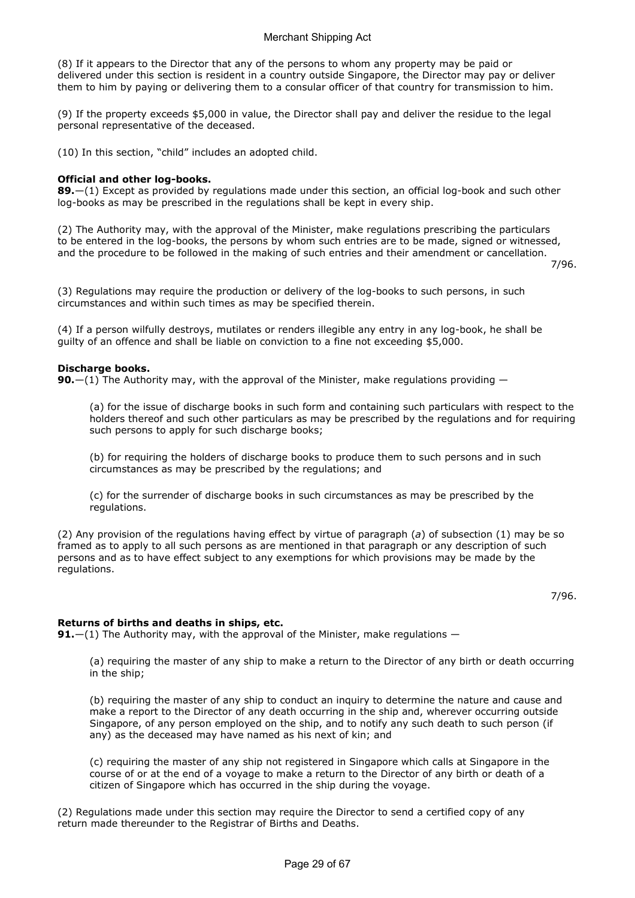(8) If it appears to the Director that any of the persons to whom any property may be paid or delivered under this section is resident in a country outside Singapore, the Director may pay or deliver them to him by paying or delivering them to a consular officer of that country for transmission to him.

(9) If the property exceeds \$5,000 in value, the Director shall pay and deliver the residue to the legal personal representative of the deceased.

(10) In this section, "child" includes an adopted child.

## Official and other log-books.

89.—(1) Except as provided by regulations made under this section, an official log-book and such other log-books as may be prescribed in the regulations shall be kept in every ship.

(2) The Authority may, with the approval of the Minister, make regulations prescribing the particulars to be entered in the log-books, the persons by whom such entries are to be made, signed or witnessed, and the procedure to be followed in the making of such entries and their amendment or cancellation.

7/96.

(3) Regulations may require the production or delivery of the log-books to such persons, in such circumstances and within such times as may be specified therein.

(4) If a person wilfully destroys, mutilates or renders illegible any entry in any log-book, he shall be guilty of an offence and shall be liable on conviction to a fine not exceeding \$5,000.

## Discharge books.

**90.**—(1) The Authority may, with the approval of the Minister, make regulations providing  $-$ 

(a) for the issue of discharge books in such form and containing such particulars with respect to the holders thereof and such other particulars as may be prescribed by the regulations and for requiring such persons to apply for such discharge books;

(b) for requiring the holders of discharge books to produce them to such persons and in such circumstances as may be prescribed by the regulations; and

(c) for the surrender of discharge books in such circumstances as may be prescribed by the regulations.

(2) Any provision of the regulations having effect by virtue of paragraph (a) of subsection (1) may be so framed as to apply to all such persons as are mentioned in that paragraph or any description of such persons and as to have effect subject to any exemptions for which provisions may be made by the regulations.

7/96.

## Returns of births and deaths in ships, etc.

**91.**—(1) The Authority may, with the approval of the Minister, make regulations —

(a) requiring the master of any ship to make a return to the Director of any birth or death occurring in the ship;

(b) requiring the master of any ship to conduct an inquiry to determine the nature and cause and make a report to the Director of any death occurring in the ship and, wherever occurring outside Singapore, of any person employed on the ship, and to notify any such death to such person (if any) as the deceased may have named as his next of kin; and

(c) requiring the master of any ship not registered in Singapore which calls at Singapore in the course of or at the end of a voyage to make a return to the Director of any birth or death of a citizen of Singapore which has occurred in the ship during the voyage.

(2) Regulations made under this section may require the Director to send a certified copy of any return made thereunder to the Registrar of Births and Deaths.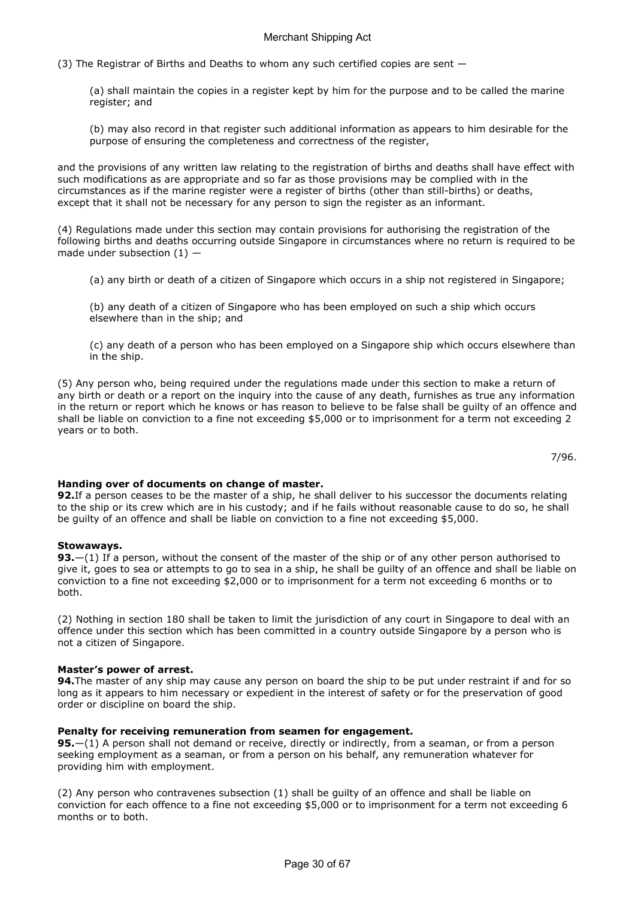(3) The Registrar of Births and Deaths to whom any such certified copies are sent —

(a) shall maintain the copies in a register kept by him for the purpose and to be called the marine register; and

(b) may also record in that register such additional information as appears to him desirable for the purpose of ensuring the completeness and correctness of the register,

and the provisions of any written law relating to the registration of births and deaths shall have effect with such modifications as are appropriate and so far as those provisions may be complied with in the circumstances as if the marine register were a register of births (other than still-births) or deaths, except that it shall not be necessary for any person to sign the register as an informant.

(4) Regulations made under this section may contain provisions for authorising the registration of the following births and deaths occurring outside Singapore in circumstances where no return is required to be made under subsection  $(1)$  –

(a) any birth or death of a citizen of Singapore which occurs in a ship not registered in Singapore;

(b) any death of a citizen of Singapore who has been employed on such a ship which occurs elsewhere than in the ship; and

(c) any death of a person who has been employed on a Singapore ship which occurs elsewhere than in the ship.

(5) Any person who, being required under the regulations made under this section to make a return of any birth or death or a report on the inquiry into the cause of any death, furnishes as true any information in the return or report which he knows or has reason to believe to be false shall be guilty of an offence and shall be liable on conviction to a fine not exceeding \$5,000 or to imprisonment for a term not exceeding 2 years or to both.

7/96.

## Handing over of documents on change of master.

92. If a person ceases to be the master of a ship, he shall deliver to his successor the documents relating to the ship or its crew which are in his custody; and if he fails without reasonable cause to do so, he shall be guilty of an offence and shall be liable on conviction to a fine not exceeding \$5,000.

## Stowaways.

93.—(1) If a person, without the consent of the master of the ship or of any other person authorised to give it, goes to sea or attempts to go to sea in a ship, he shall be guilty of an offence and shall be liable on conviction to a fine not exceeding \$2,000 or to imprisonment for a term not exceeding 6 months or to both.

(2) Nothing in section 180 shall be taken to limit the jurisdiction of any court in Singapore to deal with an offence under this section which has been committed in a country outside Singapore by a person who is not a citizen of Singapore.

## Master's power of arrest.

94. The master of any ship may cause any person on board the ship to be put under restraint if and for so long as it appears to him necessary or expedient in the interest of safety or for the preservation of good order or discipline on board the ship.

## Penalty for receiving remuneration from seamen for engagement.

95.—(1) A person shall not demand or receive, directly or indirectly, from a seaman, or from a person seeking employment as a seaman, or from a person on his behalf, any remuneration whatever for providing him with employment.

(2) Any person who contravenes subsection (1) shall be guilty of an offence and shall be liable on conviction for each offence to a fine not exceeding \$5,000 or to imprisonment for a term not exceeding 6 months or to both.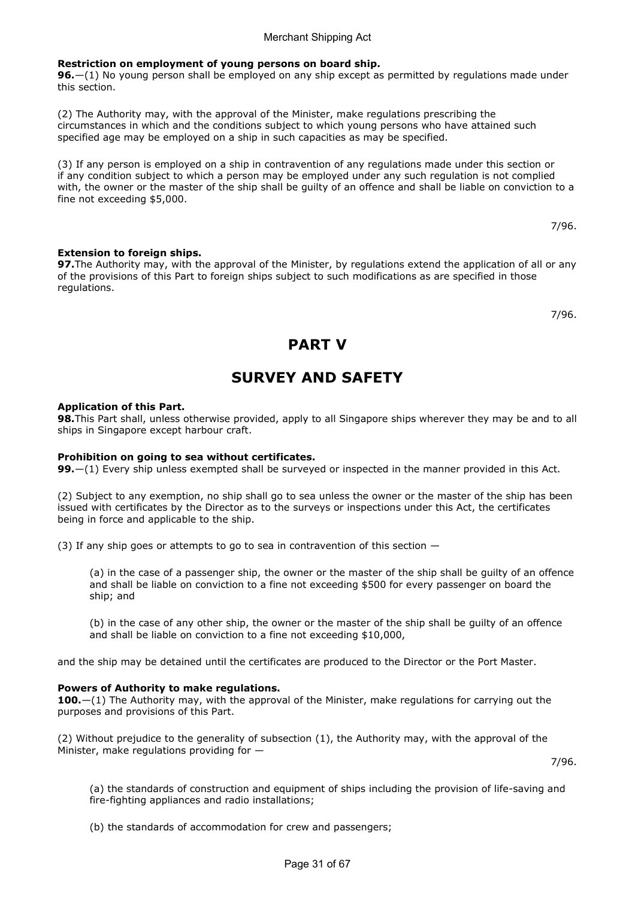## Restriction on employment of young persons on board ship.

96.—(1) No young person shall be employed on any ship except as permitted by regulations made under this section.

(2) The Authority may, with the approval of the Minister, make regulations prescribing the circumstances in which and the conditions subject to which young persons who have attained such specified age may be employed on a ship in such capacities as may be specified.

(3) If any person is employed on a ship in contravention of any regulations made under this section or if any condition subject to which a person may be employed under any such regulation is not complied with, the owner or the master of the ship shall be guilty of an offence and shall be liable on conviction to a fine not exceeding \$5,000.

7/96.

## Extension to foreign ships.

97. The Authority may, with the approval of the Minister, by regulations extend the application of all or any of the provisions of this Part to foreign ships subject to such modifications as are specified in those regulations.

7/96.

## PART V

# SURVEY AND SAFETY

## Application of this Part.

98. This Part shall, unless otherwise provided, apply to all Singapore ships wherever they may be and to all ships in Singapore except harbour craft.

## Prohibition on going to sea without certificates.

99.—(1) Every ship unless exempted shall be surveyed or inspected in the manner provided in this Act.

(2) Subject to any exemption, no ship shall go to sea unless the owner or the master of the ship has been issued with certificates by the Director as to the surveys or inspections under this Act, the certificates being in force and applicable to the ship.

(3) If any ship goes or attempts to go to sea in contravention of this section  $-$ 

(a) in the case of a passenger ship, the owner or the master of the ship shall be guilty of an offence and shall be liable on conviction to a fine not exceeding \$500 for every passenger on board the ship; and

(b) in the case of any other ship, the owner or the master of the ship shall be guilty of an offence and shall be liable on conviction to a fine not exceeding \$10,000,

and the ship may be detained until the certificates are produced to the Director or the Port Master.

#### Powers of Authority to make regulations.

**100.**—(1) The Authority may, with the approval of the Minister, make regulations for carrying out the purposes and provisions of this Part.

(2) Without prejudice to the generality of subsection (1), the Authority may, with the approval of the Minister, make regulations providing for —

7/96.

(a) the standards of construction and equipment of ships including the provision of life-saving and fire-fighting appliances and radio installations;

(b) the standards of accommodation for crew and passengers;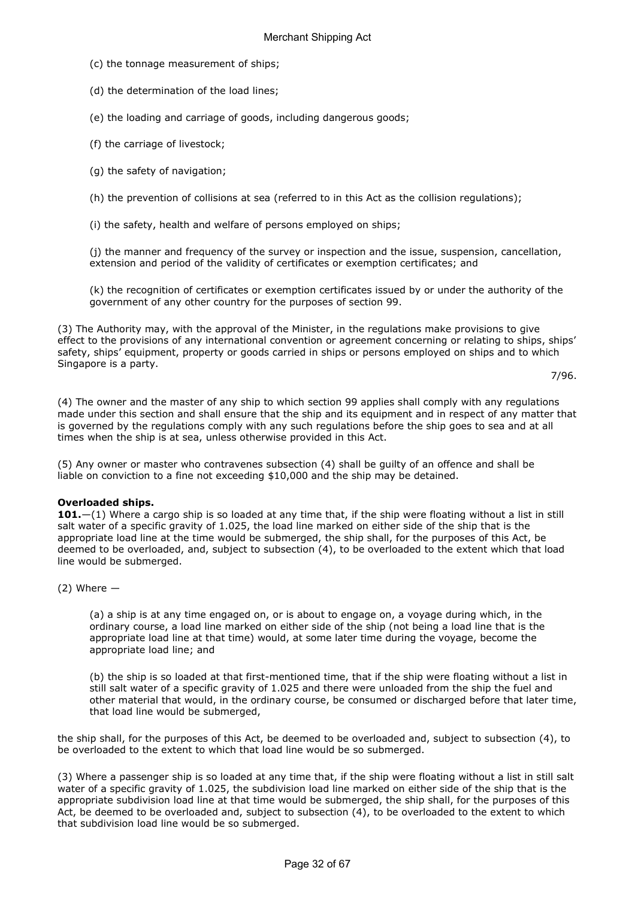- (c) the tonnage measurement of ships;
- (d) the determination of the load lines;
- (e) the loading and carriage of goods, including dangerous goods;
- (f) the carriage of livestock;
- (g) the safety of navigation;

(h) the prevention of collisions at sea (referred to in this Act as the collision regulations);

(i) the safety, health and welfare of persons employed on ships;

(j) the manner and frequency of the survey or inspection and the issue, suspension, cancellation, extension and period of the validity of certificates or exemption certificates; and

(k) the recognition of certificates or exemption certificates issued by or under the authority of the government of any other country for the purposes of section 99.

(3) The Authority may, with the approval of the Minister, in the regulations make provisions to give effect to the provisions of any international convention or agreement concerning or relating to ships, ships' safety, ships' equipment, property or goods carried in ships or persons employed on ships and to which Singapore is a party.

```
7/96.
```
(4) The owner and the master of any ship to which section 99 applies shall comply with any regulations made under this section and shall ensure that the ship and its equipment and in respect of any matter that is governed by the regulations comply with any such regulations before the ship goes to sea and at all times when the ship is at sea, unless otherwise provided in this Act.

(5) Any owner or master who contravenes subsection (4) shall be guilty of an offence and shall be liable on conviction to a fine not exceeding \$10,000 and the ship may be detained.

## Overloaded ships.

101. $-(1)$  Where a cargo ship is so loaded at any time that, if the ship were floating without a list in still salt water of a specific gravity of 1.025, the load line marked on either side of the ship that is the appropriate load line at the time would be submerged, the ship shall, for the purposes of this Act, be deemed to be overloaded, and, subject to subsection (4), to be overloaded to the extent which that load line would be submerged.

## $(2)$  Where  $-$

(a) a ship is at any time engaged on, or is about to engage on, a voyage during which, in the ordinary course, a load line marked on either side of the ship (not being a load line that is the appropriate load line at that time) would, at some later time during the voyage, become the appropriate load line; and

(b) the ship is so loaded at that first-mentioned time, that if the ship were floating without a list in still salt water of a specific gravity of 1.025 and there were unloaded from the ship the fuel and other material that would, in the ordinary course, be consumed or discharged before that later time, that load line would be submerged,

the ship shall, for the purposes of this Act, be deemed to be overloaded and, subject to subsection (4), to be overloaded to the extent to which that load line would be so submerged.

(3) Where a passenger ship is so loaded at any time that, if the ship were floating without a list in still salt water of a specific gravity of 1.025, the subdivision load line marked on either side of the ship that is the appropriate subdivision load line at that time would be submerged, the ship shall, for the purposes of this Act, be deemed to be overloaded and, subject to subsection (4), to be overloaded to the extent to which that subdivision load line would be so submerged.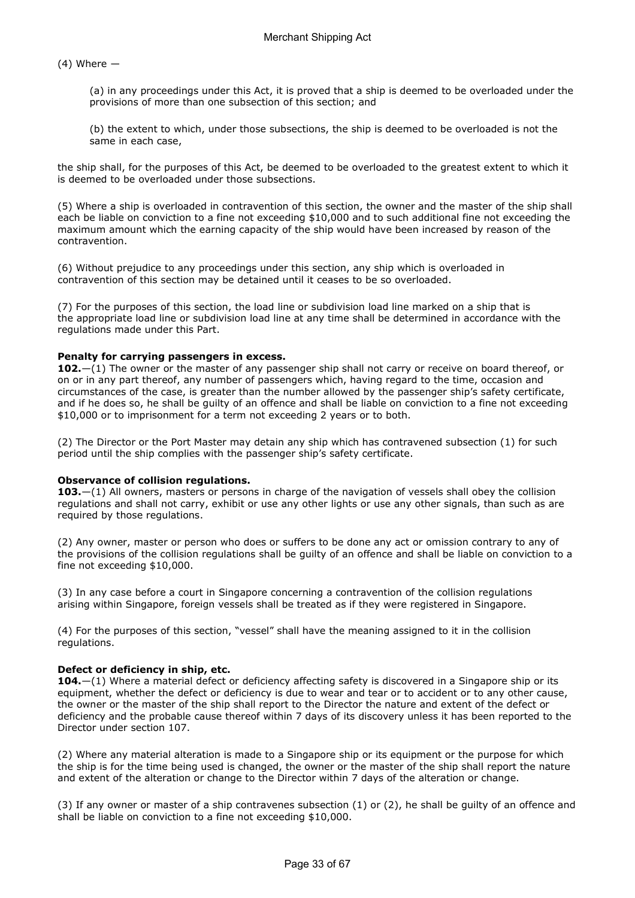$(4)$  Where  $-$ 

(a) in any proceedings under this Act, it is proved that a ship is deemed to be overloaded under the provisions of more than one subsection of this section; and

(b) the extent to which, under those subsections, the ship is deemed to be overloaded is not the same in each case,

the ship shall, for the purposes of this Act, be deemed to be overloaded to the greatest extent to which it is deemed to be overloaded under those subsections.

(5) Where a ship is overloaded in contravention of this section, the owner and the master of the ship shall each be liable on conviction to a fine not exceeding \$10,000 and to such additional fine not exceeding the maximum amount which the earning capacity of the ship would have been increased by reason of the contravention.

(6) Without prejudice to any proceedings under this section, any ship which is overloaded in contravention of this section may be detained until it ceases to be so overloaded.

(7) For the purposes of this section, the load line or subdivision load line marked on a ship that is the appropriate load line or subdivision load line at any time shall be determined in accordance with the regulations made under this Part.

## Penalty for carrying passengers in excess.

102. $-(1)$  The owner or the master of any passenger ship shall not carry or receive on board thereof, or on or in any part thereof, any number of passengers which, having regard to the time, occasion and circumstances of the case, is greater than the number allowed by the passenger ship's safety certificate, and if he does so, he shall be guilty of an offence and shall be liable on conviction to a fine not exceeding \$10,000 or to imprisonment for a term not exceeding 2 years or to both.

(2) The Director or the Port Master may detain any ship which has contravened subsection (1) for such period until the ship complies with the passenger ship's safety certificate.

## Observance of collision regulations.

103.—(1) All owners, masters or persons in charge of the navigation of vessels shall obey the collision regulations and shall not carry, exhibit or use any other lights or use any other signals, than such as are required by those regulations.

(2) Any owner, master or person who does or suffers to be done any act or omission contrary to any of the provisions of the collision regulations shall be guilty of an offence and shall be liable on conviction to a fine not exceeding \$10,000.

(3) In any case before a court in Singapore concerning a contravention of the collision regulations arising within Singapore, foreign vessels shall be treated as if they were registered in Singapore.

(4) For the purposes of this section, "vessel" shall have the meaning assigned to it in the collision regulations.

## Defect or deficiency in ship, etc.

104.—(1) Where a material defect or deficiency affecting safety is discovered in a Singapore ship or its equipment, whether the defect or deficiency is due to wear and tear or to accident or to any other cause, the owner or the master of the ship shall report to the Director the nature and extent of the defect or deficiency and the probable cause thereof within 7 days of its discovery unless it has been reported to the Director under section 107.

(2) Where any material alteration is made to a Singapore ship or its equipment or the purpose for which the ship is for the time being used is changed, the owner or the master of the ship shall report the nature and extent of the alteration or change to the Director within 7 days of the alteration or change.

(3) If any owner or master of a ship contravenes subsection (1) or (2), he shall be guilty of an offence and shall be liable on conviction to a fine not exceeding \$10,000.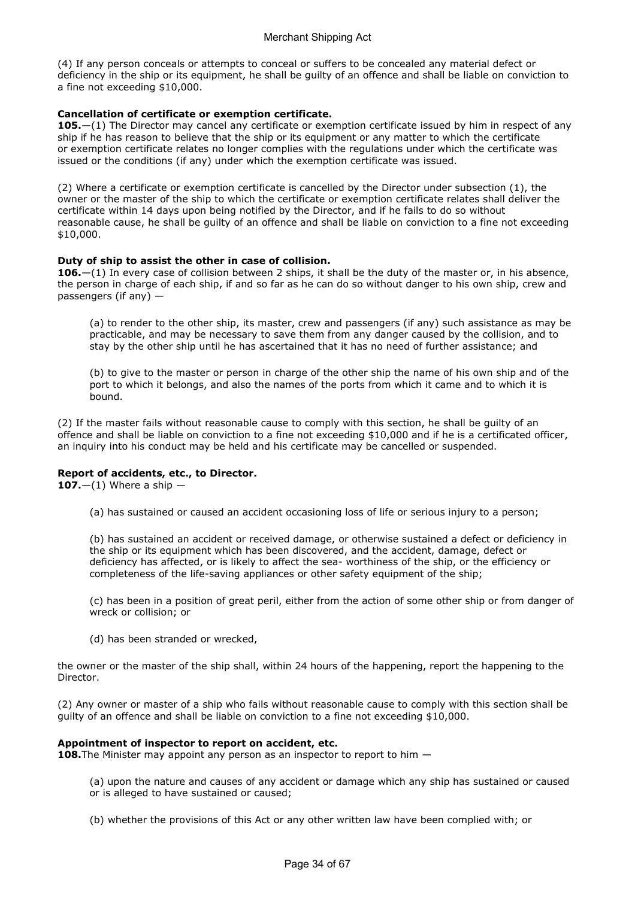(4) If any person conceals or attempts to conceal or suffers to be concealed any material defect or deficiency in the ship or its equipment, he shall be guilty of an offence and shall be liable on conviction to a fine not exceeding \$10,000.

## Cancellation of certificate or exemption certificate.

**105.**—(1) The Director may cancel any certificate or exemption certificate issued by him in respect of any ship if he has reason to believe that the ship or its equipment or any matter to which the certificate or exemption certificate relates no longer complies with the regulations under which the certificate was issued or the conditions (if any) under which the exemption certificate was issued.

(2) Where a certificate or exemption certificate is cancelled by the Director under subsection (1), the owner or the master of the ship to which the certificate or exemption certificate relates shall deliver the certificate within 14 days upon being notified by the Director, and if he fails to do so without reasonable cause, he shall be guilty of an offence and shall be liable on conviction to a fine not exceeding \$10,000.

## Duty of ship to assist the other in case of collision.

**106.**—(1) In every case of collision between 2 ships, it shall be the duty of the master or, in his absence, the person in charge of each ship, if and so far as he can do so without danger to his own ship, crew and passengers (if any) —

(a) to render to the other ship, its master, crew and passengers (if any) such assistance as may be practicable, and may be necessary to save them from any danger caused by the collision, and to stay by the other ship until he has ascertained that it has no need of further assistance; and

(b) to give to the master or person in charge of the other ship the name of his own ship and of the port to which it belongs, and also the names of the ports from which it came and to which it is bound.

(2) If the master fails without reasonable cause to comply with this section, he shall be guilty of an offence and shall be liable on conviction to a fine not exceeding \$10,000 and if he is a certificated officer, an inquiry into his conduct may be held and his certificate may be cancelled or suspended.

## Report of accidents, etc., to Director.

107. $-(1)$  Where a ship  $-$ 

(a) has sustained or caused an accident occasioning loss of life or serious injury to a person;

(b) has sustained an accident or received damage, or otherwise sustained a defect or deficiency in the ship or its equipment which has been discovered, and the accident, damage, defect or deficiency has affected, or is likely to affect the sea- worthiness of the ship, or the efficiency or completeness of the life-saving appliances or other safety equipment of the ship;

(c) has been in a position of great peril, either from the action of some other ship or from danger of wreck or collision; or

(d) has been stranded or wrecked,

the owner or the master of the ship shall, within 24 hours of the happening, report the happening to the Director.

(2) Any owner or master of a ship who fails without reasonable cause to comply with this section shall be guilty of an offence and shall be liable on conviction to a fine not exceeding \$10,000.

## Appointment of inspector to report on accident, etc.

**108.** The Minister may appoint any person as an inspector to report to him  $-$ 

(a) upon the nature and causes of any accident or damage which any ship has sustained or caused or is alleged to have sustained or caused;

(b) whether the provisions of this Act or any other written law have been complied with; or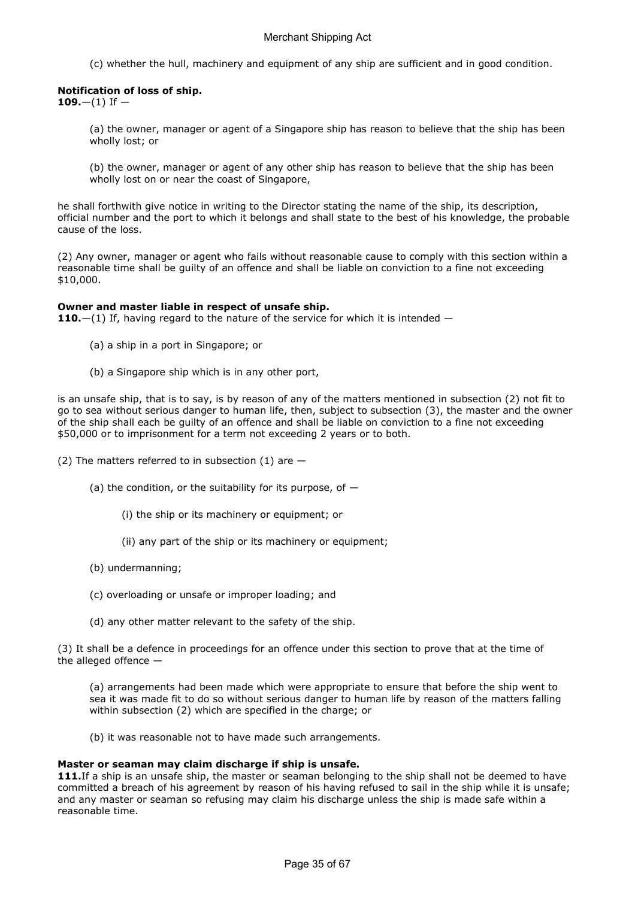(c) whether the hull, machinery and equipment of any ship are sufficient and in good condition.

## Notification of loss of ship.

109. $-(1)$  If  $-$ 

(a) the owner, manager or agent of a Singapore ship has reason to believe that the ship has been wholly lost; or

(b) the owner, manager or agent of any other ship has reason to believe that the ship has been wholly lost on or near the coast of Singapore,

he shall forthwith give notice in writing to the Director stating the name of the ship, its description, official number and the port to which it belongs and shall state to the best of his knowledge, the probable cause of the loss.

(2) Any owner, manager or agent who fails without reasonable cause to comply with this section within a reasonable time shall be guilty of an offence and shall be liable on conviction to a fine not exceeding \$10,000.

## Owner and master liable in respect of unsafe ship.

110. $-(1)$  If, having regard to the nature of the service for which it is intended  $-$ 

- (a) a ship in a port in Singapore; or
- (b) a Singapore ship which is in any other port,

is an unsafe ship, that is to say, is by reason of any of the matters mentioned in subsection (2) not fit to go to sea without serious danger to human life, then, subject to subsection (3), the master and the owner of the ship shall each be guilty of an offence and shall be liable on conviction to a fine not exceeding \$50,000 or to imprisonment for a term not exceeding 2 years or to both.

(2) The matters referred to in subsection (1) are  $-$ 

- (a) the condition, or the suitability for its purpose, of  $-$ 
	- (i) the ship or its machinery or equipment; or
	- (ii) any part of the ship or its machinery or equipment;
- (b) undermanning;
- (c) overloading or unsafe or improper loading; and
- (d) any other matter relevant to the safety of the ship.

(3) It shall be a defence in proceedings for an offence under this section to prove that at the time of the alleged offence  $-$ 

(a) arrangements had been made which were appropriate to ensure that before the ship went to sea it was made fit to do so without serious danger to human life by reason of the matters falling within subsection (2) which are specified in the charge; or

(b) it was reasonable not to have made such arrangements.

## Master or seaman may claim discharge if ship is unsafe.

111. If a ship is an unsafe ship, the master or seaman belonging to the ship shall not be deemed to have committed a breach of his agreement by reason of his having refused to sail in the ship while it is unsafe; and any master or seaman so refusing may claim his discharge unless the ship is made safe within a reasonable time.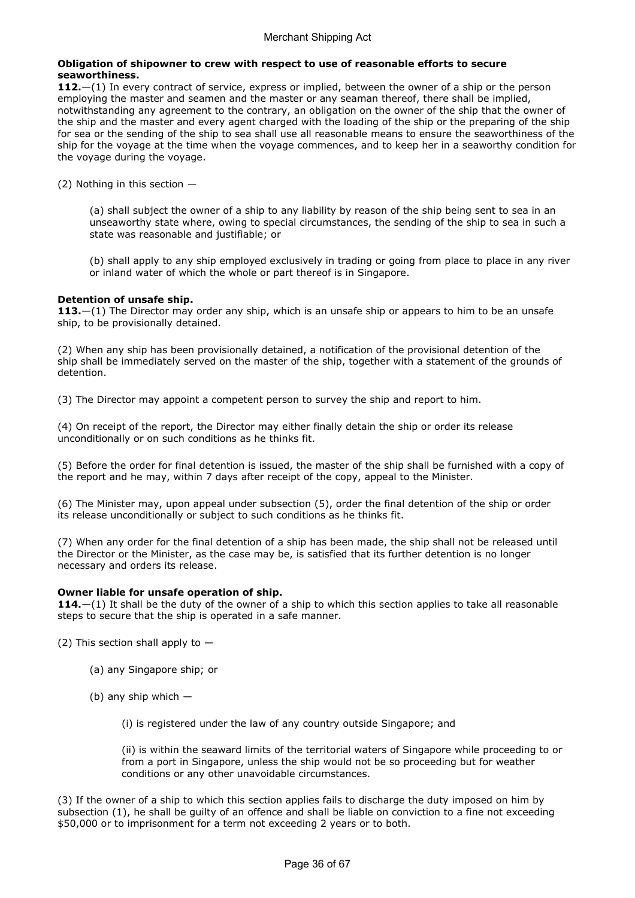## Obligation of shipowner to crew with respect to use of reasonable efforts to secure seaworthiness.

112. $-(1)$  In every contract of service, express or implied, between the owner of a ship or the person employing the master and seamen and the master or any seaman thereof, there shall be implied, notwithstanding any agreement to the contrary, an obligation on the owner of the ship that the owner of the ship and the master and every agent charged with the loading of the ship or the preparing of the ship for sea or the sending of the ship to sea shall use all reasonable means to ensure the seaworthiness of the ship for the voyage at the time when the voyage commences, and to keep her in a seaworthy condition for the voyage during the voyage.

(2) Nothing in this section —

(a) shall subject the owner of a ship to any liability by reason of the ship being sent to sea in an unseaworthy state where, owing to special circumstances, the sending of the ship to sea in such a state was reasonable and justifiable; or

(b) shall apply to any ship employed exclusively in trading or going from place to place in any river or inland water of which the whole or part thereof is in Singapore.

## Detention of unsafe ship.

113. $-(1)$  The Director may order any ship, which is an unsafe ship or appears to him to be an unsafe ship, to be provisionally detained.

(2) When any ship has been provisionally detained, a notification of the provisional detention of the ship shall be immediately served on the master of the ship, together with a statement of the grounds of detention.

(3) The Director may appoint a competent person to survey the ship and report to him.

(4) On receipt of the report, the Director may either finally detain the ship or order its release unconditionally or on such conditions as he thinks fit.

(5) Before the order for final detention is issued, the master of the ship shall be furnished with a copy of the report and he may, within 7 days after receipt of the copy, appeal to the Minister.

(6) The Minister may, upon appeal under subsection (5), order the final detention of the ship or order its release unconditionally or subject to such conditions as he thinks fit.

(7) When any order for the final detention of a ship has been made, the ship shall not be released until the Director or the Minister, as the case may be, is satisfied that its further detention is no longer necessary and orders its release.

## Owner liable for unsafe operation of ship.

114. $-(1)$  It shall be the duty of the owner of a ship to which this section applies to take all reasonable steps to secure that the ship is operated in a safe manner.

(2) This section shall apply to  $-$ 

- (a) any Singapore ship; or
- (b) any ship which —

(i) is registered under the law of any country outside Singapore; and

(ii) is within the seaward limits of the territorial waters of Singapore while proceeding to or from a port in Singapore, unless the ship would not be so proceeding but for weather conditions or any other unavoidable circumstances.

(3) If the owner of a ship to which this section applies fails to discharge the duty imposed on him by subsection (1), he shall be guilty of an offence and shall be liable on conviction to a fine not exceeding \$50,000 or to imprisonment for a term not exceeding 2 years or to both.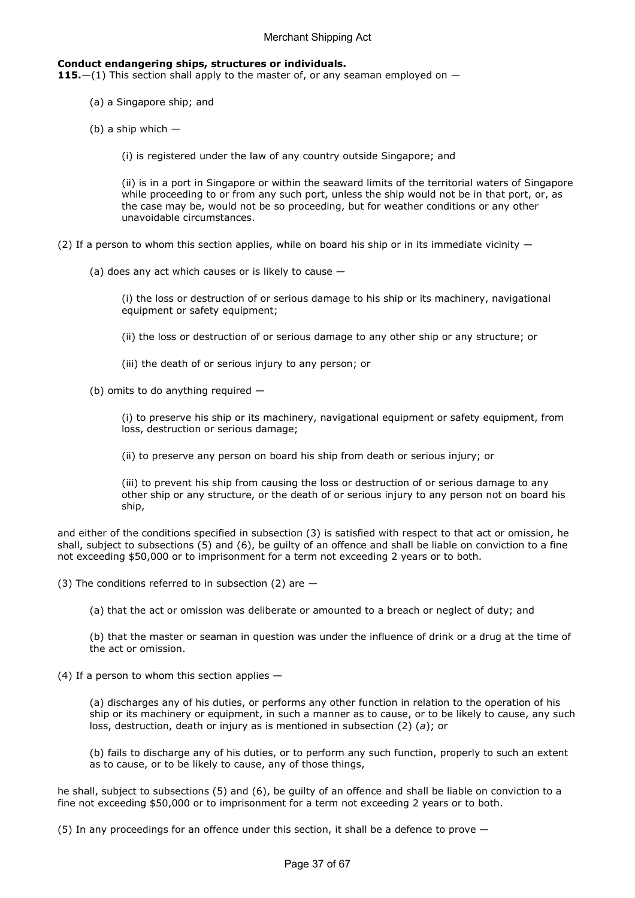#### Conduct endangering ships, structures or individuals.

115. $-(1)$  This section shall apply to the master of, or any seaman employed on  $-$ 

- (a) a Singapore ship; and
- (b) a ship which  $-$ 
	- (i) is registered under the law of any country outside Singapore; and

(ii) is in a port in Singapore or within the seaward limits of the territorial waters of Singapore while proceeding to or from any such port, unless the ship would not be in that port, or, as the case may be, would not be so proceeding, but for weather conditions or any other unavoidable circumstances.

- (2) If a person to whom this section applies, while on board his ship or in its immediate vicinity  $-$ 
	- (a) does any act which causes or is likely to cause —

(i) the loss or destruction of or serious damage to his ship or its machinery, navigational equipment or safety equipment;

- (ii) the loss or destruction of or serious damage to any other ship or any structure; or
- (iii) the death of or serious injury to any person; or

(b) omits to do anything required —

(i) to preserve his ship or its machinery, navigational equipment or safety equipment, from loss, destruction or serious damage;

(ii) to preserve any person on board his ship from death or serious injury; or

(iii) to prevent his ship from causing the loss or destruction of or serious damage to any other ship or any structure, or the death of or serious injury to any person not on board his ship,

and either of the conditions specified in subsection (3) is satisfied with respect to that act or omission, he shall, subject to subsections (5) and (6), be guilty of an offence and shall be liable on conviction to a fine not exceeding \$50,000 or to imprisonment for a term not exceeding 2 years or to both.

(3) The conditions referred to in subsection (2) are  $-$ 

(a) that the act or omission was deliberate or amounted to a breach or neglect of duty; and

(b) that the master or seaman in question was under the influence of drink or a drug at the time of the act or omission.

(4) If a person to whom this section applies  $-$ 

(a) discharges any of his duties, or performs any other function in relation to the operation of his ship or its machinery or equipment, in such a manner as to cause, or to be likely to cause, any such loss, destruction, death or injury as is mentioned in subsection (2) (a); or

(b) fails to discharge any of his duties, or to perform any such function, properly to such an extent as to cause, or to be likely to cause, any of those things,

he shall, subject to subsections (5) and (6), be guilty of an offence and shall be liable on conviction to a fine not exceeding \$50,000 or to imprisonment for a term not exceeding 2 years or to both.

(5) In any proceedings for an offence under this section, it shall be a defence to prove —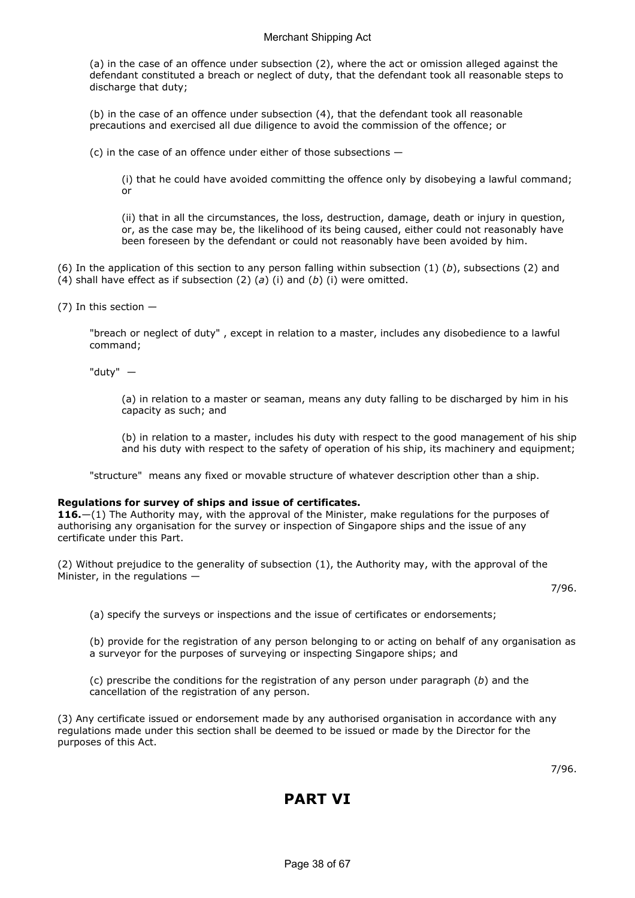(a) in the case of an offence under subsection (2), where the act or omission alleged against the defendant constituted a breach or neglect of duty, that the defendant took all reasonable steps to discharge that duty;

(b) in the case of an offence under subsection (4), that the defendant took all reasonable precautions and exercised all due diligence to avoid the commission of the offence; or

(c) in the case of an offence under either of those subsections —

(i) that he could have avoided committing the offence only by disobeying a lawful command; or

(ii) that in all the circumstances, the loss, destruction, damage, death or injury in question, or, as the case may be, the likelihood of its being caused, either could not reasonably have been foreseen by the defendant or could not reasonably have been avoided by him.

(6) In the application of this section to any person falling within subsection  $(1)$   $(b)$ , subsections  $(2)$  and (4) shall have effect as if subsection (2) (a) (i) and (b) (i) were omitted.

(7) In this section —

"breach or neglect of duty" , except in relation to a master, includes any disobedience to a lawful command;

"duty" —

(a) in relation to a master or seaman, means any duty falling to be discharged by him in his capacity as such; and

(b) in relation to a master, includes his duty with respect to the good management of his ship and his duty with respect to the safety of operation of his ship, its machinery and equipment;

"structure" means any fixed or movable structure of whatever description other than a ship.

## Regulations for survey of ships and issue of certificates.

116.—(1) The Authority may, with the approval of the Minister, make regulations for the purposes of authorising any organisation for the survey or inspection of Singapore ships and the issue of any certificate under this Part.

(2) Without prejudice to the generality of subsection (1), the Authority may, with the approval of the Minister, in the regulations —

7/96.

(a) specify the surveys or inspections and the issue of certificates or endorsements;

(b) provide for the registration of any person belonging to or acting on behalf of any organisation as a surveyor for the purposes of surveying or inspecting Singapore ships; and

(c) prescribe the conditions for the registration of any person under paragraph  $(b)$  and the cancellation of the registration of any person.

(3) Any certificate issued or endorsement made by any authorised organisation in accordance with any regulations made under this section shall be deemed to be issued or made by the Director for the purposes of this Act.

7/96.

## PART VI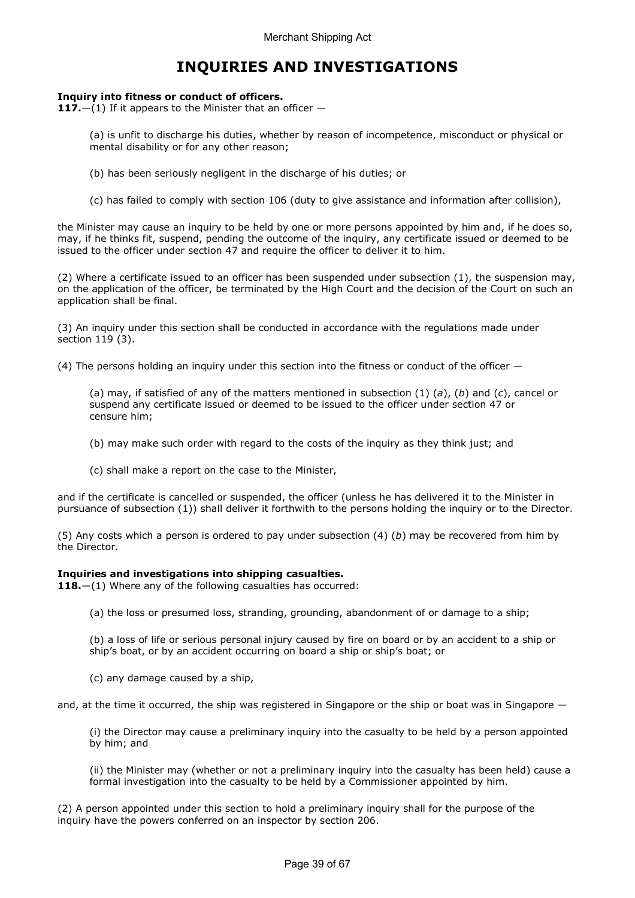## INQUIRIES AND INVESTIGATIONS

## Inquiry into fitness or conduct of officers.

117. $-(1)$  If it appears to the Minister that an officer  $-$ 

(a) is unfit to discharge his duties, whether by reason of incompetence, misconduct or physical or mental disability or for any other reason;

- (b) has been seriously negligent in the discharge of his duties; or
- (c) has failed to comply with section 106 (duty to give assistance and information after collision),

the Minister may cause an inquiry to be held by one or more persons appointed by him and, if he does so, may, if he thinks fit, suspend, pending the outcome of the inquiry, any certificate issued or deemed to be issued to the officer under section 47 and require the officer to deliver it to him.

(2) Where a certificate issued to an officer has been suspended under subsection (1), the suspension may, on the application of the officer, be terminated by the High Court and the decision of the Court on such an application shall be final.

(3) An inquiry under this section shall be conducted in accordance with the regulations made under section 119 (3).

(4) The persons holding an inquiry under this section into the fitness or conduct of the officer —

(a) may, if satisfied of any of the matters mentioned in subsection  $(1)$   $(a)$ ,  $(b)$  and  $(c)$ , cancel or suspend any certificate issued or deemed to be issued to the officer under section 47 or censure him;

- (b) may make such order with regard to the costs of the inquiry as they think just; and
- (c) shall make a report on the case to the Minister,

and if the certificate is cancelled or suspended, the officer (unless he has delivered it to the Minister in pursuance of subsection (1)) shall deliver it forthwith to the persons holding the inquiry or to the Director.

(5) Any costs which a person is ordered to pay under subsection  $(4)$   $(b)$  may be recovered from him by the Director.

## Inquiries and investigations into shipping casualties.

118.—(1) Where any of the following casualties has occurred:

(a) the loss or presumed loss, stranding, grounding, abandonment of or damage to a ship;

(b) a loss of life or serious personal injury caused by fire on board or by an accident to a ship or ship's boat, or by an accident occurring on board a ship or ship's boat; or

(c) any damage caused by a ship,

and, at the time it occurred, the ship was registered in Singapore or the ship or boat was in Singapore  $-$ 

(i) the Director may cause a preliminary inquiry into the casualty to be held by a person appointed by him; and

(ii) the Minister may (whether or not a preliminary inquiry into the casualty has been held) cause a formal investigation into the casualty to be held by a Commissioner appointed by him.

(2) A person appointed under this section to hold a preliminary inquiry shall for the purpose of the inquiry have the powers conferred on an inspector by section 206.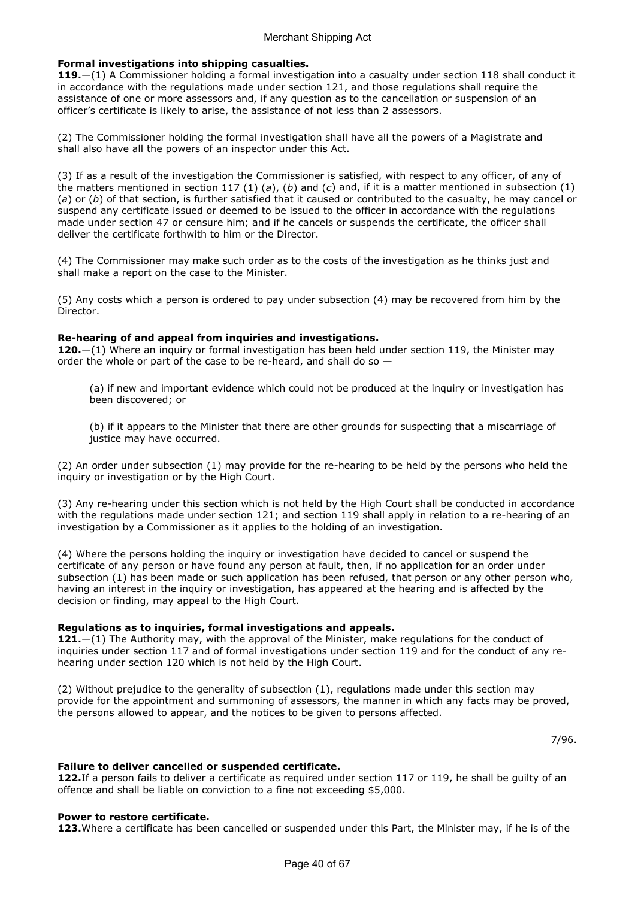## Formal investigations into shipping casualties.

119.—(1) A Commissioner holding a formal investigation into a casualty under section 118 shall conduct it in accordance with the regulations made under section 121, and those regulations shall require the assistance of one or more assessors and, if any question as to the cancellation or suspension of an officer's certificate is likely to arise, the assistance of not less than 2 assessors.

(2) The Commissioner holding the formal investigation shall have all the powers of a Magistrate and shall also have all the powers of an inspector under this Act.

(3) If as a result of the investigation the Commissioner is satisfied, with respect to any officer, of any of the matters mentioned in section 117 (1) (a), (b) and (c) and, if it is a matter mentioned in subsection (1) (a) or (b) of that section, is further satisfied that it caused or contributed to the casualty, he may cancel or suspend any certificate issued or deemed to be issued to the officer in accordance with the regulations made under section 47 or censure him; and if he cancels or suspends the certificate, the officer shall deliver the certificate forthwith to him or the Director.

(4) The Commissioner may make such order as to the costs of the investigation as he thinks just and shall make a report on the case to the Minister.

(5) Any costs which a person is ordered to pay under subsection (4) may be recovered from him by the Director.

## Re-hearing of and appeal from inquiries and investigations.

120. $-(1)$  Where an inquiry or formal investigation has been held under section 119, the Minister may order the whole or part of the case to be re-heard, and shall do so —

(a) if new and important evidence which could not be produced at the inquiry or investigation has been discovered; or

(b) if it appears to the Minister that there are other grounds for suspecting that a miscarriage of justice may have occurred.

(2) An order under subsection (1) may provide for the re-hearing to be held by the persons who held the inquiry or investigation or by the High Court.

(3) Any re-hearing under this section which is not held by the High Court shall be conducted in accordance with the regulations made under section 121; and section 119 shall apply in relation to a re-hearing of an investigation by a Commissioner as it applies to the holding of an investigation.

(4) Where the persons holding the inquiry or investigation have decided to cancel or suspend the certificate of any person or have found any person at fault, then, if no application for an order under subsection (1) has been made or such application has been refused, that person or any other person who, having an interest in the inquiry or investigation, has appeared at the hearing and is affected by the decision or finding, may appeal to the High Court.

## Regulations as to inquiries, formal investigations and appeals.

121. $-(1)$  The Authority may, with the approval of the Minister, make regulations for the conduct of inquiries under section 117 and of formal investigations under section 119 and for the conduct of any rehearing under section 120 which is not held by the High Court.

(2) Without prejudice to the generality of subsection (1), regulations made under this section may provide for the appointment and summoning of assessors, the manner in which any facts may be proved, the persons allowed to appear, and the notices to be given to persons affected.

7/96.

## Failure to deliver cancelled or suspended certificate.

122. If a person fails to deliver a certificate as required under section 117 or 119, he shall be quilty of an offence and shall be liable on conviction to a fine not exceeding \$5,000.

#### Power to restore certificate.

123. Where a certificate has been cancelled or suspended under this Part, the Minister may, if he is of the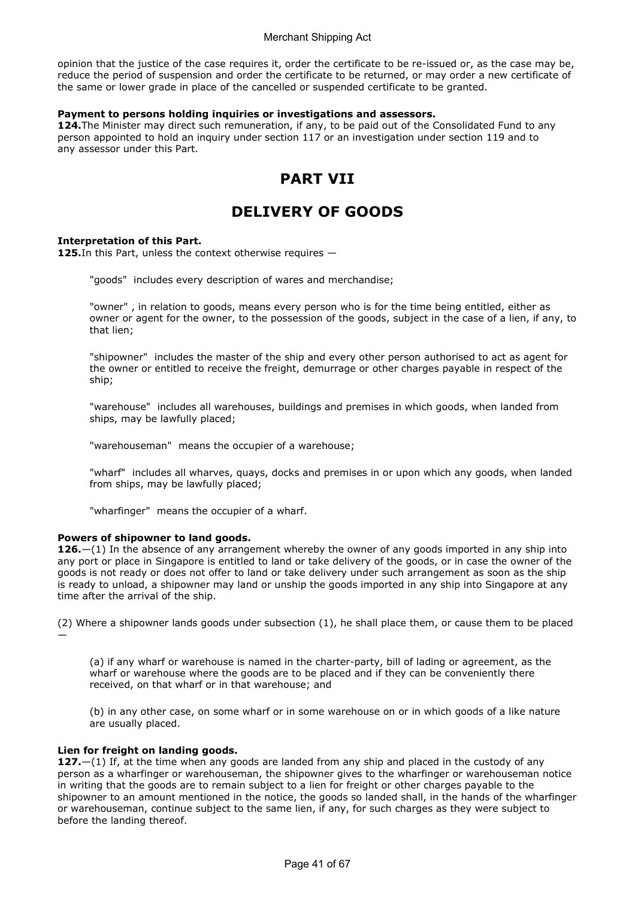opinion that the justice of the case requires it, order the certificate to be re-issued or, as the case may be, reduce the period of suspension and order the certificate to be returned, or may order a new certificate of the same or lower grade in place of the cancelled or suspended certificate to be granted.

## Payment to persons holding inquiries or investigations and assessors.

124. The Minister may direct such remuneration, if any, to be paid out of the Consolidated Fund to any person appointed to hold an inquiry under section 117 or an investigation under section 119 and to any assessor under this Part.

## PART VII

# DELIVERY OF GOODS

## Interpretation of this Part.

125. In this Part, unless the context otherwise requires  $-$ 

"goods" includes every description of wares and merchandise;

"owner" , in relation to goods, means every person who is for the time being entitled, either as owner or agent for the owner, to the possession of the goods, subject in the case of a lien, if any, to that lien;

"shipowner" includes the master of the ship and every other person authorised to act as agent for the owner or entitled to receive the freight, demurrage or other charges payable in respect of the ship;

"warehouse" includes all warehouses, buildings and premises in which goods, when landed from ships, may be lawfully placed;

"warehouseman" means the occupier of a warehouse;

"wharf" includes all wharves, quays, docks and premises in or upon which any goods, when landed from ships, may be lawfully placed;

"wharfinger" means the occupier of a wharf.

## Powers of shipowner to land goods.

126. $-(1)$  In the absence of any arrangement whereby the owner of any goods imported in any ship into any port or place in Singapore is entitled to land or take delivery of the goods, or in case the owner of the goods is not ready or does not offer to land or take delivery under such arrangement as soon as the ship is ready to unload, a shipowner may land or unship the goods imported in any ship into Singapore at any time after the arrival of the ship.

(2) Where a shipowner lands goods under subsection (1), he shall place them, or cause them to be placed

(a) if any wharf or warehouse is named in the charter-party, bill of lading or agreement, as the wharf or warehouse where the goods are to be placed and if they can be conveniently there received, on that wharf or in that warehouse; and

(b) in any other case, on some wharf or in some warehouse on or in which goods of a like nature are usually placed.

## Lien for freight on landing goods.

—

127. $-(1)$  If, at the time when any goods are landed from any ship and placed in the custody of any person as a wharfinger or warehouseman, the shipowner gives to the wharfinger or warehouseman notice in writing that the goods are to remain subject to a lien for freight or other charges payable to the shipowner to an amount mentioned in the notice, the goods so landed shall, in the hands of the wharfinger or warehouseman, continue subject to the same lien, if any, for such charges as they were subject to before the landing thereof.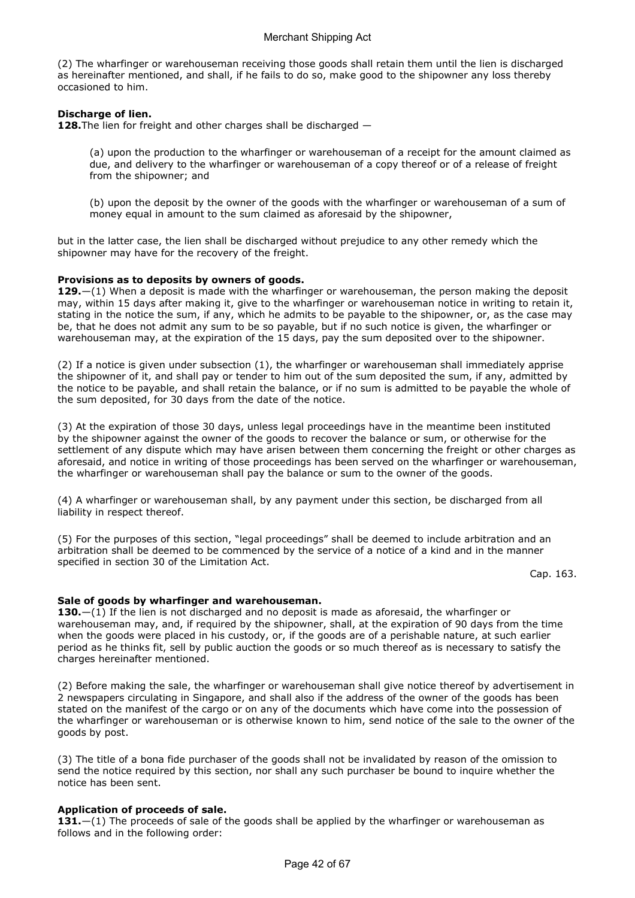(2) The wharfinger or warehouseman receiving those goods shall retain them until the lien is discharged as hereinafter mentioned, and shall, if he fails to do so, make good to the shipowner any loss thereby occasioned to him.

## Discharge of lien.

128. The lien for freight and other charges shall be discharged  $-$ 

(a) upon the production to the wharfinger or warehouseman of a receipt for the amount claimed as due, and delivery to the wharfinger or warehouseman of a copy thereof or of a release of freight from the shipowner; and

(b) upon the deposit by the owner of the goods with the wharfinger or warehouseman of a sum of money equal in amount to the sum claimed as aforesaid by the shipowner,

but in the latter case, the lien shall be discharged without prejudice to any other remedy which the shipowner may have for the recovery of the freight.

## Provisions as to deposits by owners of goods.

129. $-(1)$  When a deposit is made with the wharfinger or warehouseman, the person making the deposit may, within 15 days after making it, give to the wharfinger or warehouseman notice in writing to retain it, stating in the notice the sum, if any, which he admits to be payable to the shipowner, or, as the case may be, that he does not admit any sum to be so payable, but if no such notice is given, the wharfinger or warehouseman may, at the expiration of the 15 days, pay the sum deposited over to the shipowner.

(2) If a notice is given under subsection (1), the wharfinger or warehouseman shall immediately apprise the shipowner of it, and shall pay or tender to him out of the sum deposited the sum, if any, admitted by the notice to be payable, and shall retain the balance, or if no sum is admitted to be payable the whole of the sum deposited, for 30 days from the date of the notice.

(3) At the expiration of those 30 days, unless legal proceedings have in the meantime been instituted by the shipowner against the owner of the goods to recover the balance or sum, or otherwise for the settlement of any dispute which may have arisen between them concerning the freight or other charges as aforesaid, and notice in writing of those proceedings has been served on the wharfinger or warehouseman, the wharfinger or warehouseman shall pay the balance or sum to the owner of the goods.

(4) A wharfinger or warehouseman shall, by any payment under this section, be discharged from all liability in respect thereof.

(5) For the purposes of this section, "legal proceedings" shall be deemed to include arbitration and an arbitration shall be deemed to be commenced by the service of a notice of a kind and in the manner specified in section 30 of the Limitation Act.

Cap. 163.

## Sale of goods by wharfinger and warehouseman.

130. $-(1)$  If the lien is not discharged and no deposit is made as aforesaid, the wharfinger or warehouseman may, and, if required by the shipowner, shall, at the expiration of 90 days from the time when the goods were placed in his custody, or, if the goods are of a perishable nature, at such earlier period as he thinks fit, sell by public auction the goods or so much thereof as is necessary to satisfy the charges hereinafter mentioned.

(2) Before making the sale, the wharfinger or warehouseman shall give notice thereof by advertisement in 2 newspapers circulating in Singapore, and shall also if the address of the owner of the goods has been stated on the manifest of the cargo or on any of the documents which have come into the possession of the wharfinger or warehouseman or is otherwise known to him, send notice of the sale to the owner of the goods by post.

(3) The title of a bona fide purchaser of the goods shall not be invalidated by reason of the omission to send the notice required by this section, nor shall any such purchaser be bound to inquire whether the notice has been sent.

## Application of proceeds of sale.

131. $-(1)$  The proceeds of sale of the goods shall be applied by the wharfinger or warehouseman as follows and in the following order: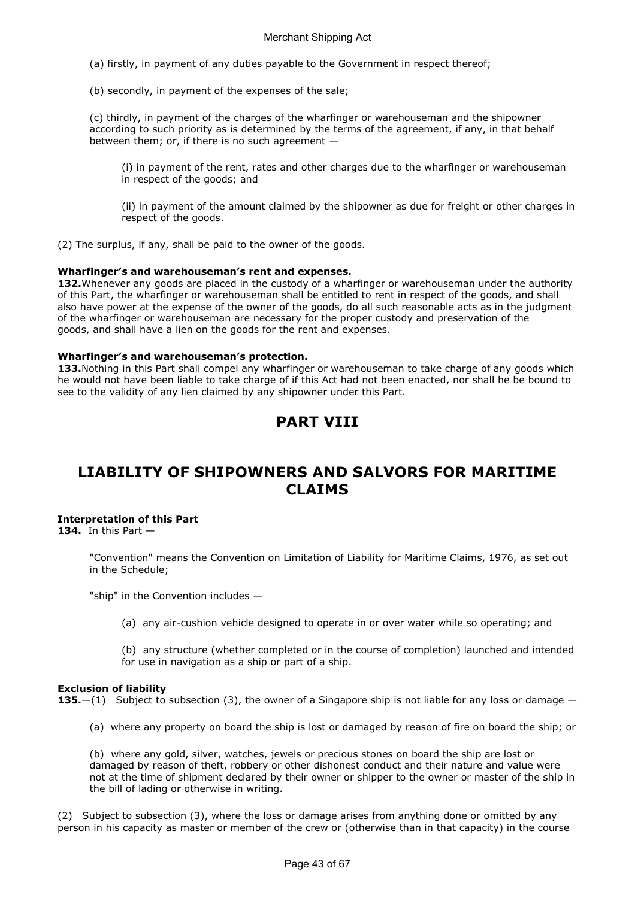(a) firstly, in payment of any duties payable to the Government in respect thereof;

(b) secondly, in payment of the expenses of the sale;

(c) thirdly, in payment of the charges of the wharfinger or warehouseman and the shipowner according to such priority as is determined by the terms of the agreement, if any, in that behalf between them; or, if there is no such agreement —

(i) in payment of the rent, rates and other charges due to the wharfinger or warehouseman in respect of the goods; and

(ii) in payment of the amount claimed by the shipowner as due for freight or other charges in respect of the goods.

(2) The surplus, if any, shall be paid to the owner of the goods.

#### Wharfinger's and warehouseman's rent and expenses.

132. Whenever any goods are placed in the custody of a wharfinger or warehouseman under the authority of this Part, the wharfinger or warehouseman shall be entitled to rent in respect of the goods, and shall also have power at the expense of the owner of the goods, do all such reasonable acts as in the judgment of the wharfinger or warehouseman are necessary for the proper custody and preservation of the goods, and shall have a lien on the goods for the rent and expenses.

#### Wharfinger's and warehouseman's protection.

133. Nothing in this Part shall compel any wharfinger or warehouseman to take charge of any goods which he would not have been liable to take charge of if this Act had not been enacted, nor shall he be bound to see to the validity of any lien claimed by any shipowner under this Part.

## PART VIII

## LIABILITY OF SHIPOWNERS AND SALVORS FOR MARITIME CLAIMS

## Interpretation of this Part

134. In this Part  $-$ 

"Convention" means the Convention on Limitation of Liability for Maritime Claims, 1976, as set out in the Schedule;

"ship" in the Convention includes —

(a) any air-cushion vehicle designed to operate in or over water while so operating; and

(b) any structure (whether completed or in the course of completion) launched and intended for use in navigation as a ship or part of a ship.

## Exclusion of liability

**135.**—(1) Subject to subsection (3), the owner of a Singapore ship is not liable for any loss or damage —

(a) where any property on board the ship is lost or damaged by reason of fire on board the ship; or

(b) where any gold, silver, watches, jewels or precious stones on board the ship are lost or damaged by reason of theft, robbery or other dishonest conduct and their nature and value were not at the time of shipment declared by their owner or shipper to the owner or master of the ship in the bill of lading or otherwise in writing.

(2) Subject to subsection (3), where the loss or damage arises from anything done or omitted by any person in his capacity as master or member of the crew or (otherwise than in that capacity) in the course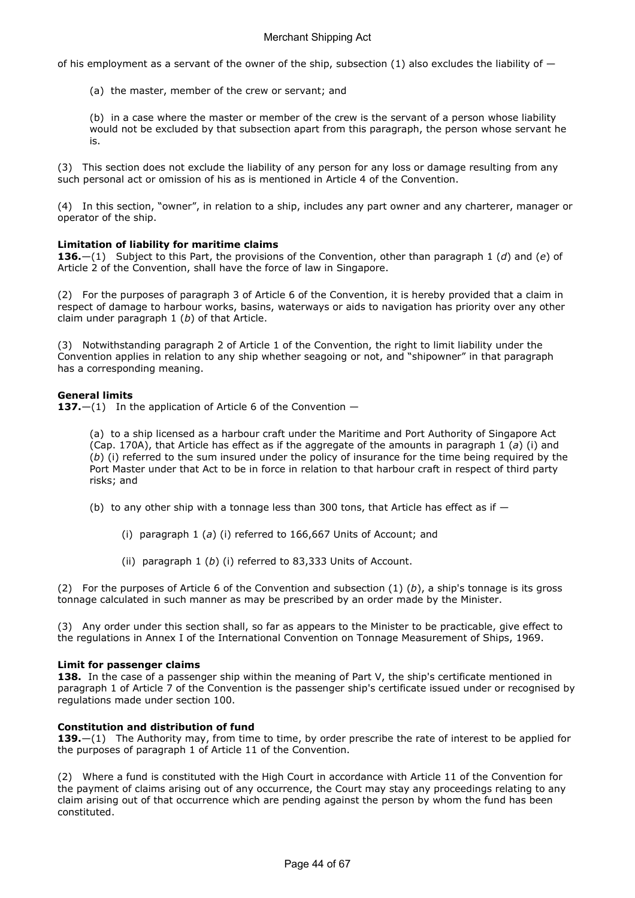of his employment as a servant of the owner of the ship, subsection  $(1)$  also excludes the liability of  $-$ 

(a) the master, member of the crew or servant; and

(b) in a case where the master or member of the crew is the servant of a person whose liability would not be excluded by that subsection apart from this paragraph, the person whose servant he is.

(3) This section does not exclude the liability of any person for any loss or damage resulting from any such personal act or omission of his as is mentioned in Article 4 of the Convention.

(4) In this section, "owner", in relation to a ship, includes any part owner and any charterer, manager or operator of the ship.

## Limitation of liability for maritime claims

136.—(1) Subject to this Part, the provisions of the Convention, other than paragraph 1 (d) and (e) of Article 2 of the Convention, shall have the force of law in Singapore.

(2) For the purposes of paragraph 3 of Article 6 of the Convention, it is hereby provided that a claim in respect of damage to harbour works, basins, waterways or aids to navigation has priority over any other claim under paragraph  $1$  (b) of that Article.

(3) Notwithstanding paragraph 2 of Article 1 of the Convention, the right to limit liability under the Convention applies in relation to any ship whether seagoing or not, and "shipowner" in that paragraph has a corresponding meaning.

## General limits

137. $-(1)$  In the application of Article 6 of the Convention  $-$ 

(a) to a ship licensed as a harbour craft under the Maritime and Port Authority of Singapore Act (Cap. 170A), that Article has effect as if the aggregate of the amounts in paragraph  $1$  (a) (i) and (b) (i) referred to the sum insured under the policy of insurance for the time being required by the Port Master under that Act to be in force in relation to that harbour craft in respect of third party risks; and

(b) to any other ship with a tonnage less than 300 tons, that Article has effect as if  $-$ 

- (i) paragraph 1 (a) (i) referred to 166,667 Units of Account; and
- (ii) paragraph  $1$  (b) (i) referred to 83,333 Units of Account.

(2) For the purposes of Article 6 of the Convention and subsection  $(1)$   $(b)$ , a ship's tonnage is its gross tonnage calculated in such manner as may be prescribed by an order made by the Minister.

(3) Any order under this section shall, so far as appears to the Minister to be practicable, give effect to the regulations in Annex I of the International Convention on Tonnage Measurement of Ships, 1969.

## Limit for passenger claims

138. In the case of a passenger ship within the meaning of Part V, the ship's certificate mentioned in paragraph 1 of Article 7 of the Convention is the passenger ship's certificate issued under or recognised by regulations made under section 100.

## Constitution and distribution of fund

139. $-(1)$  The Authority may, from time to time, by order prescribe the rate of interest to be applied for the purposes of paragraph 1 of Article 11 of the Convention.

(2) Where a fund is constituted with the High Court in accordance with Article 11 of the Convention for the payment of claims arising out of any occurrence, the Court may stay any proceedings relating to any claim arising out of that occurrence which are pending against the person by whom the fund has been constituted.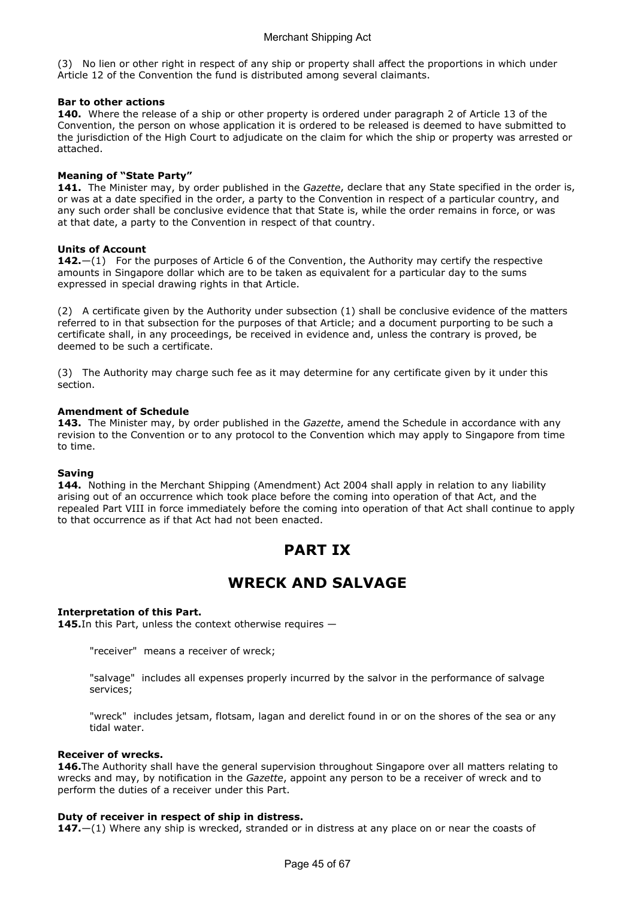(3) No lien or other right in respect of any ship or property shall affect the proportions in which under Article 12 of the Convention the fund is distributed among several claimants.

## Bar to other actions

140. Where the release of a ship or other property is ordered under paragraph 2 of Article 13 of the Convention, the person on whose application it is ordered to be released is deemed to have submitted to the jurisdiction of the High Court to adjudicate on the claim for which the ship or property was arrested or attached.

## Meaning of "State Party"

141. The Minister may, by order published in the Gazette, declare that any State specified in the order is, or was at a date specified in the order, a party to the Convention in respect of a particular country, and any such order shall be conclusive evidence that that State is, while the order remains in force, or was at that date, a party to the Convention in respect of that country.

## Units of Account

**142.**—(1) For the purposes of Article 6 of the Convention, the Authority may certify the respective amounts in Singapore dollar which are to be taken as equivalent for a particular day to the sums expressed in special drawing rights in that Article.

(2) A certificate given by the Authority under subsection (1) shall be conclusive evidence of the matters referred to in that subsection for the purposes of that Article; and a document purporting to be such a certificate shall, in any proceedings, be received in evidence and, unless the contrary is proved, be deemed to be such a certificate.

(3) The Authority may charge such fee as it may determine for any certificate given by it under this section.

## Amendment of Schedule

143. The Minister may, by order published in the Gazette, amend the Schedule in accordance with any revision to the Convention or to any protocol to the Convention which may apply to Singapore from time to time.

## Saving

144. Nothing in the Merchant Shipping (Amendment) Act 2004 shall apply in relation to any liability arising out of an occurrence which took place before the coming into operation of that Act, and the repealed Part VIII in force immediately before the coming into operation of that Act shall continue to apply to that occurrence as if that Act had not been enacted.

# PART IX

## WRECK AND SALVAGE

## Interpretation of this Part.

145. In this Part, unless the context otherwise requires  $-$ 

"receiver" means a receiver of wreck;

"salvage" includes all expenses properly incurred by the salvor in the performance of salvage services;

"wreck" includes jetsam, flotsam, lagan and derelict found in or on the shores of the sea or any tidal water.

## Receiver of wrecks.

146. The Authority shall have the general supervision throughout Singapore over all matters relating to wrecks and may, by notification in the Gazette, appoint any person to be a receiver of wreck and to perform the duties of a receiver under this Part.

## Duty of receiver in respect of ship in distress.

147. $-(1)$  Where any ship is wrecked, stranded or in distress at any place on or near the coasts of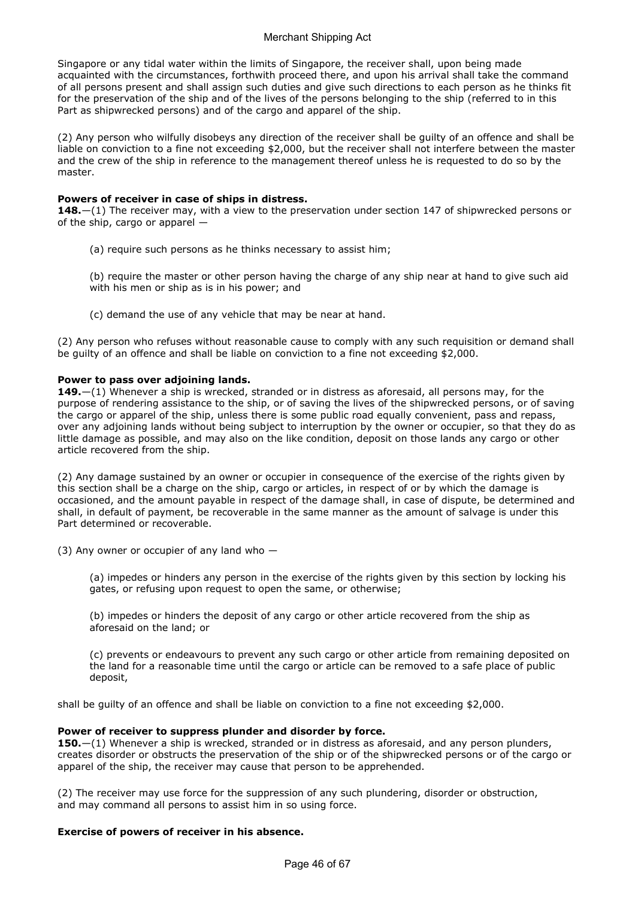Singapore or any tidal water within the limits of Singapore, the receiver shall, upon being made acquainted with the circumstances, forthwith proceed there, and upon his arrival shall take the command of all persons present and shall assign such duties and give such directions to each person as he thinks fit for the preservation of the ship and of the lives of the persons belonging to the ship (referred to in this Part as shipwrecked persons) and of the cargo and apparel of the ship.

(2) Any person who wilfully disobeys any direction of the receiver shall be guilty of an offence and shall be liable on conviction to a fine not exceeding \$2,000, but the receiver shall not interfere between the master and the crew of the ship in reference to the management thereof unless he is requested to do so by the master.

## Powers of receiver in case of ships in distress.

148.—(1) The receiver may, with a view to the preservation under section 147 of shipwrecked persons or of the ship, cargo or apparel —

(a) require such persons as he thinks necessary to assist him;

(b) require the master or other person having the charge of any ship near at hand to give such aid with his men or ship as is in his power; and

(c) demand the use of any vehicle that may be near at hand.

(2) Any person who refuses without reasonable cause to comply with any such requisition or demand shall be guilty of an offence and shall be liable on conviction to a fine not exceeding \$2,000.

## Power to pass over adjoining lands.

**149.**—(1) Whenever a ship is wrecked, stranded or in distress as aforesaid, all persons may, for the purpose of rendering assistance to the ship, or of saving the lives of the shipwrecked persons, or of saving the cargo or apparel of the ship, unless there is some public road equally convenient, pass and repass, over any adjoining lands without being subject to interruption by the owner or occupier, so that they do as little damage as possible, and may also on the like condition, deposit on those lands any cargo or other article recovered from the ship.

(2) Any damage sustained by an owner or occupier in consequence of the exercise of the rights given by this section shall be a charge on the ship, cargo or articles, in respect of or by which the damage is occasioned, and the amount payable in respect of the damage shall, in case of dispute, be determined and shall, in default of payment, be recoverable in the same manner as the amount of salvage is under this Part determined or recoverable.

(3) Any owner or occupier of any land who  $-$ 

(a) impedes or hinders any person in the exercise of the rights given by this section by locking his gates, or refusing upon request to open the same, or otherwise;

(b) impedes or hinders the deposit of any cargo or other article recovered from the ship as aforesaid on the land; or

(c) prevents or endeavours to prevent any such cargo or other article from remaining deposited on the land for a reasonable time until the cargo or article can be removed to a safe place of public deposit,

shall be guilty of an offence and shall be liable on conviction to a fine not exceeding \$2,000.

## Power of receiver to suppress plunder and disorder by force.

**150.**—(1) Whenever a ship is wrecked, stranded or in distress as aforesaid, and any person plunders, creates disorder or obstructs the preservation of the ship or of the shipwrecked persons or of the cargo or apparel of the ship, the receiver may cause that person to be apprehended.

(2) The receiver may use force for the suppression of any such plundering, disorder or obstruction, and may command all persons to assist him in so using force.

## Exercise of powers of receiver in his absence.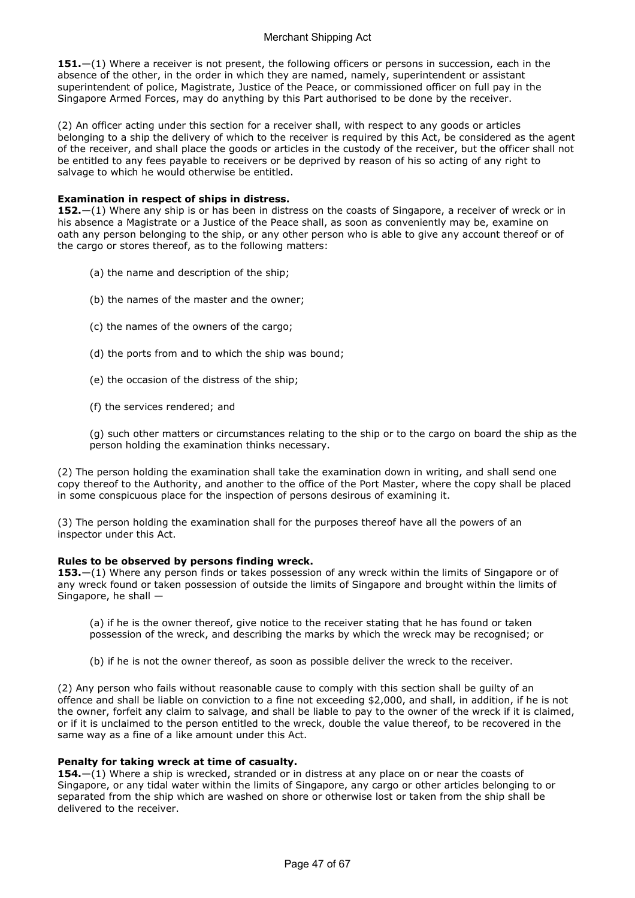151.—(1) Where a receiver is not present, the following officers or persons in succession, each in the absence of the other, in the order in which they are named, namely, superintendent or assistant superintendent of police, Magistrate, Justice of the Peace, or commissioned officer on full pay in the Singapore Armed Forces, may do anything by this Part authorised to be done by the receiver.

(2) An officer acting under this section for a receiver shall, with respect to any goods or articles belonging to a ship the delivery of which to the receiver is required by this Act, be considered as the agent of the receiver, and shall place the goods or articles in the custody of the receiver, but the officer shall not be entitled to any fees payable to receivers or be deprived by reason of his so acting of any right to salvage to which he would otherwise be entitled.

## Examination in respect of ships in distress.

152.—(1) Where any ship is or has been in distress on the coasts of Singapore, a receiver of wreck or in his absence a Magistrate or a Justice of the Peace shall, as soon as conveniently may be, examine on oath any person belonging to the ship, or any other person who is able to give any account thereof or of the cargo or stores thereof, as to the following matters:

- (a) the name and description of the ship;
- (b) the names of the master and the owner;
- (c) the names of the owners of the cargo;
- (d) the ports from and to which the ship was bound;
- (e) the occasion of the distress of the ship;
- (f) the services rendered; and

(g) such other matters or circumstances relating to the ship or to the cargo on board the ship as the person holding the examination thinks necessary.

(2) The person holding the examination shall take the examination down in writing, and shall send one copy thereof to the Authority, and another to the office of the Port Master, where the copy shall be placed in some conspicuous place for the inspection of persons desirous of examining it.

(3) The person holding the examination shall for the purposes thereof have all the powers of an inspector under this Act.

## Rules to be observed by persons finding wreck.

153.—(1) Where any person finds or takes possession of any wreck within the limits of Singapore or of any wreck found or taken possession of outside the limits of Singapore and brought within the limits of Singapore, he shall —

(a) if he is the owner thereof, give notice to the receiver stating that he has found or taken possession of the wreck, and describing the marks by which the wreck may be recognised; or

(b) if he is not the owner thereof, as soon as possible deliver the wreck to the receiver.

(2) Any person who fails without reasonable cause to comply with this section shall be guilty of an offence and shall be liable on conviction to a fine not exceeding \$2,000, and shall, in addition, if he is not the owner, forfeit any claim to salvage, and shall be liable to pay to the owner of the wreck if it is claimed, or if it is unclaimed to the person entitled to the wreck, double the value thereof, to be recovered in the same way as a fine of a like amount under this Act.

## Penalty for taking wreck at time of casualty.

154. $-(1)$  Where a ship is wrecked, stranded or in distress at any place on or near the coasts of Singapore, or any tidal water within the limits of Singapore, any cargo or other articles belonging to or separated from the ship which are washed on shore or otherwise lost or taken from the ship shall be delivered to the receiver.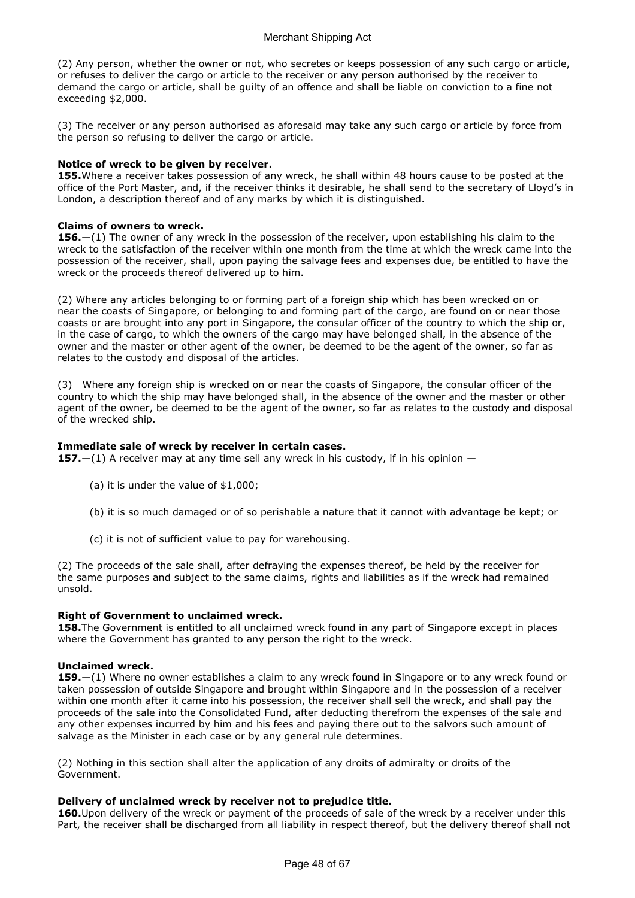(2) Any person, whether the owner or not, who secretes or keeps possession of any such cargo or article, or refuses to deliver the cargo or article to the receiver or any person authorised by the receiver to demand the cargo or article, shall be guilty of an offence and shall be liable on conviction to a fine not exceeding \$2,000.

(3) The receiver or any person authorised as aforesaid may take any such cargo or article by force from the person so refusing to deliver the cargo or article.

#### Notice of wreck to be given by receiver.

155. Where a receiver takes possession of any wreck, he shall within 48 hours cause to be posted at the office of the Port Master, and, if the receiver thinks it desirable, he shall send to the secretary of Lloyd's in London, a description thereof and of any marks by which it is distinguished.

#### Claims of owners to wreck.

**156.** $-(1)$  The owner of any wreck in the possession of the receiver, upon establishing his claim to the wreck to the satisfaction of the receiver within one month from the time at which the wreck came into the possession of the receiver, shall, upon paying the salvage fees and expenses due, be entitled to have the wreck or the proceeds thereof delivered up to him.

(2) Where any articles belonging to or forming part of a foreign ship which has been wrecked on or near the coasts of Singapore, or belonging to and forming part of the cargo, are found on or near those coasts or are brought into any port in Singapore, the consular officer of the country to which the ship or, in the case of cargo, to which the owners of the cargo may have belonged shall, in the absence of the owner and the master or other agent of the owner, be deemed to be the agent of the owner, so far as relates to the custody and disposal of the articles.

(3) Where any foreign ship is wrecked on or near the coasts of Singapore, the consular officer of the country to which the ship may have belonged shall, in the absence of the owner and the master or other agent of the owner, be deemed to be the agent of the owner, so far as relates to the custody and disposal of the wrecked ship.

#### Immediate sale of wreck by receiver in certain cases.

**157.**—(1) A receiver may at any time sell any wreck in his custody, if in his opinion —

- (a) it is under the value of \$1,000;
- (b) it is so much damaged or of so perishable a nature that it cannot with advantage be kept; or
- (c) it is not of sufficient value to pay for warehousing.

(2) The proceeds of the sale shall, after defraying the expenses thereof, be held by the receiver for the same purposes and subject to the same claims, rights and liabilities as if the wreck had remained unsold.

#### Right of Government to unclaimed wreck.

158. The Government is entitled to all unclaimed wreck found in any part of Singapore except in places where the Government has granted to any person the right to the wreck.

#### Unclaimed wreck.

159.—(1) Where no owner establishes a claim to any wreck found in Singapore or to any wreck found or taken possession of outside Singapore and brought within Singapore and in the possession of a receiver within one month after it came into his possession, the receiver shall sell the wreck, and shall pay the proceeds of the sale into the Consolidated Fund, after deducting therefrom the expenses of the sale and any other expenses incurred by him and his fees and paying there out to the salvors such amount of salvage as the Minister in each case or by any general rule determines.

(2) Nothing in this section shall alter the application of any droits of admiralty or droits of the Government.

## Delivery of unclaimed wreck by receiver not to prejudice title.

160. Upon delivery of the wreck or payment of the proceeds of sale of the wreck by a receiver under this Part, the receiver shall be discharged from all liability in respect thereof, but the delivery thereof shall not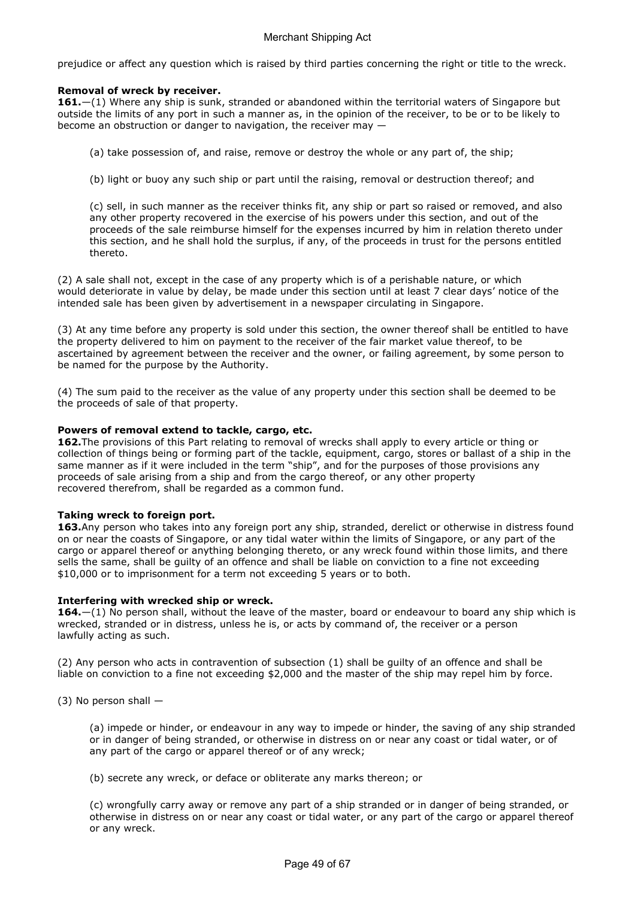prejudice or affect any question which is raised by third parties concerning the right or title to the wreck.

## Removal of wreck by receiver.

161.—(1) Where any ship is sunk, stranded or abandoned within the territorial waters of Singapore but outside the limits of any port in such a manner as, in the opinion of the receiver, to be or to be likely to become an obstruction or danger to navigation, the receiver may —

- (a) take possession of, and raise, remove or destroy the whole or any part of, the ship;
- (b) light or buoy any such ship or part until the raising, removal or destruction thereof; and

(c) sell, in such manner as the receiver thinks fit, any ship or part so raised or removed, and also any other property recovered in the exercise of his powers under this section, and out of the proceeds of the sale reimburse himself for the expenses incurred by him in relation thereto under this section, and he shall hold the surplus, if any, of the proceeds in trust for the persons entitled thereto.

(2) A sale shall not, except in the case of any property which is of a perishable nature, or which would deteriorate in value by delay, be made under this section until at least 7 clear days' notice of the intended sale has been given by advertisement in a newspaper circulating in Singapore.

(3) At any time before any property is sold under this section, the owner thereof shall be entitled to have the property delivered to him on payment to the receiver of the fair market value thereof, to be ascertained by agreement between the receiver and the owner, or failing agreement, by some person to be named for the purpose by the Authority.

(4) The sum paid to the receiver as the value of any property under this section shall be deemed to be the proceeds of sale of that property.

## Powers of removal extend to tackle, cargo, etc.

162. The provisions of this Part relating to removal of wrecks shall apply to every article or thing or collection of things being or forming part of the tackle, equipment, cargo, stores or ballast of a ship in the same manner as if it were included in the term "ship", and for the purposes of those provisions any proceeds of sale arising from a ship and from the cargo thereof, or any other property recovered therefrom, shall be regarded as a common fund.

## Taking wreck to foreign port.

163.Any person who takes into any foreign port any ship, stranded, derelict or otherwise in distress found on or near the coasts of Singapore, or any tidal water within the limits of Singapore, or any part of the cargo or apparel thereof or anything belonging thereto, or any wreck found within those limits, and there sells the same, shall be guilty of an offence and shall be liable on conviction to a fine not exceeding \$10,000 or to imprisonment for a term not exceeding 5 years or to both.

## Interfering with wrecked ship or wreck.

164.—(1) No person shall, without the leave of the master, board or endeavour to board any ship which is wrecked, stranded or in distress, unless he is, or acts by command of, the receiver or a person lawfully acting as such.

(2) Any person who acts in contravention of subsection (1) shall be guilty of an offence and shall be liable on conviction to a fine not exceeding \$2,000 and the master of the ship may repel him by force.

(3) No person shall —

(a) impede or hinder, or endeavour in any way to impede or hinder, the saving of any ship stranded or in danger of being stranded, or otherwise in distress on or near any coast or tidal water, or of any part of the cargo or apparel thereof or of any wreck;

(b) secrete any wreck, or deface or obliterate any marks thereon; or

(c) wrongfully carry away or remove any part of a ship stranded or in danger of being stranded, or otherwise in distress on or near any coast or tidal water, or any part of the cargo or apparel thereof or any wreck.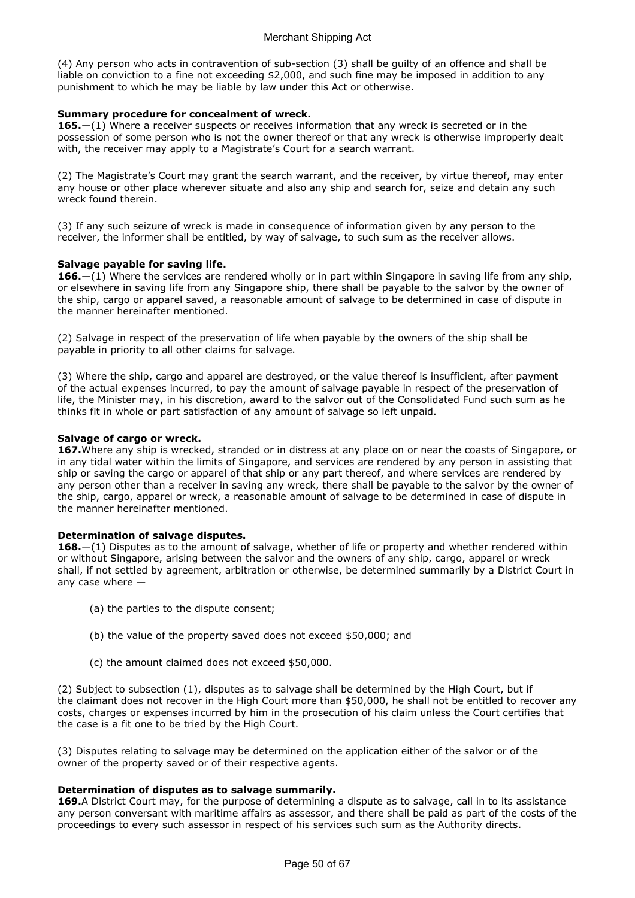(4) Any person who acts in contravention of sub-section (3) shall be guilty of an offence and shall be liable on conviction to a fine not exceeding \$2,000, and such fine may be imposed in addition to any punishment to which he may be liable by law under this Act or otherwise.

## Summary procedure for concealment of wreck.

**165.**—(1) Where a receiver suspects or receives information that any wreck is secreted or in the possession of some person who is not the owner thereof or that any wreck is otherwise improperly dealt with, the receiver may apply to a Magistrate's Court for a search warrant.

(2) The Magistrate's Court may grant the search warrant, and the receiver, by virtue thereof, may enter any house or other place wherever situate and also any ship and search for, seize and detain any such wreck found therein.

(3) If any such seizure of wreck is made in consequence of information given by any person to the receiver, the informer shall be entitled, by way of salvage, to such sum as the receiver allows.

## Salvage payable for saving life.

**166.**—(1) Where the services are rendered wholly or in part within Singapore in saving life from any ship, or elsewhere in saving life from any Singapore ship, there shall be payable to the salvor by the owner of the ship, cargo or apparel saved, a reasonable amount of salvage to be determined in case of dispute in the manner hereinafter mentioned.

(2) Salvage in respect of the preservation of life when payable by the owners of the ship shall be payable in priority to all other claims for salvage.

(3) Where the ship, cargo and apparel are destroyed, or the value thereof is insufficient, after payment of the actual expenses incurred, to pay the amount of salvage payable in respect of the preservation of life, the Minister may, in his discretion, award to the salvor out of the Consolidated Fund such sum as he thinks fit in whole or part satisfaction of any amount of salvage so left unpaid.

## Salvage of cargo or wreck.

167. Where any ship is wrecked, stranded or in distress at any place on or near the coasts of Singapore, or in any tidal water within the limits of Singapore, and services are rendered by any person in assisting that ship or saving the cargo or apparel of that ship or any part thereof, and where services are rendered by any person other than a receiver in saving any wreck, there shall be payable to the salvor by the owner of the ship, cargo, apparel or wreck, a reasonable amount of salvage to be determined in case of dispute in the manner hereinafter mentioned.

## Determination of salvage disputes.

168. $-(1)$  Disputes as to the amount of salvage, whether of life or property and whether rendered within or without Singapore, arising between the salvor and the owners of any ship, cargo, apparel or wreck shall, if not settled by agreement, arbitration or otherwise, be determined summarily by a District Court in any case where —

- (a) the parties to the dispute consent;
- (b) the value of the property saved does not exceed \$50,000; and
- (c) the amount claimed does not exceed \$50,000.

(2) Subject to subsection (1), disputes as to salvage shall be determined by the High Court, but if the claimant does not recover in the High Court more than \$50,000, he shall not be entitled to recover any costs, charges or expenses incurred by him in the prosecution of his claim unless the Court certifies that the case is a fit one to be tried by the High Court.

(3) Disputes relating to salvage may be determined on the application either of the salvor or of the owner of the property saved or of their respective agents.

## Determination of disputes as to salvage summarily.

169.A District Court may, for the purpose of determining a dispute as to salvage, call in to its assistance any person conversant with maritime affairs as assessor, and there shall be paid as part of the costs of the proceedings to every such assessor in respect of his services such sum as the Authority directs.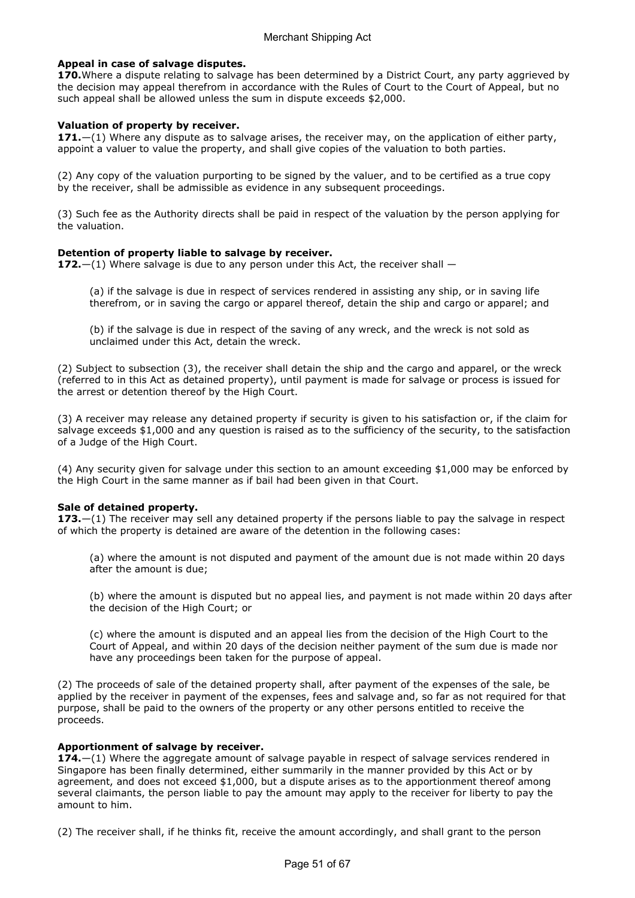## Appeal in case of salvage disputes.

170. Where a dispute relating to salvage has been determined by a District Court, any party aggrieved by the decision may appeal therefrom in accordance with the Rules of Court to the Court of Appeal, but no such appeal shall be allowed unless the sum in dispute exceeds \$2,000.

## Valuation of property by receiver.

171. $-(1)$  Where any dispute as to salvage arises, the receiver may, on the application of either party, appoint a valuer to value the property, and shall give copies of the valuation to both parties.

(2) Any copy of the valuation purporting to be signed by the valuer, and to be certified as a true copy by the receiver, shall be admissible as evidence in any subsequent proceedings.

(3) Such fee as the Authority directs shall be paid in respect of the valuation by the person applying for the valuation.

## Detention of property liable to salvage by receiver.

172. $-(1)$  Where salvage is due to any person under this Act, the receiver shall  $-$ 

(a) if the salvage is due in respect of services rendered in assisting any ship, or in saving life therefrom, or in saving the cargo or apparel thereof, detain the ship and cargo or apparel; and

(b) if the salvage is due in respect of the saving of any wreck, and the wreck is not sold as unclaimed under this Act, detain the wreck.

(2) Subject to subsection (3), the receiver shall detain the ship and the cargo and apparel, or the wreck (referred to in this Act as detained property), until payment is made for salvage or process is issued for the arrest or detention thereof by the High Court.

(3) A receiver may release any detained property if security is given to his satisfaction or, if the claim for salvage exceeds \$1,000 and any question is raised as to the sufficiency of the security, to the satisfaction of a Judge of the High Court.

(4) Any security given for salvage under this section to an amount exceeding \$1,000 may be enforced by the High Court in the same manner as if bail had been given in that Court.

## Sale of detained property.

173.—(1) The receiver may sell any detained property if the persons liable to pay the salvage in respect of which the property is detained are aware of the detention in the following cases:

(a) where the amount is not disputed and payment of the amount due is not made within 20 days after the amount is due;

(b) where the amount is disputed but no appeal lies, and payment is not made within 20 days after the decision of the High Court; or

(c) where the amount is disputed and an appeal lies from the decision of the High Court to the Court of Appeal, and within 20 days of the decision neither payment of the sum due is made nor have any proceedings been taken for the purpose of appeal.

(2) The proceeds of sale of the detained property shall, after payment of the expenses of the sale, be applied by the receiver in payment of the expenses, fees and salvage and, so far as not required for that purpose, shall be paid to the owners of the property or any other persons entitled to receive the proceeds.

## Apportionment of salvage by receiver.

174.—(1) Where the aggregate amount of salvage payable in respect of salvage services rendered in Singapore has been finally determined, either summarily in the manner provided by this Act or by agreement, and does not exceed \$1,000, but a dispute arises as to the apportionment thereof among several claimants, the person liable to pay the amount may apply to the receiver for liberty to pay the amount to him.

(2) The receiver shall, if he thinks fit, receive the amount accordingly, and shall grant to the person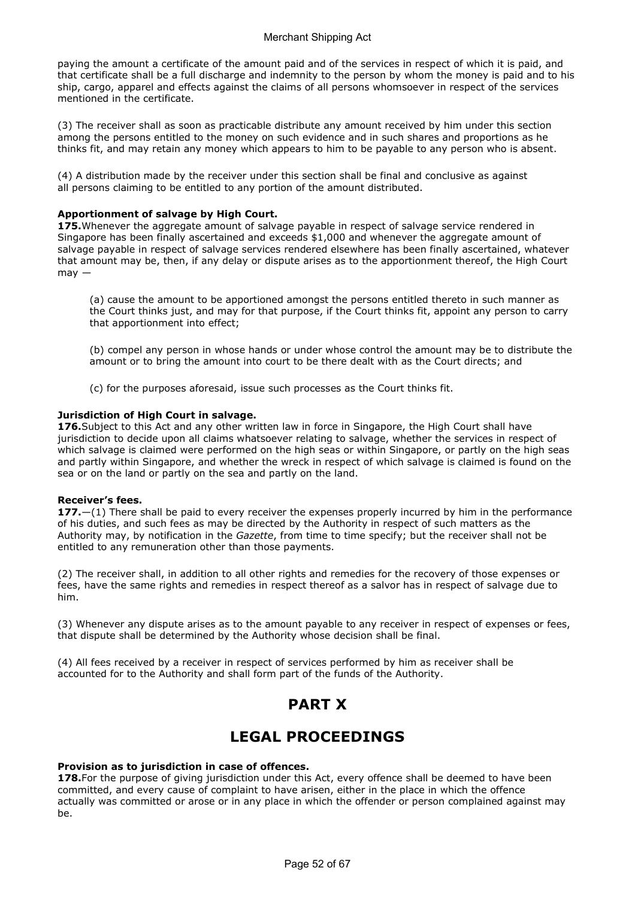paying the amount a certificate of the amount paid and of the services in respect of which it is paid, and that certificate shall be a full discharge and indemnity to the person by whom the money is paid and to his ship, cargo, apparel and effects against the claims of all persons whomsoever in respect of the services mentioned in the certificate.

(3) The receiver shall as soon as practicable distribute any amount received by him under this section among the persons entitled to the money on such evidence and in such shares and proportions as he thinks fit, and may retain any money which appears to him to be payable to any person who is absent.

(4) A distribution made by the receiver under this section shall be final and conclusive as against all persons claiming to be entitled to any portion of the amount distributed.

#### Apportionment of salvage by High Court.

175. Whenever the aggregate amount of salvage payable in respect of salvage service rendered in Singapore has been finally ascertained and exceeds \$1,000 and whenever the aggregate amount of salvage payable in respect of salvage services rendered elsewhere has been finally ascertained, whatever that amount may be, then, if any delay or dispute arises as to the apportionment thereof, the High Court  $may -$ 

(a) cause the amount to be apportioned amongst the persons entitled thereto in such manner as the Court thinks just, and may for that purpose, if the Court thinks fit, appoint any person to carry that apportionment into effect;

(b) compel any person in whose hands or under whose control the amount may be to distribute the amount or to bring the amount into court to be there dealt with as the Court directs; and

(c) for the purposes aforesaid, issue such processes as the Court thinks fit.

#### Jurisdiction of High Court in salvage.

176. Subject to this Act and any other written law in force in Singapore, the High Court shall have jurisdiction to decide upon all claims whatsoever relating to salvage, whether the services in respect of which salvage is claimed were performed on the high seas or within Singapore, or partly on the high seas and partly within Singapore, and whether the wreck in respect of which salvage is claimed is found on the sea or on the land or partly on the sea and partly on the land.

#### Receiver's fees.

177. $-(1)$  There shall be paid to every receiver the expenses properly incurred by him in the performance of his duties, and such fees as may be directed by the Authority in respect of such matters as the Authority may, by notification in the Gazette, from time to time specify; but the receiver shall not be entitled to any remuneration other than those payments.

(2) The receiver shall, in addition to all other rights and remedies for the recovery of those expenses or fees, have the same rights and remedies in respect thereof as a salvor has in respect of salvage due to him.

(3) Whenever any dispute arises as to the amount payable to any receiver in respect of expenses or fees, that dispute shall be determined by the Authority whose decision shall be final.

(4) All fees received by a receiver in respect of services performed by him as receiver shall be accounted for to the Authority and shall form part of the funds of the Authority.

## PART X

## LEGAL PROCEEDINGS

## Provision as to jurisdiction in case of offences.

178. For the purpose of giving jurisdiction under this Act, every offence shall be deemed to have been committed, and every cause of complaint to have arisen, either in the place in which the offence actually was committed or arose or in any place in which the offender or person complained against may  $h$  $\rho$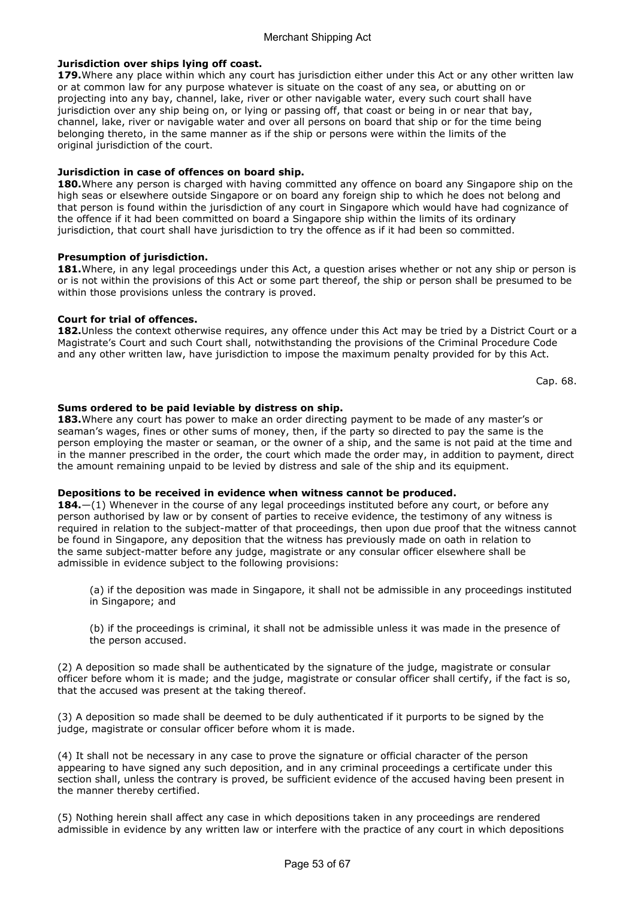## Jurisdiction over ships lying off coast.

179. Where any place within which any court has jurisdiction either under this Act or any other written law or at common law for any purpose whatever is situate on the coast of any sea, or abutting on or projecting into any bay, channel, lake, river or other navigable water, every such court shall have jurisdiction over any ship being on, or lying or passing off, that coast or being in or near that bay, channel, lake, river or navigable water and over all persons on board that ship or for the time being belonging thereto, in the same manner as if the ship or persons were within the limits of the original jurisdiction of the court.

## Jurisdiction in case of offences on board ship.

180. Where any person is charged with having committed any offence on board any Singapore ship on the high seas or elsewhere outside Singapore or on board any foreign ship to which he does not belong and that person is found within the jurisdiction of any court in Singapore which would have had cognizance of the offence if it had been committed on board a Singapore ship within the limits of its ordinary jurisdiction, that court shall have jurisdiction to try the offence as if it had been so committed.

## Presumption of jurisdiction.

181. Where, in any legal proceedings under this Act, a question arises whether or not any ship or person is or is not within the provisions of this Act or some part thereof, the ship or person shall be presumed to be within those provisions unless the contrary is proved.

## Court for trial of offences.

182. Unless the context otherwise requires, any offence under this Act may be tried by a District Court or a Magistrate's Court and such Court shall, notwithstanding the provisions of the Criminal Procedure Code and any other written law, have jurisdiction to impose the maximum penalty provided for by this Act.

Cap. 68.

## Sums ordered to be paid leviable by distress on ship.

183. Where any court has power to make an order directing payment to be made of any master's or seaman's wages, fines or other sums of money, then, if the party so directed to pay the same is the person employing the master or seaman, or the owner of a ship, and the same is not paid at the time and in the manner prescribed in the order, the court which made the order may, in addition to payment, direct the amount remaining unpaid to be levied by distress and sale of the ship and its equipment.

## Depositions to be received in evidence when witness cannot be produced.

184.—(1) Whenever in the course of any legal proceedings instituted before any court, or before any person authorised by law or by consent of parties to receive evidence, the testimony of any witness is required in relation to the subject-matter of that proceedings, then upon due proof that the witness cannot be found in Singapore, any deposition that the witness has previously made on oath in relation to the same subject-matter before any judge, magistrate or any consular officer elsewhere shall be admissible in evidence subject to the following provisions:

(a) if the deposition was made in Singapore, it shall not be admissible in any proceedings instituted in Singapore; and

(b) if the proceedings is criminal, it shall not be admissible unless it was made in the presence of the person accused.

(2) A deposition so made shall be authenticated by the signature of the judge, magistrate or consular officer before whom it is made; and the judge, magistrate or consular officer shall certify, if the fact is so, that the accused was present at the taking thereof.

(3) A deposition so made shall be deemed to be duly authenticated if it purports to be signed by the judge, magistrate or consular officer before whom it is made.

(4) It shall not be necessary in any case to prove the signature or official character of the person appearing to have signed any such deposition, and in any criminal proceedings a certificate under this section shall, unless the contrary is proved, be sufficient evidence of the accused having been present in the manner thereby certified.

(5) Nothing herein shall affect any case in which depositions taken in any proceedings are rendered admissible in evidence by any written law or interfere with the practice of any court in which depositions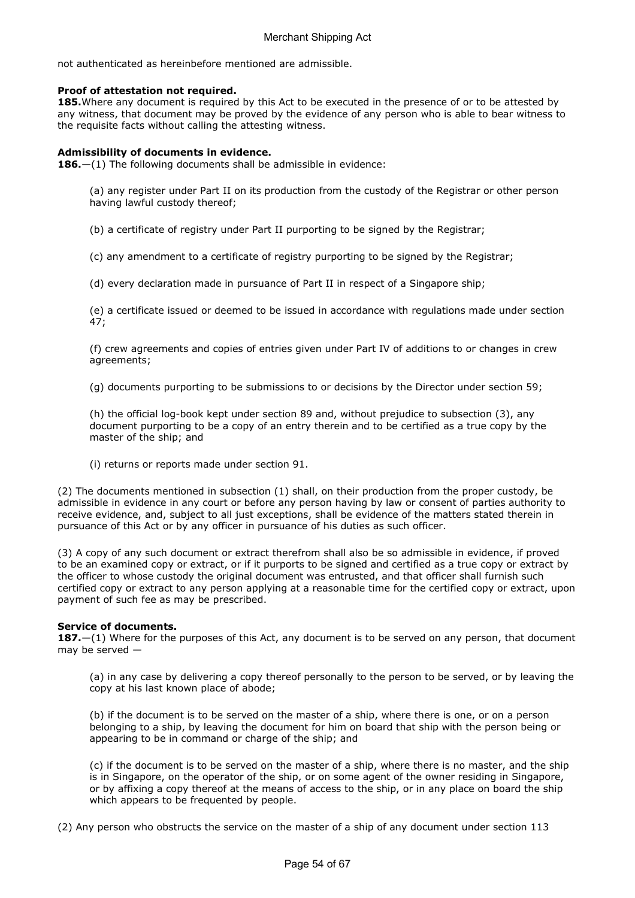not authenticated as hereinbefore mentioned are admissible.

## Proof of attestation not required.

185. Where any document is required by this Act to be executed in the presence of or to be attested by any witness, that document may be proved by the evidence of any person who is able to bear witness to the requisite facts without calling the attesting witness.

## Admissibility of documents in evidence.

**186.**—(1) The following documents shall be admissible in evidence:

(a) any register under Part II on its production from the custody of the Registrar or other person having lawful custody thereof;

(b) a certificate of registry under Part II purporting to be signed by the Registrar;

(c) any amendment to a certificate of registry purporting to be signed by the Registrar;

(d) every declaration made in pursuance of Part II in respect of a Singapore ship;

(e) a certificate issued or deemed to be issued in accordance with regulations made under section 47;

(f) crew agreements and copies of entries given under Part IV of additions to or changes in crew agreements;

(g) documents purporting to be submissions to or decisions by the Director under section 59;

(h) the official log-book kept under section 89 and, without prejudice to subsection (3), any document purporting to be a copy of an entry therein and to be certified as a true copy by the master of the ship; and

(i) returns or reports made under section 91.

(2) The documents mentioned in subsection (1) shall, on their production from the proper custody, be admissible in evidence in any court or before any person having by law or consent of parties authority to receive evidence, and, subject to all just exceptions, shall be evidence of the matters stated therein in pursuance of this Act or by any officer in pursuance of his duties as such officer.

(3) A copy of any such document or extract therefrom shall also be so admissible in evidence, if proved to be an examined copy or extract, or if it purports to be signed and certified as a true copy or extract by the officer to whose custody the original document was entrusted, and that officer shall furnish such certified copy or extract to any person applying at a reasonable time for the certified copy or extract, upon payment of such fee as may be prescribed.

## Service of documents.

**187.**—(1) Where for the purposes of this Act, any document is to be served on any person, that document may be served —

(a) in any case by delivering a copy thereof personally to the person to be served, or by leaving the copy at his last known place of abode;

(b) if the document is to be served on the master of a ship, where there is one, or on a person belonging to a ship, by leaving the document for him on board that ship with the person being or appearing to be in command or charge of the ship; and

(c) if the document is to be served on the master of a ship, where there is no master, and the ship is in Singapore, on the operator of the ship, or on some agent of the owner residing in Singapore, or by affixing a copy thereof at the means of access to the ship, or in any place on board the ship which appears to be frequented by people.

(2) Any person who obstructs the service on the master of a ship of any document under section 113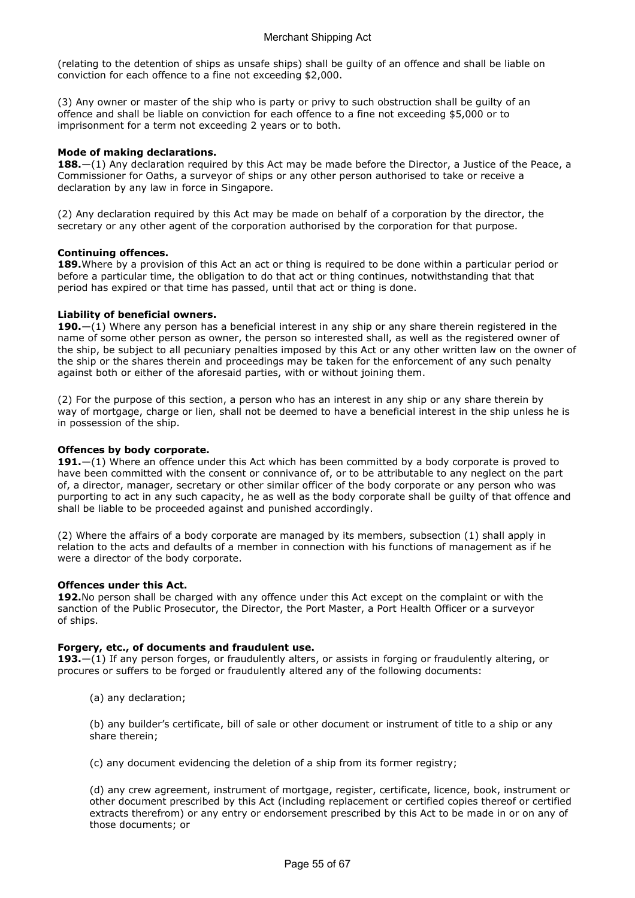(relating to the detention of ships as unsafe ships) shall be guilty of an offence and shall be liable on conviction for each offence to a fine not exceeding \$2,000.

(3) Any owner or master of the ship who is party or privy to such obstruction shall be guilty of an offence and shall be liable on conviction for each offence to a fine not exceeding \$5,000 or to imprisonment for a term not exceeding 2 years or to both.

## Mode of making declarations.

**188.**—(1) Any declaration required by this Act may be made before the Director, a Justice of the Peace, a Commissioner for Oaths, a surveyor of ships or any other person authorised to take or receive a declaration by any law in force in Singapore.

(2) Any declaration required by this Act may be made on behalf of a corporation by the director, the secretary or any other agent of the corporation authorised by the corporation for that purpose.

## Continuing offences.

189. Where by a provision of this Act an act or thing is required to be done within a particular period or before a particular time, the obligation to do that act or thing continues, notwithstanding that that period has expired or that time has passed, until that act or thing is done.

## Liability of beneficial owners.

190. $-(1)$  Where any person has a beneficial interest in any ship or any share therein registered in the name of some other person as owner, the person so interested shall, as well as the registered owner of the ship, be subject to all pecuniary penalties imposed by this Act or any other written law on the owner of the ship or the shares therein and proceedings may be taken for the enforcement of any such penalty against both or either of the aforesaid parties, with or without joining them.

(2) For the purpose of this section, a person who has an interest in any ship or any share therein by way of mortgage, charge or lien, shall not be deemed to have a beneficial interest in the ship unless he is in possession of the ship.

## Offences by body corporate.

191. $-(1)$  Where an offence under this Act which has been committed by a body corporate is proved to have been committed with the consent or connivance of, or to be attributable to any neglect on the part of, a director, manager, secretary or other similar officer of the body corporate or any person who was purporting to act in any such capacity, he as well as the body corporate shall be guilty of that offence and shall be liable to be proceeded against and punished accordingly.

(2) Where the affairs of a body corporate are managed by its members, subsection (1) shall apply in relation to the acts and defaults of a member in connection with his functions of management as if he were a director of the body corporate.

## Offences under this Act.

192. No person shall be charged with any offence under this Act except on the complaint or with the sanction of the Public Prosecutor, the Director, the Port Master, a Port Health Officer or a surveyor of ships.

## Forgery, etc., of documents and fraudulent use.

193. $-(1)$  If any person forges, or fraudulently alters, or assists in forging or fraudulently altering, or procures or suffers to be forged or fraudulently altered any of the following documents:

(a) any declaration;

(b) any builder's certificate, bill of sale or other document or instrument of title to a ship or any share therein;

(c) any document evidencing the deletion of a ship from its former registry;

(d) any crew agreement, instrument of mortgage, register, certificate, licence, book, instrument or other document prescribed by this Act (including replacement or certified copies thereof or certified extracts therefrom) or any entry or endorsement prescribed by this Act to be made in or on any of those documents; or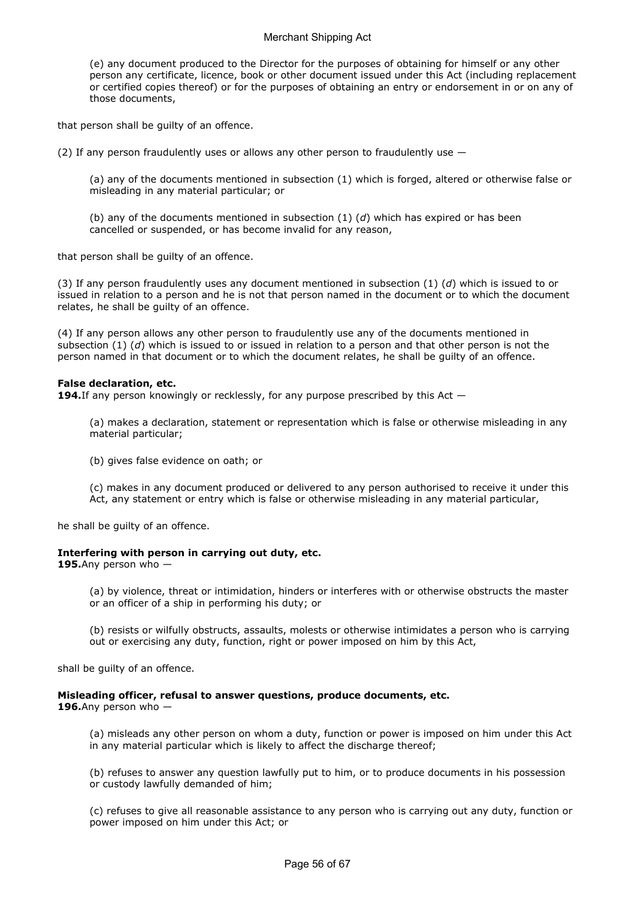(e) any document produced to the Director for the purposes of obtaining for himself or any other person any certificate, licence, book or other document issued under this Act (including replacement or certified copies thereof) or for the purposes of obtaining an entry or endorsement in or on any of those documents,

that person shall be guilty of an offence.

(2) If any person fraudulently uses or allows any other person to fraudulently use  $-$ 

(a) any of the documents mentioned in subsection (1) which is forged, altered or otherwise false or misleading in any material particular; or

(b) any of the documents mentioned in subsection  $(1)$   $(d)$  which has expired or has been cancelled or suspended, or has become invalid for any reason,

that person shall be guilty of an offence.

(3) If any person fraudulently uses any document mentioned in subsection (1) (d) which is issued to or issued in relation to a person and he is not that person named in the document or to which the document relates, he shall be guilty of an offence.

(4) If any person allows any other person to fraudulently use any of the documents mentioned in subsection (1) (d) which is issued to or issued in relation to a person and that other person is not the person named in that document or to which the document relates, he shall be guilty of an offence.

## False declaration, etc.

**194.** If any person knowingly or recklessly, for any purpose prescribed by this Act  $-$ 

(a) makes a declaration, statement or representation which is false or otherwise misleading in any material particular;

(b) gives false evidence on oath; or

(c) makes in any document produced or delivered to any person authorised to receive it under this Act, any statement or entry which is false or otherwise misleading in any material particular,

he shall be guilty of an offence.

## Interfering with person in carrying out duty, etc.

195.Any person who  $-$ 

(a) by violence, threat or intimidation, hinders or interferes with or otherwise obstructs the master or an officer of a ship in performing his duty; or

(b) resists or wilfully obstructs, assaults, molests or otherwise intimidates a person who is carrying out or exercising any duty, function, right or power imposed on him by this Act,

shall be guilty of an offence.

## Misleading officer, refusal to answer questions, produce documents, etc.

196.Any person who  $-$ 

(a) misleads any other person on whom a duty, function or power is imposed on him under this Act in any material particular which is likely to affect the discharge thereof;

(b) refuses to answer any question lawfully put to him, or to produce documents in his possession or custody lawfully demanded of him;

(c) refuses to give all reasonable assistance to any person who is carrying out any duty, function or power imposed on him under this Act; or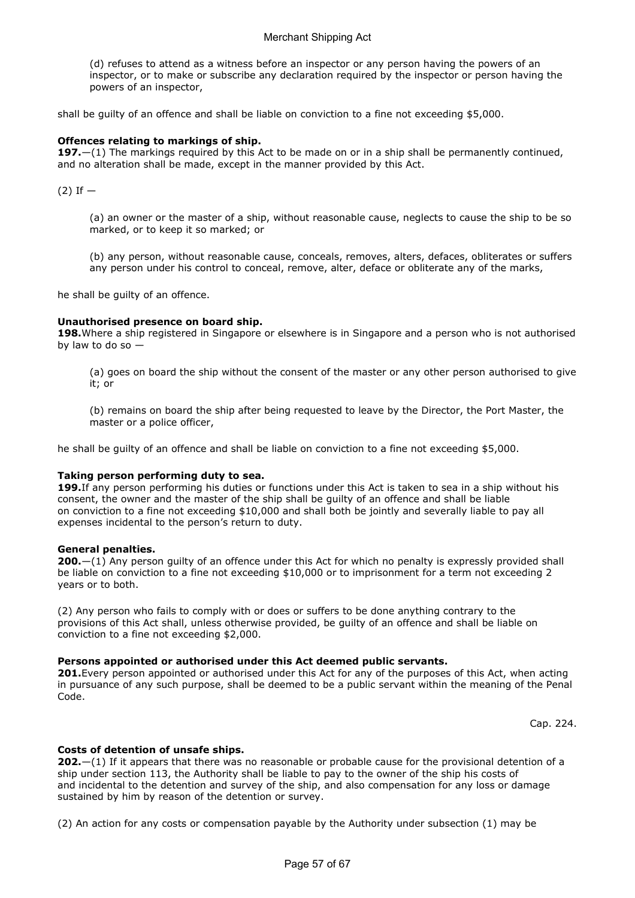(d) refuses to attend as a witness before an inspector or any person having the powers of an inspector, or to make or subscribe any declaration required by the inspector or person having the powers of an inspector,

shall be guilty of an offence and shall be liable on conviction to a fine not exceeding \$5,000.

## Offences relating to markings of ship.

197. $-(1)$  The markings required by this Act to be made on or in a ship shall be permanently continued, and no alteration shall be made, except in the manner provided by this Act.

 $(2)$  If  $-$ 

(a) an owner or the master of a ship, without reasonable cause, neglects to cause the ship to be so marked, or to keep it so marked; or

(b) any person, without reasonable cause, conceals, removes, alters, defaces, obliterates or suffers any person under his control to conceal, remove, alter, deface or obliterate any of the marks,

he shall be guilty of an offence.

#### Unauthorised presence on board ship.

198. Where a ship registered in Singapore or elsewhere is in Singapore and a person who is not authorised by law to do so —

(a) goes on board the ship without the consent of the master or any other person authorised to give it; or

(b) remains on board the ship after being requested to leave by the Director, the Port Master, the master or a police officer,

he shall be guilty of an offence and shall be liable on conviction to a fine not exceeding \$5,000.

## Taking person performing duty to sea.

199. If any person performing his duties or functions under this Act is taken to sea in a ship without his consent, the owner and the master of the ship shall be guilty of an offence and shall be liable on conviction to a fine not exceeding \$10,000 and shall both be jointly and severally liable to pay all expenses incidental to the person's return to duty.

#### General penalties.

200.—(1) Any person guilty of an offence under this Act for which no penalty is expressly provided shall be liable on conviction to a fine not exceeding \$10,000 or to imprisonment for a term not exceeding 2 years or to both.

(2) Any person who fails to comply with or does or suffers to be done anything contrary to the provisions of this Act shall, unless otherwise provided, be guilty of an offence and shall be liable on conviction to a fine not exceeding \$2,000.

## Persons appointed or authorised under this Act deemed public servants.

201. Every person appointed or authorised under this Act for any of the purposes of this Act, when acting in pursuance of any such purpose, shall be deemed to be a public servant within the meaning of the Penal Code.

Cap. 224.

## Costs of detention of unsafe ships.

**202.**—(1) If it appears that there was no reasonable or probable cause for the provisional detention of a ship under section 113, the Authority shall be liable to pay to the owner of the ship his costs of and incidental to the detention and survey of the ship, and also compensation for any loss or damage sustained by him by reason of the detention or survey.

(2) An action for any costs or compensation payable by the Authority under subsection (1) may be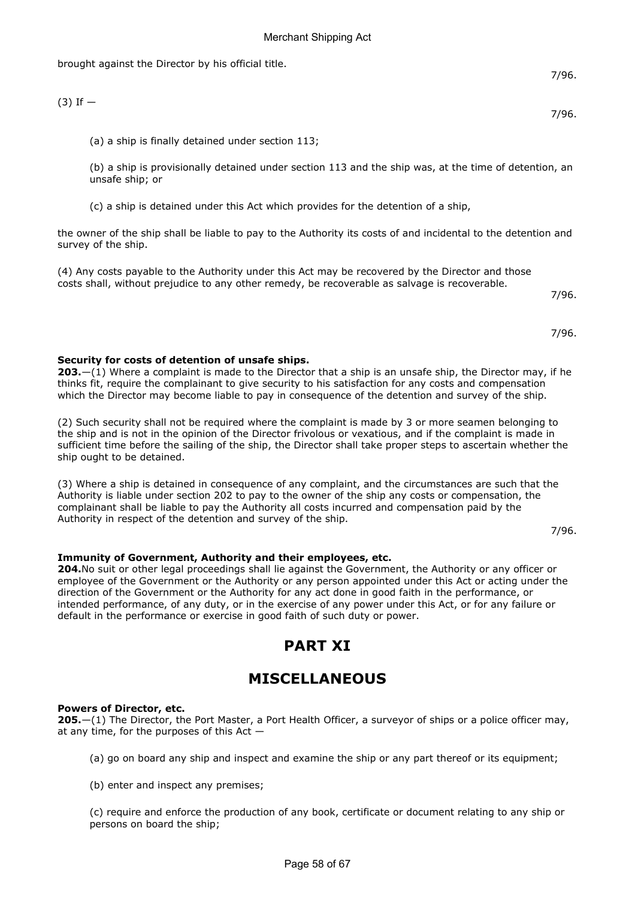brought against the Director by his official title.

(a) a ship is finally detained under section 113;

(b) a ship is provisionally detained under section 113 and the ship was, at the time of detention, an unsafe ship; or

(c) a ship is detained under this Act which provides for the detention of a ship,

the owner of the ship shall be liable to pay to the Authority its costs of and incidental to the detention and survey of the ship.

(4) Any costs payable to the Authority under this Act may be recovered by the Director and those costs shall, without prejudice to any other remedy, be recoverable as salvage is recoverable.

7/96.

7/96.

## Security for costs of detention of unsafe ships.

## **203.**—(1) Where a complaint is made to the Director that a ship is an unsafe ship, the Director may, if he thinks fit, require the complainant to give security to his satisfaction for any costs and compensation which the Director may become liable to pay in consequence of the detention and survey of the ship.

(2) Such security shall not be required where the complaint is made by 3 or more seamen belonging to the ship and is not in the opinion of the Director frivolous or vexatious, and if the complaint is made in sufficient time before the sailing of the ship, the Director shall take proper steps to ascertain whether the ship ought to be detained.

(3) Where a ship is detained in consequence of any complaint, and the circumstances are such that the Authority is liable under section 202 to pay to the owner of the ship any costs or compensation, the complainant shall be liable to pay the Authority all costs incurred and compensation paid by the Authority in respect of the detention and survey of the ship.

7/96.

## Immunity of Government, Authority and their employees, etc.

204.No suit or other legal proceedings shall lie against the Government, the Authority or any officer or employee of the Government or the Authority or any person appointed under this Act or acting under the direction of the Government or the Authority for any act done in good faith in the performance, or intended performance, of any duty, or in the exercise of any power under this Act, or for any failure or default in the performance or exercise in good faith of such duty or power.

## PART XI

## MISCELLANEOUS

## Powers of Director, etc.

**205.**—(1) The Director, the Port Master, a Port Health Officer, a surveyor of ships or a police officer may, at any time, for the purposes of this Act  $-$ 

(a) go on board any ship and inspect and examine the ship or any part thereof or its equipment;

(b) enter and inspect any premises;

(c) require and enforce the production of any book, certificate or document relating to any ship or persons on board the ship;

7/96.

7/96.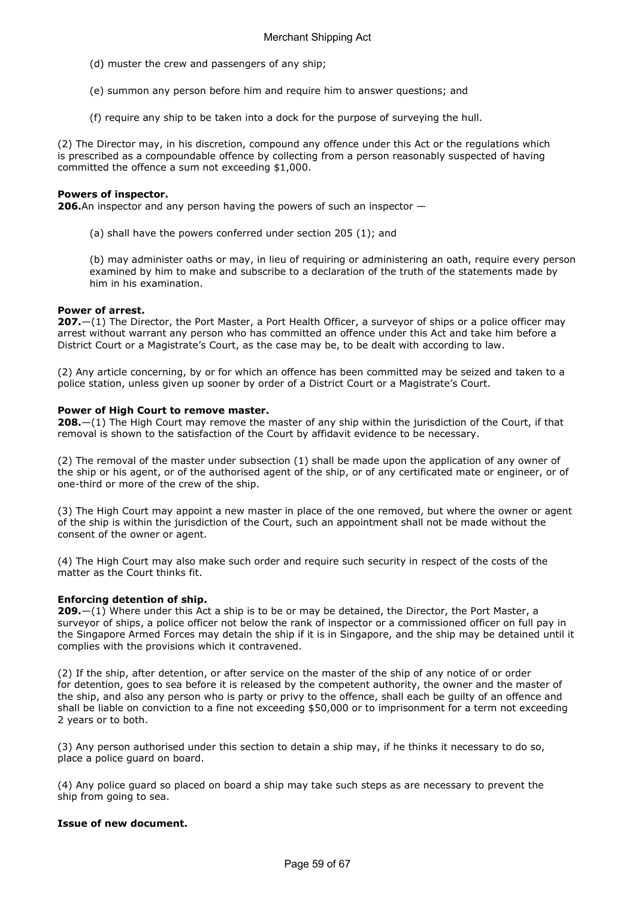- (d) muster the crew and passengers of any ship;
- (e) summon any person before him and require him to answer questions; and
- (f) require any ship to be taken into a dock for the purpose of surveying the hull.

(2) The Director may, in his discretion, compound any offence under this Act or the regulations which is prescribed as a compoundable offence by collecting from a person reasonably suspected of having committed the offence a sum not exceeding \$1,000.

## Powers of inspector.

**206.**An inspector and any person having the powers of such an inspector  $-$ 

(a) shall have the powers conferred under section 205 (1); and

(b) may administer oaths or may, in lieu of requiring or administering an oath, require every person examined by him to make and subscribe to a declaration of the truth of the statements made by him in his examination.

## Power of arrest.

**207.**—(1) The Director, the Port Master, a Port Health Officer, a surveyor of ships or a police officer may arrest without warrant any person who has committed an offence under this Act and take him before a District Court or a Magistrate's Court, as the case may be, to be dealt with according to law.

(2) Any article concerning, by or for which an offence has been committed may be seized and taken to a police station, unless given up sooner by order of a District Court or a Magistrate's Court.

## Power of High Court to remove master.

**208.**—(1) The High Court may remove the master of any ship within the jurisdiction of the Court, if that removal is shown to the satisfaction of the Court by affidavit evidence to be necessary.

(2) The removal of the master under subsection (1) shall be made upon the application of any owner of the ship or his agent, or of the authorised agent of the ship, or of any certificated mate or engineer, or of one-third or more of the crew of the ship.

(3) The High Court may appoint a new master in place of the one removed, but where the owner or agent of the ship is within the jurisdiction of the Court, such an appointment shall not be made without the consent of the owner or agent.

(4) The High Court may also make such order and require such security in respect of the costs of the matter as the Court thinks fit.

## Enforcing detention of ship.

**209.**—(1) Where under this Act a ship is to be or may be detained, the Director, the Port Master, a surveyor of ships, a police officer not below the rank of inspector or a commissioned officer on full pay in the Singapore Armed Forces may detain the ship if it is in Singapore, and the ship may be detained until it complies with the provisions which it contravened.

(2) If the ship, after detention, or after service on the master of the ship of any notice of or order for detention, goes to sea before it is released by the competent authority, the owner and the master of the ship, and also any person who is party or privy to the offence, shall each be guilty of an offence and shall be liable on conviction to a fine not exceeding \$50,000 or to imprisonment for a term not exceeding 2 years or to both.

(3) Any person authorised under this section to detain a ship may, if he thinks it necessary to do so, place a police guard on board.

(4) Any police guard so placed on board a ship may take such steps as are necessary to prevent the ship from going to sea.

## Issue of new document.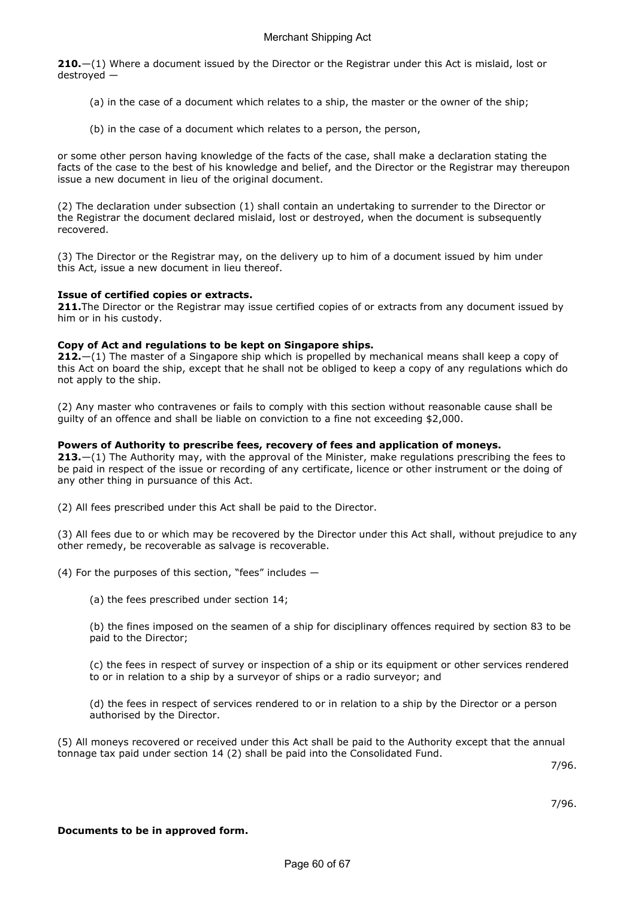**210.** $-(1)$  Where a document issued by the Director or the Registrar under this Act is mislaid, lost or destroyed —

- (a) in the case of a document which relates to a ship, the master or the owner of the ship;
- (b) in the case of a document which relates to a person, the person,

or some other person having knowledge of the facts of the case, shall make a declaration stating the facts of the case to the best of his knowledge and belief, and the Director or the Registrar may thereupon issue a new document in lieu of the original document.

(2) The declaration under subsection (1) shall contain an undertaking to surrender to the Director or the Registrar the document declared mislaid, lost or destroyed, when the document is subsequently recovered.

(3) The Director or the Registrar may, on the delivery up to him of a document issued by him under this Act, issue a new document in lieu thereof.

## Issue of certified copies or extracts.

211. The Director or the Registrar may issue certified copies of or extracts from any document issued by him or in his custody.

## Copy of Act and regulations to be kept on Singapore ships.

**212.**—(1) The master of a Singapore ship which is propelled by mechanical means shall keep a copy of this Act on board the ship, except that he shall not be obliged to keep a copy of any regulations which do not apply to the ship.

(2) Any master who contravenes or fails to comply with this section without reasonable cause shall be guilty of an offence and shall be liable on conviction to a fine not exceeding \$2,000.

## Powers of Authority to prescribe fees, recovery of fees and application of moneys.

**213.**—(1) The Authority may, with the approval of the Minister, make regulations prescribing the fees to be paid in respect of the issue or recording of any certificate, licence or other instrument or the doing of any other thing in pursuance of this Act.

(2) All fees prescribed under this Act shall be paid to the Director.

(3) All fees due to or which may be recovered by the Director under this Act shall, without prejudice to any other remedy, be recoverable as salvage is recoverable.

(4) For the purposes of this section, "fees" includes —

(a) the fees prescribed under section 14;

(b) the fines imposed on the seamen of a ship for disciplinary offences required by section 83 to be paid to the Director;

(c) the fees in respect of survey or inspection of a ship or its equipment or other services rendered to or in relation to a ship by a surveyor of ships or a radio surveyor; and

(d) the fees in respect of services rendered to or in relation to a ship by the Director or a person authorised by the Director.

(5) All moneys recovered or received under this Act shall be paid to the Authority except that the annual tonnage tax paid under section 14 (2) shall be paid into the Consolidated Fund.

7/96.

## Documents to be in approved form.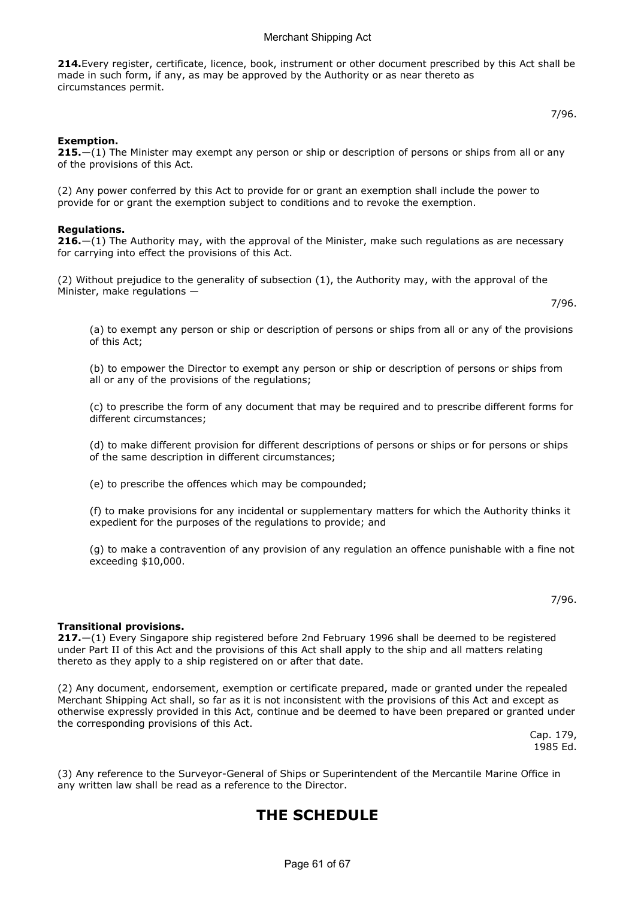214.Every register, certificate, licence, book, instrument or other document prescribed by this Act shall be made in such form, if any, as may be approved by the Authority or as near thereto as circumstances permit.

## Exemption.

**215.**—(1) The Minister may exempt any person or ship or description of persons or ships from all or any of the provisions of this Act.

(2) Any power conferred by this Act to provide for or grant an exemption shall include the power to provide for or grant the exemption subject to conditions and to revoke the exemption.

## Regulations.

**216.**—(1) The Authority may, with the approval of the Minister, make such regulations as are necessary for carrying into effect the provisions of this Act.

(2) Without prejudice to the generality of subsection (1), the Authority may, with the approval of the Minister, make regulations —

7/96.

(a) to exempt any person or ship or description of persons or ships from all or any of the provisions of this Act;

(b) to empower the Director to exempt any person or ship or description of persons or ships from all or any of the provisions of the regulations;

(c) to prescribe the form of any document that may be required and to prescribe different forms for different circumstances;

(d) to make different provision for different descriptions of persons or ships or for persons or ships of the same description in different circumstances;

(e) to prescribe the offences which may be compounded;

(f) to make provisions for any incidental or supplementary matters for which the Authority thinks it expedient for the purposes of the regulations to provide; and

(g) to make a contravention of any provision of any regulation an offence punishable with a fine not exceeding \$10,000.

7/96.

## Transitional provisions.

 $217.–(1)$  Every Singapore ship registered before 2nd February 1996 shall be deemed to be registered under Part II of this Act and the provisions of this Act shall apply to the ship and all matters relating thereto as they apply to a ship registered on or after that date.

(2) Any document, endorsement, exemption or certificate prepared, made or granted under the repealed Merchant Shipping Act shall, so far as it is not inconsistent with the provisions of this Act and except as otherwise expressly provided in this Act, continue and be deemed to have been prepared or granted under the corresponding provisions of this Act.

Cap. 179, 1985 Ed.

(3) Any reference to the Surveyor-General of Ships or Superintendent of the Mercantile Marine Office in any written law shall be read as a reference to the Director.

## THE SCHEDULE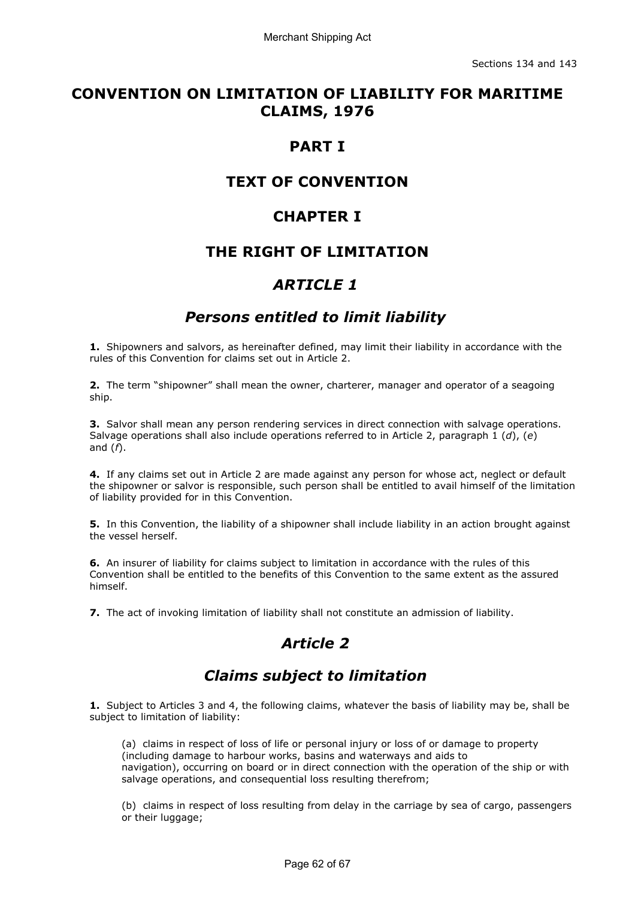## CONVENTION ON LIMITATION OF LIABILITY FOR MARITIME CLAIMS, 1976

## PART I

## TEXT OF CONVENTION

## CHAPTER I

## THE RIGHT OF LIMITATION

## ARTICLE 1

## Persons entitled to limit liability

1. Shipowners and salvors, as hereinafter defined, may limit their liability in accordance with the rules of this Convention for claims set out in Article 2.

2. The term "shipowner" shall mean the owner, charterer, manager and operator of a seagoing ship.

**3.** Salvor shall mean any person rendering services in direct connection with salvage operations. Salvage operations shall also include operations referred to in Article 2, paragraph 1 (d), (e) and  $(f)$ .

4. If any claims set out in Article 2 are made against any person for whose act, neglect or default the shipowner or salvor is responsible, such person shall be entitled to avail himself of the limitation of liability provided for in this Convention.

**5.** In this Convention, the liability of a shipowner shall include liability in an action brought against the vessel herself.

6. An insurer of liability for claims subject to limitation in accordance with the rules of this Convention shall be entitled to the benefits of this Convention to the same extent as the assured himself.

7. The act of invoking limitation of liability shall not constitute an admission of liability.

# Article 2

# Claims subject to limitation

1. Subject to Articles 3 and 4, the following claims, whatever the basis of liability may be, shall be subject to limitation of liability:

(a) claims in respect of loss of life or personal injury or loss of or damage to property (including damage to harbour works, basins and waterways and aids to navigation), occurring on board or in direct connection with the operation of the ship or with salvage operations, and consequential loss resulting therefrom;

(b) claims in respect of loss resulting from delay in the carriage by sea of cargo, passengers or their luggage;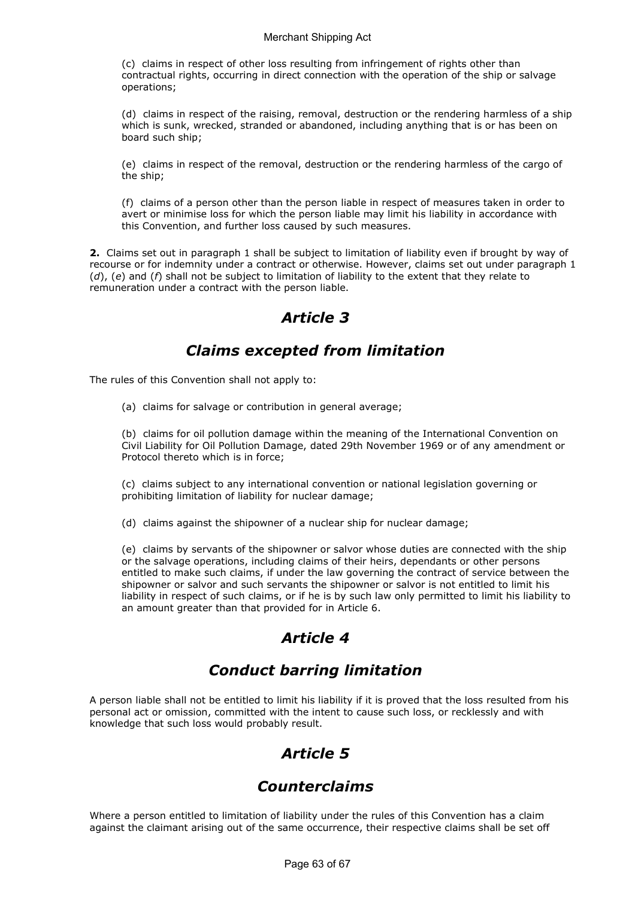(c) claims in respect of other loss resulting from infringement of rights other than contractual rights, occurring in direct connection with the operation of the ship or salvage operations;

(d) claims in respect of the raising, removal, destruction or the rendering harmless of a ship which is sunk, wrecked, stranded or abandoned, including anything that is or has been on board such ship;

(e) claims in respect of the removal, destruction or the rendering harmless of the cargo of the ship;

(f) claims of a person other than the person liable in respect of measures taken in order to avert or minimise loss for which the person liable may limit his liability in accordance with this Convention, and further loss caused by such measures.

2. Claims set out in paragraph 1 shall be subject to limitation of liability even if brought by way of recourse or for indemnity under a contract or otherwise. However, claims set out under paragraph 1  $(d)$ , (e) and (f) shall not be subject to limitation of liability to the extent that they relate to remuneration under a contract with the person liable.

## Article 3

## Claims excepted from limitation

The rules of this Convention shall not apply to:

(a) claims for salvage or contribution in general average;

(b) claims for oil pollution damage within the meaning of the International Convention on Civil Liability for Oil Pollution Damage, dated 29th November 1969 or of any amendment or Protocol thereto which is in force;

(c) claims subject to any international convention or national legislation governing or prohibiting limitation of liability for nuclear damage;

(d) claims against the shipowner of a nuclear ship for nuclear damage;

(e) claims by servants of the shipowner or salvor whose duties are connected with the ship or the salvage operations, including claims of their heirs, dependants or other persons entitled to make such claims, if under the law governing the contract of service between the shipowner or salvor and such servants the shipowner or salvor is not entitled to limit his liability in respect of such claims, or if he is by such law only permitted to limit his liability to an amount greater than that provided for in Article 6.

# Article 4

# Conduct barring limitation

A person liable shall not be entitled to limit his liability if it is proved that the loss resulted from his personal act or omission, committed with the intent to cause such loss, or recklessly and with knowledge that such loss would probably result.

# Article 5

## Counterclaims

Where a person entitled to limitation of liability under the rules of this Convention has a claim against the claimant arising out of the same occurrence, their respective claims shall be set off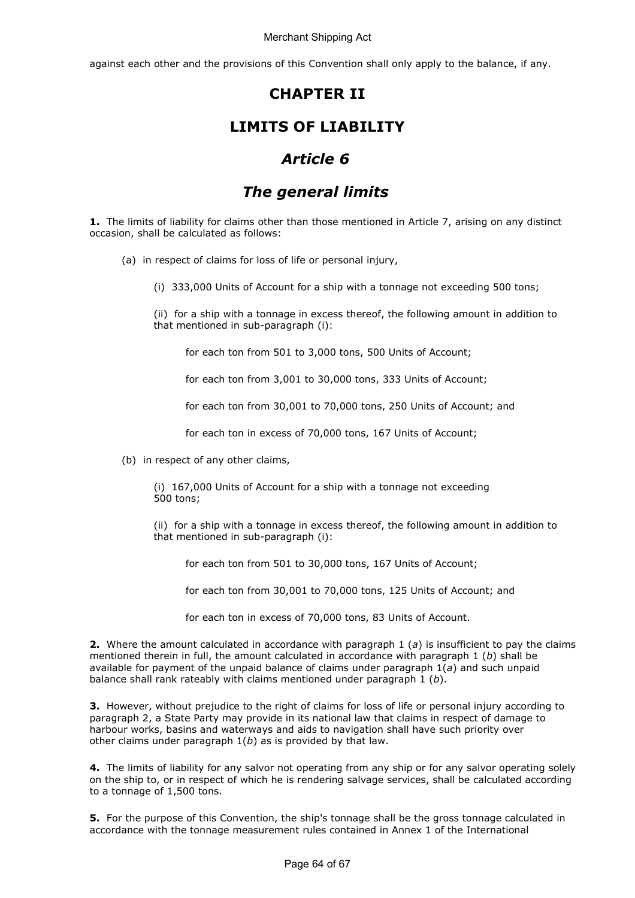against each other and the provisions of this Convention shall only apply to the balance, if any.

## CHAPTER II

## LIMITS OF LIABILITY

## Article 6

# The general limits

1. The limits of liability for claims other than those mentioned in Article 7, arising on any distinct occasion, shall be calculated as follows:

- (a) in respect of claims for loss of life or personal injury,
	- (i) 333,000 Units of Account for a ship with a tonnage not exceeding 500 tons;

(ii) for a ship with a tonnage in excess thereof, the following amount in addition to that mentioned in sub-paragraph (i):

for each ton from 501 to 3,000 tons, 500 Units of Account;

for each ton from 3,001 to 30,000 tons, 333 Units of Account;

for each ton from 30,001 to 70,000 tons, 250 Units of Account; and

for each ton in excess of 70,000 tons, 167 Units of Account;

(b) in respect of any other claims,

(i) 167,000 Units of Account for a ship with a tonnage not exceeding 500 tons;

(ii) for a ship with a tonnage in excess thereof, the following amount in addition to that mentioned in sub-paragraph (i):

for each ton from 501 to 30,000 tons, 167 Units of Account;

for each ton from 30,001 to 70,000 tons, 125 Units of Account; and

for each ton in excess of 70,000 tons, 83 Units of Account.

2. Where the amount calculated in accordance with paragraph 1 (a) is insufficient to pay the claims mentioned therein in full, the amount calculated in accordance with paragraph 1  $(b)$  shall be available for payment of the unpaid balance of claims under paragraph  $1(a)$  and such unpaid balance shall rank rateably with claims mentioned under paragraph  $1 (b)$ .

**3.** However, without prejudice to the right of claims for loss of life or personal injury according to paragraph 2, a State Party may provide in its national law that claims in respect of damage to harbour works, basins and waterways and aids to navigation shall have such priority over other claims under paragraph  $1(b)$  as is provided by that law.

4. The limits of liability for any salvor not operating from any ship or for any salvor operating solely on the ship to, or in respect of which he is rendering salvage services, shall be calculated according to a tonnage of 1,500 tons.

**5.** For the purpose of this Convention, the ship's tonnage shall be the gross tonnage calculated in accordance with the tonnage measurement rules contained in Annex 1 of the International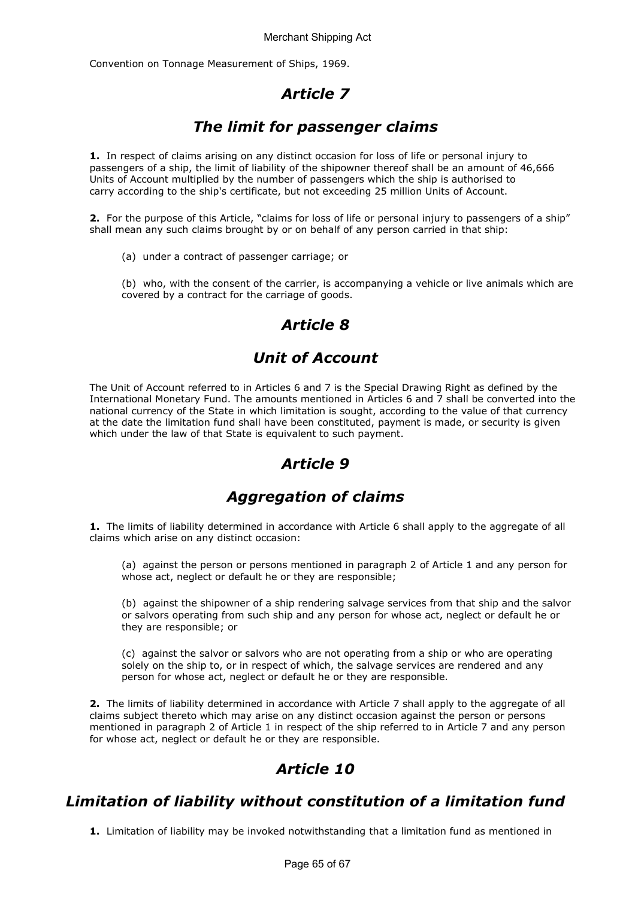Convention on Tonnage Measurement of Ships, 1969.

# Article 7

# The limit for passenger claims

1. In respect of claims arising on any distinct occasion for loss of life or personal injury to passengers of a ship, the limit of liability of the shipowner thereof shall be an amount of 46,666 Units of Account multiplied by the number of passengers which the ship is authorised to carry according to the ship's certificate, but not exceeding 25 million Units of Account.

2. For the purpose of this Article, "claims for loss of life or personal injury to passengers of a ship" shall mean any such claims brought by or on behalf of any person carried in that ship:

(a) under a contract of passenger carriage; or

(b) who, with the consent of the carrier, is accompanying a vehicle or live animals which are covered by a contract for the carriage of goods.

# Article 8

# Unit of Account

The Unit of Account referred to in Articles 6 and 7 is the Special Drawing Right as defined by the International Monetary Fund. The amounts mentioned in Articles 6 and 7 shall be converted into the national currency of the State in which limitation is sought, according to the value of that currency at the date the limitation fund shall have been constituted, payment is made, or security is given which under the law of that State is equivalent to such payment.

# Article 9

## Aggregation of claims

1. The limits of liability determined in accordance with Article 6 shall apply to the aggregate of all claims which arise on any distinct occasion:

(a) against the person or persons mentioned in paragraph 2 of Article 1 and any person for whose act, neglect or default he or they are responsible;

(b) against the shipowner of a ship rendering salvage services from that ship and the salvor or salvors operating from such ship and any person for whose act, neglect or default he or they are responsible; or

(c) against the salvor or salvors who are not operating from a ship or who are operating solely on the ship to, or in respect of which, the salvage services are rendered and any person for whose act, neglect or default he or they are responsible.

2. The limits of liability determined in accordance with Article 7 shall apply to the aggregate of all claims subject thereto which may arise on any distinct occasion against the person or persons mentioned in paragraph 2 of Article 1 in respect of the ship referred to in Article 7 and any person for whose act, neglect or default he or they are responsible.

# Article 10

## Limitation of liability without constitution of a limitation fund

1. Limitation of liability may be invoked notwithstanding that a limitation fund as mentioned in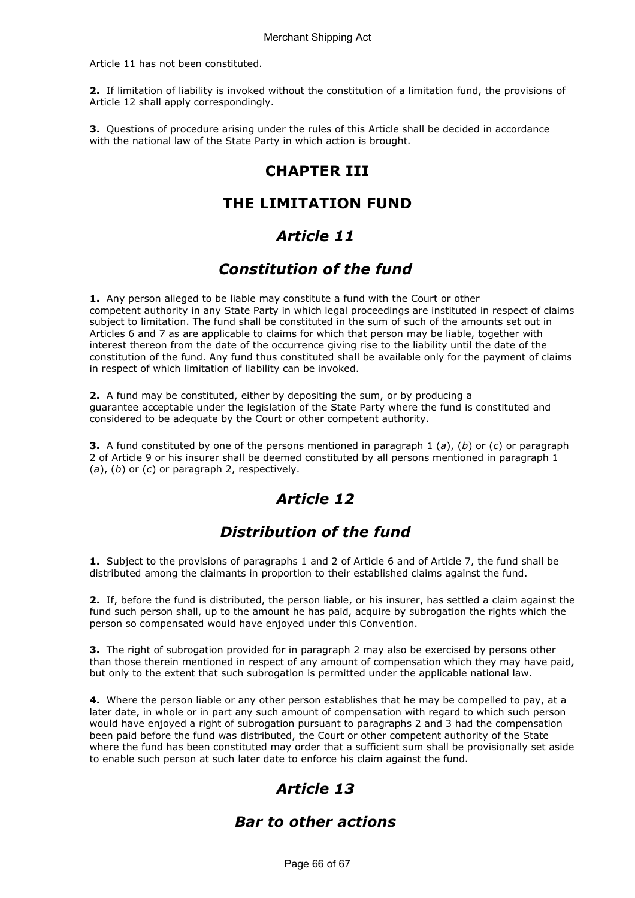Article 11 has not been constituted.

2. If limitation of liability is invoked without the constitution of a limitation fund, the provisions of Article 12 shall apply correspondingly.

3. Questions of procedure arising under the rules of this Article shall be decided in accordance with the national law of the State Party in which action is brought.

## CHAPTER III

## THE LIMITATION FUND

## Article 11

## Constitution of the fund

**1.** Any person alleged to be liable may constitute a fund with the Court or other competent authority in any State Party in which legal proceedings are instituted in respect of claims subject to limitation. The fund shall be constituted in the sum of such of the amounts set out in Articles 6 and 7 as are applicable to claims for which that person may be liable, together with interest thereon from the date of the occurrence giving rise to the liability until the date of the constitution of the fund. Any fund thus constituted shall be available only for the payment of claims in respect of which limitation of liability can be invoked.

2. A fund may be constituted, either by depositing the sum, or by producing a guarantee acceptable under the legislation of the State Party where the fund is constituted and considered to be adequate by the Court or other competent authority.

**3.** A fund constituted by one of the persons mentioned in paragraph 1 (a), (b) or (c) or paragraph 2 of Article 9 or his insurer shall be deemed constituted by all persons mentioned in paragraph 1  $(a)$ ,  $(b)$  or  $(c)$  or paragraph 2, respectively.

# Article 12

# Distribution of the fund

1. Subject to the provisions of paragraphs 1 and 2 of Article 6 and of Article 7, the fund shall be distributed among the claimants in proportion to their established claims against the fund.

2. If, before the fund is distributed, the person liable, or his insurer, has settled a claim against the fund such person shall, up to the amount he has paid, acquire by subrogation the rights which the person so compensated would have enjoyed under this Convention.

**3.** The right of subrogation provided for in paragraph 2 may also be exercised by persons other than those therein mentioned in respect of any amount of compensation which they may have paid, but only to the extent that such subrogation is permitted under the applicable national law.

4. Where the person liable or any other person establishes that he may be compelled to pay, at a later date, in whole or in part any such amount of compensation with regard to which such person would have enjoyed a right of subrogation pursuant to paragraphs 2 and 3 had the compensation been paid before the fund was distributed, the Court or other competent authority of the State where the fund has been constituted may order that a sufficient sum shall be provisionally set aside to enable such person at such later date to enforce his claim against the fund.

# Article 13

## Bar to other actions